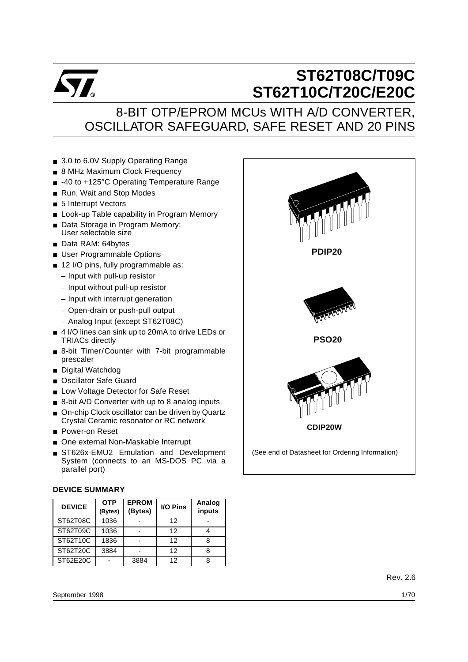

# **ST62T08C/T09C ST62T10C/T20C/E20C**

## 8-BIT OTP/EPROM MCUs WITH A/D CONVERTER, OSCILLATOR SAFEGUARD, SAFE RESET AND 20 PINS

- 3.0 to 6.0V Supply Operating Range
- 8 MHz Maximum Clock Frequency
- -40 to +125°C Operating Temperature Range
- Run, Wait and Stop Modes
- 5 Interrupt Vectors
- Look-up Table capability in Program Memory
- Data Storage in Program Memory: User selectable size
- Data RAM: 64bytes
- User Programmable Options
- 12 I/O pins, fully programmable as:
	- Input with pull-up resistor
	- Input without pull-up resistor
	- Input with interrupt generation
	- Open-drain or push-pull output
	- Analog Input (except ST62T08C)
- 4 I/O lines can sink up to 20mA to drive LEDs or TRIACs directly
- 8-bit Timer/Counter with 7-bit programmable prescaler
- Digital Watchdog
- Oscillator Safe Guard
- Low Voltage Detector for Safe Reset
- 8-bit A/D Converter with up to 8 analog inputs
- On-chip Clock oscillator can be driven by Quartz Crystal Ceramic resonator or RC network
- Power-on Reset
- One external Non-Maskable Interrupt
- ST626x-EMU2 Emulation and Development System (connects to an MS-DOS PC via a parallel port)

#### **DEVICE SUMMARY**

| <b>DEVICE</b> | <b>OTP</b><br>(Bytes) | <b>EPROM</b><br>(Bytes) | <b>I/O Pins</b> | Analog<br>inputs |
|---------------|-----------------------|-------------------------|-----------------|------------------|
| ST62T08C      | 1036                  |                         | 12              |                  |
| ST62T09C      | 1036                  |                         | 12              |                  |
| ST62T10C      | 1836                  |                         | 12              |                  |
| ST62T20C      | 3884                  |                         | 12              |                  |
| ST62E20C      |                       | 3884                    | 12              |                  |

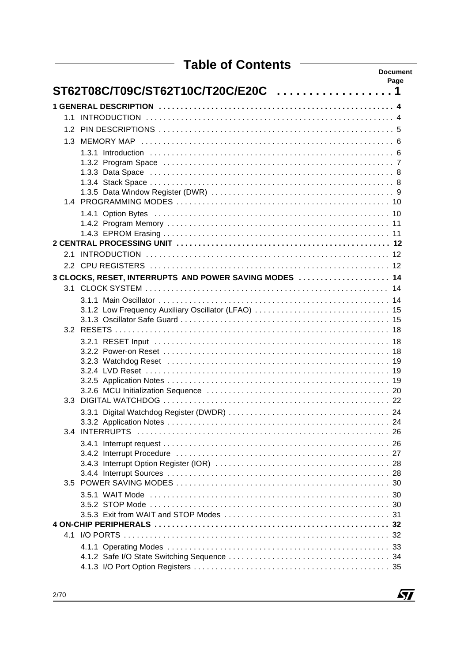| <b>Table of Contents</b>                               | <b>Document</b> |
|--------------------------------------------------------|-----------------|
|                                                        | Page            |
| ST62T08C/T09C/ST62T10C/T20C/E20C 1                     |                 |
|                                                        |                 |
|                                                        |                 |
|                                                        |                 |
|                                                        |                 |
|                                                        |                 |
|                                                        |                 |
|                                                        |                 |
|                                                        |                 |
|                                                        |                 |
|                                                        |                 |
|                                                        |                 |
|                                                        |                 |
|                                                        |                 |
|                                                        |                 |
|                                                        |                 |
|                                                        |                 |
| 3 CLOCKS, RESET, INTERRUPTS AND POWER SAVING MODES  14 |                 |
|                                                        |                 |
|                                                        |                 |
|                                                        |                 |
|                                                        |                 |
|                                                        |                 |
|                                                        |                 |
|                                                        |                 |
|                                                        |                 |
|                                                        |                 |
|                                                        |                 |
|                                                        |                 |
|                                                        |                 |
|                                                        |                 |
|                                                        |                 |
|                                                        |                 |
|                                                        |                 |
|                                                        |                 |
|                                                        |                 |
|                                                        |                 |
|                                                        |                 |
|                                                        |                 |
|                                                        |                 |
|                                                        |                 |
|                                                        |                 |
|                                                        |                 |
|                                                        |                 |
|                                                        |                 |

 $\sqrt{27}$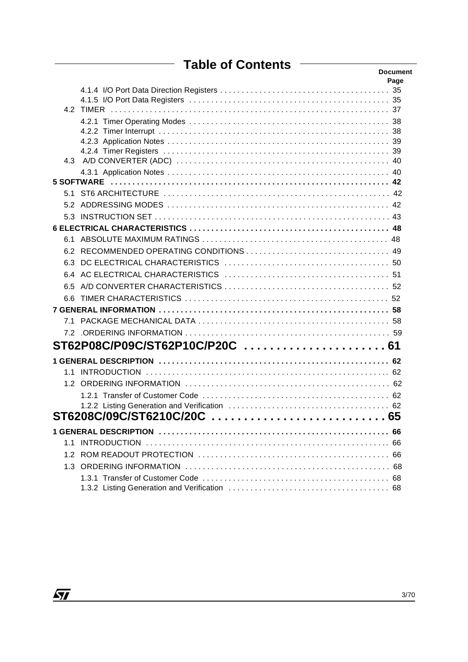## **Table of Contents**

|     |                                 | <b>Document</b><br>Page |
|-----|---------------------------------|-------------------------|
|     |                                 |                         |
|     |                                 |                         |
|     |                                 |                         |
|     |                                 |                         |
|     |                                 |                         |
|     |                                 |                         |
|     |                                 |                         |
|     |                                 |                         |
|     |                                 |                         |
|     |                                 |                         |
|     |                                 |                         |
|     |                                 |                         |
|     |                                 |                         |
|     |                                 |                         |
|     |                                 |                         |
|     |                                 |                         |
|     |                                 |                         |
|     |                                 |                         |
| 6.6 |                                 |                         |
|     |                                 |                         |
|     |                                 |                         |
|     |                                 |                         |
|     | ST62P08C/P09C/ST62P10C/P20C  61 |                         |
|     |                                 |                         |
|     |                                 |                         |
|     |                                 |                         |
|     |                                 |                         |
|     |                                 |                         |
|     |                                 |                         |
|     |                                 | 66                      |
|     |                                 | 66                      |
|     |                                 |                         |
|     |                                 |                         |
|     |                                 |                         |
|     |                                 |                         |

 $\sqrt{27}$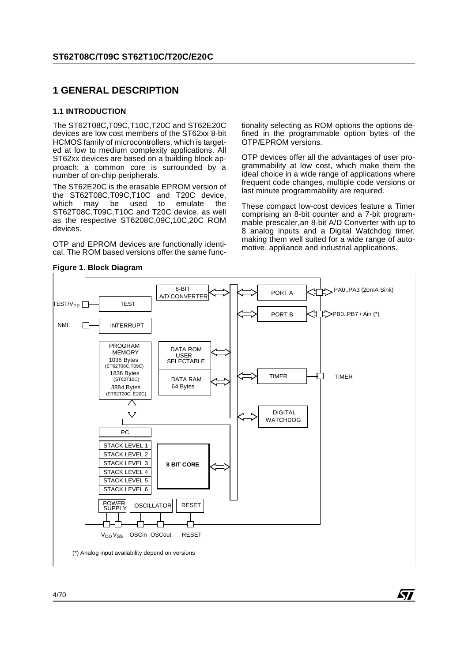## **1 GENERAL DESCRIPTION**

#### **1.1 INTRODUCTION**

The ST62T08C,T09C,T10C,T20C and ST62E20C devices are low cost members of the ST62xx 8-bit HCMOS family of microcontrollers, which is targeted at low to medium complexity applications. All ST62xx devices are based on a building block approach: a common core is surrounded by a number of on-chip peripherals.

The ST62E20C is the erasable EPROM version of the ST62T08C,T09C,T10C and T20C device,<br>which may be used to emulate the which may be used ST62T08C,T09C,T10C and T20C device, as well as the respective ST6208C,09C,10C,20C ROM devices.

OTP and EPROM devices are functionally identical. The ROM based versions offer the same func-

tionality selecting as ROM options the options defined in the programmable option bytes of the OTP/EPROM versions.

OTP devices offer all the advantages of user programmability at low cost, which make them the ideal choice in a wide range of applications where frequent code changes, multiple code versions or last minute programmability are required.

These compact low-cost devices feature a Timer comprising an 8-bit counter and a 7-bit programmable prescaler,an 8-bit A/D Converter with up to 8 analog inputs and a Digital Watchdog timer, making them well suited for a wide range of automotive, appliance and industrial applications.

**S77** 



#### **Figure 1. Block Diagram**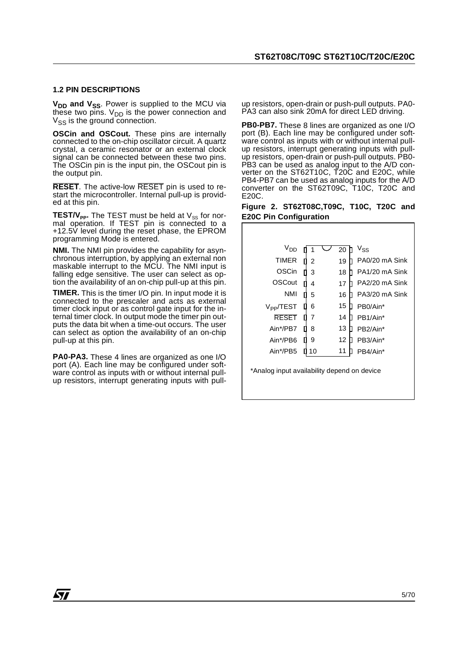#### **1.2 PIN DESCRIPTIONS**

V<sub>DD</sub> and V<sub>SS</sub>. Power is supplied to the MCU via these two pins.  $V_{DD}$  is the power connection and  $V_{SS}$  is the ground connection.

**OSCin and OSCout.** These pins are internally connected to the on-chip oscillator circuit. A quartz crystal, a ceramic resonator or an external clock signal can be connected between these two pins. The OSCin pin is the input pin, the OSCout pin is the output pin.

**RESET**. The active-low RESET pin is used to restart the microcontroller. Internal pull-up is provided at this pin.

 $\texttt{TEST}/\textsf{V}_{\texttt{PP}}.$  The TEST must be held at  $\textsf{V}_{\texttt{SS}}$  for normal operation. If TEST pin is connected to a +12.5V level during the reset phase, the EPROM programming Mode is entered.

**NMI.** The NMI pin provides the capability for asynchronous interruption, by applying an external non maskable interrupt to the MCU. The NMI input is falling edge sensitive. The user can select as option the availability of an on-chip pull-up at this pin.

**TIMER.** This is the timer I/O pin. In input mode it is connected to the prescaler and acts as external timer clock input or as control gate input for the internal timer clock. In output mode the timer pin outputs the data bit when a time-out occurs. The user can select as option the availability of an on-chip pull-up at this pin.

**PA0-PA3.** These 4 lines are organized as one I/O port (A). Each line may be configured under software control as inputs with or without internal pullup resistors, interrupt generating inputs with pullup resistors, open-drain or push-pull outputs. PA0- PA3 can also sink 20mA for direct LED driving.

**PB0-PB7.** These 8 lines are organized as one I/O port (B). Each line may be configured under software control as inputs with or without internal pullup resistors, interrupt generating inputs with pullup resistors, open-drain or push-pull outputs. PB0- PB3 can be used as analog input to the A/D converter on the ST62T10C, T20C and E20C, while PB4-PB7 can be used as analog inputs for the A/D converter on the ST62T09C, T10C, T20C and E20C.

|  | Figure 2. ST62T08C, T09C, T10C, T20C and |  |  |
|--|------------------------------------------|--|--|
|  | <b>E20C Pin Configuration</b>            |  |  |

| V <sub>DD</sub>       |    | 20 | $V_{SS}$              |
|-----------------------|----|----|-----------------------|
| <b>TIMER</b>          | 2  | 19 | PA0/20 mA Sink        |
| <b>OSCin</b>          | 3  | 18 | PA1/20 mA Sink        |
| OSCout                | 4  | 17 | PA2/20 mA Sink        |
| <b>NMI</b>            | 5  | 16 | PA3/20 mA Sink        |
| V <sub>PP</sub> /TEST | 6  | 15 | PB <sub>0</sub> /Ain* |
| <b>RESET</b>          | 7  | 14 | PB1/Ain*              |
| Ain*/PB7              | 8  | 13 | PB <sub>2</sub> /Ain* |
| Ain*/PB6              | 9  | 12 | PB3/Ain*              |
| Ain*/PB5              | 10 | 11 | PB4/Ain*              |

\*Analog input availability depend on device

*STI*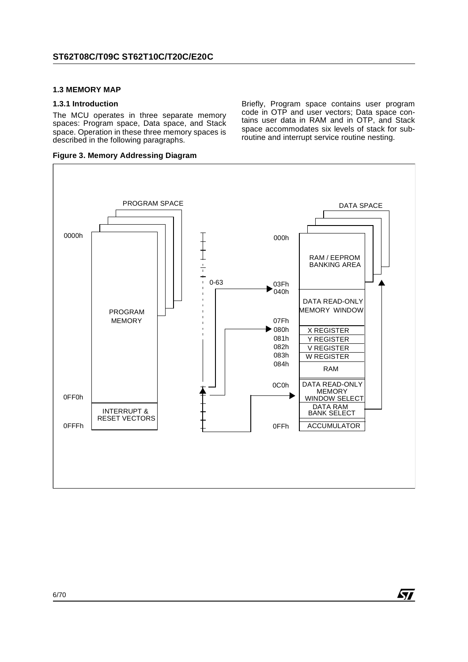#### **1.3 MEMORY MAP**

#### **1.3.1 Introduction**

The MCU operates in three separate memory spaces: Program space, Data space, and Stack space. Operation in these three memory spaces is described in the following paragraphs.

**Figure 3. Memory Addressing Diagram**

PROGRAM SPACE DATA SPACE 0000h  $+\frac{1}{1}$ 000h RAM / EEPROM BANKING AREA 0-63 03Fh  $040h$ DATA READ-ONLY PROGRAM MEMORY WINDOW MEMORY 07Fh 080h X REGISTER 081h Y REGISTER 082h V REGISTER 083h W REGISTER 084h RAM DATA READ-ONLY 0C0h **MEMORY** 0FF0h WINDOW SELECT DATA RAM INTERRUPT & BANK SELECT RESET VECTORS 0FFFh 0FFh ACCUMULATOR

Briefly, Program space contains user program code in OTP and user vectors; Data space contains user data in RAM and in OTP, and Stack space accommodates six levels of stack for subroutine and interrupt service routine nesting.

57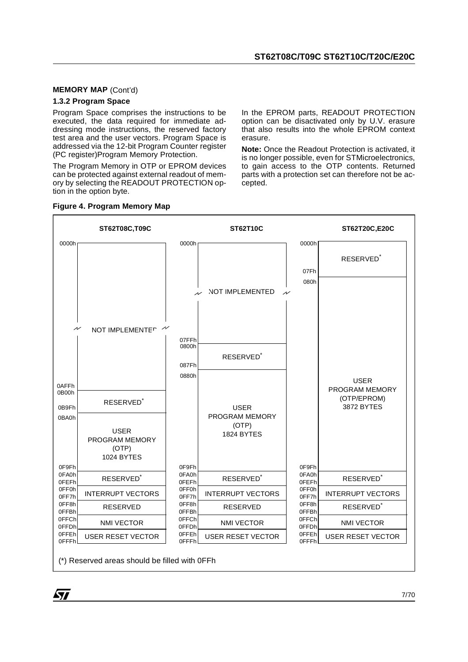#### **MEMORY MAP** (Cont'd)

#### **1.3.2 Program Space**

Program Space comprises the instructions to be executed, the data required for immediate addressing mode instructions, the reserved factory test area and the user vectors. Program Space is addressed via the 12-bit Program Counter register (PC register)Program Memory Protection.

The Program Memory in OTP or EPROM devices can be protected against external readout of memory by selecting the READOUT PROTECTION option in the option byte.

In the EPROM parts, READOUT PROTECTION option can be disactivated only by U.V. erasure that also results into the whole EPROM context erasure.

**Note:** Once the Readout Protection is activated, it is no longer possible, even for STMicroelectronics, to gain access to the OTP contents. Returned parts with a protection set can therefore not be accepted.



#### **Figure 4. Program Memory Map**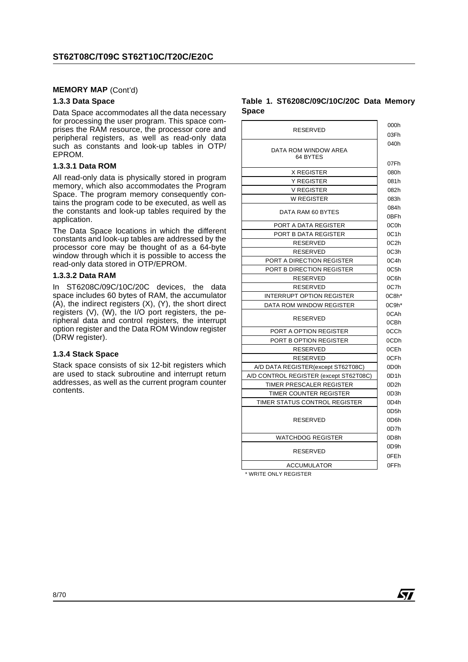#### **MEMORY MAP** (Cont'd)

#### **1.3.3 Data Space**

Data Space accommodates all the data necessary for processing the user program. This space comprises the RAM resource, the processor core and peripheral registers, as well as read-only data such as constants and look-up tables in OTP/ EPROM.

#### **1.3.3.1 Data ROM**

All read-only data is physically stored in program memory, which also accommodates the Program Space. The program memory consequently contains the program code to be executed, as well as the constants and look-up tables required by the application.

The Data Space locations in which the different constants and look-up tables are addressed by the processor core may be thought of as a 64-byte window through which it is possible to access the read-only data stored in OTP/EPROM.

#### **1.3.3.2 Data RAM**

In ST6208C/09C/10C/20C devices, the data space includes 60 bytes of RAM, the accumulator  $(A)$ , the indirect registers  $(X)$ ,  $(Y)$ , the short direct registers (V), (W), the I/O port registers, the peripheral data and control registers, the interrupt option register and the Data ROM Window register (DRW register).

#### **1.3.4 Stack Space**

Stack space consists of six 12-bit registers which are used to stack subroutine and interrupt return addresses, as well as the current program counter contents.

#### **Table 1. ST6208C/09C/10C/20C Data Memory Space**

| <b>RESERVED</b>                        | 000h              |
|----------------------------------------|-------------------|
|                                        | 03Fh              |
| DATA ROM WINDOW AREA<br>64 BYTES       | 040h              |
|                                        | 07Fh              |
| <b>X REGISTER</b>                      | 080h              |
| <b>Y REGISTER</b>                      | 081h              |
| <b>V REGISTER</b>                      | 082h              |
| <b>W REGISTER</b>                      | 083h              |
| DATA RAM 60 BYTES                      | 084h<br>0BFh      |
| PORT A DATA REGISTER                   | 0C <sub>0</sub> h |
| PORT B DATA REGISTER                   | 0C1h              |
| <b>RESERVED</b>                        | 0C2h              |
| <b>RESERVED</b>                        | 0C3h              |
| PORT A DIRECTION REGISTER              | 0C4h              |
| PORT B DIRECTION REGISTER              | 0C5h              |
| RESERVED                               | 0C6h              |
| RESERVED                               | 0C7h              |
| <b>INTERRUPT OPTION REGISTER</b>       | $0C8h*$           |
| DATA ROM WINDOW REGISTER               | $0C9h*$           |
| <b>RESERVED</b>                        | 0CAh<br>0CBh      |
| PORT A OPTION REGISTER                 | 0CCh              |
| PORT B OPTION REGISTER                 | 0CDh              |
| <b>RESERVED</b>                        | 0CEh              |
| RESERVED                               | 0CFh              |
| A/D DATA REGISTER(except ST62T08C)     | 0D <sub>0</sub> h |
| A/D CONTROL REGISTER (except ST62T08C) | 0D1h              |
| TIMER PRESCALER REGISTER               | 0D <sub>2</sub> h |
| TIMER COUNTER REGISTER                 | 0D3h              |
| TIMER STATUS CONTROL REGISTER          | 0D4h              |
|                                        | 0D <sub>5</sub> h |
| RESERVED                               | 0D <sub>6</sub> h |
|                                        | 0D7h              |
| <b>WATCHDOG REGISTER</b>               | 0D <sub>8</sub> h |
|                                        | 0D9h              |
| RESERVED                               | 0FE <sub>h</sub>  |
| <b>ACCUMULATOR</b>                     | 0FFh              |
|                                        |                   |

**ST** 

\* WRITE ONLY REGISTER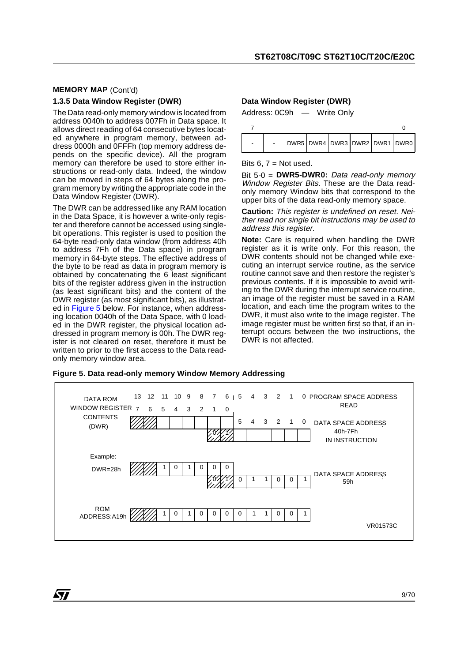#### **MEMORY MAP** (Cont'd) **1.3.5 Data Window Register (DWR)**

The Data read-only memory window is located from address 0040h to address 007Fh in Data space. It allows direct reading of 64 consecutive bytes located anywhere in program memory, between address 0000h and 0FFFh (top memory address depends on the specific device). All the program memory can therefore be used to store either instructions or read-only data. Indeed, the window can be moved in steps of 64 bytes along the program memory by writing the appropriate code in the Data Window Register (DWR).

The DWR can be addressed like any RAM location in the Data Space, it is however a write-only register and therefore cannot be accessed using singlebit operations. This register is used to position the 64-byte read-only data window (from address 40h to address 7Fh of the Data space) in program memory in 64-byte steps. The effective address of the byte to be read as data in program memory is obtained by concatenating the 6 least significant bits of the register address given in the instruction (as least significant bits) and the content of the DWR register (as most significant bits), as illustrated in Figure 5 below. For instance, when addressing location 0040h of the Data Space, with 0 loaded in the DWR register, the physical location addressed in program memory is 00h. The DWR register is not cleared on reset, therefore it must be written to prior to the first access to the Data readonly memory window area.

ki

## **Data Window Register (DWR)** Address: 0C9h — Write Only



Bits  $6, 7$  = Not used.

Bit 5-0 = **DWR5-DWR0:** Data read-only memory Window Register Bits. These are the Data readonly memory Window bits that correspond to the upper bits of the data read-only memory space.

**Caution:** This register is undefined on reset. Neither read nor single bit instructions may be used to address this register.

**Note:** Care is required when handling the DWR register as it is write only. For this reason, the DWR contents should not be changed while executing an interrupt service routine, as the service routine cannot save and then restore the register's previous contents. If it is impossible to avoid writing to the DWR during the interrupt service routine, an image of the register must be saved in a RAM location, and each time the program writes to the DWR, it must also write to the image register. The image register must be written first so that, if an interrupt occurs between the two instructions, the DWR is not affected.

DATA ROM WINDOW REGISTER CONTENTS DATA SPACE ADDRESS 40h-7Fh IN INSTRUCTION 0 PROGRAM SPACE ADDRESS 765432 0 543210 543210 1 0 READ 11 10 9 8 7 6 07Z1 VR01573C 12 1 0 1 0 0 0 DATA SPACE ADDRESS : 59h 0 | 1 | 1 | 0 | 0 | 1  $0 \mid 1$ Example: (DWR) DWR=28h 1 1 <sup>000</sup> 0 0 0 0 <sup>1</sup> ROM ROM<br>ADDRESS:A19h 22222 1 0 1 0 1 0 0 0 1 1 1 0 0 1 13 ัด

**Figure 5. Data read-only memory Window Memory Addressing**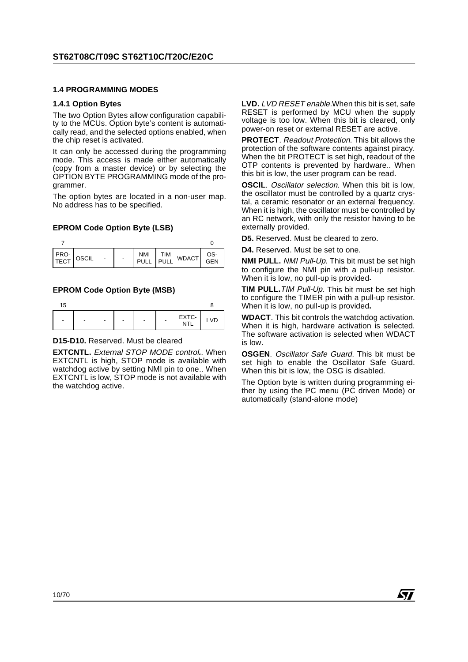#### **1.4 PROGRAMMING MODES**

#### **1.4.1 Option Bytes**

The two Option Bytes allow configuration capability to the MCUs. Option byte's content is automatically read, and the selected options enabled, when the chip reset is activated.

It can only be accessed during the programming mode. This access is made either automatically (copy from a master device) or by selecting the OPTION BYTE PROGRAMMING mode of the programmer.

The option bytes are located in a non-user map. No address has to be specified.

#### **EPROM Code Option Byte (LSB)**

| PRO-<br>TECT OSCIL |  |  | NMI   TIM<br>PULL   PULL WDACT | OS-<br>GEN |
|--------------------|--|--|--------------------------------|------------|

#### **EPROM Code Option Byte (MSB)**

| 15             |   |                          |   |   |                |       |    |
|----------------|---|--------------------------|---|---|----------------|-------|----|
| $\blacksquare$ | - | $\overline{\phantom{0}}$ | - | - | $\blacksquare$ | EXTC- | ٧D |

#### **D15-D10.** Reserved. Must be cleared

**EXTCNTL.** External STOP MODE control**.**. When EXTCNTL is high, STOP mode is available with watchdog active by setting NMI pin to one.. When EXTCNTL is low, STOP mode is not available with the watchdog active.

LVD. LVD RESET enable.When this bit is set, safe RESET is performed by MCU when the supply voltage is too low. When this bit is cleared, only power-on reset or external RESET are active.

**PROTECT**. Readout Protection. This bit allows the protection of the software contents against piracy. When the bit PROTECT is set high, readout of the OTP contents is prevented by hardware.. When this bit is low, the user program can be read.

**OSCIL**. Oscillator selection. When this bit is low, the oscillator must be controlled by a quartz crystal, a ceramic resonator or an external frequency. When it is high, the oscillator must be controlled by an RC network, with only the resistor having to be externally provided.

**D5.** Reserved. Must be cleared to zero.

**D4.** Reserved. Must be set to one.

**NMI PULL.** NMI Pull-Up. This bit must be set high to configure the NMI pin with a pull-up resistor. When it is low, no pull-up is provided**.**

**TIM PULL.**TIM Pull-Up. This bit must be set high to configure the TIMER pin with a pull-up resistor. When it is low, no pull-up is provided**.**

**WDACT**. This bit controls the watchdog activation. When it is high, hardware activation is selected. The software activation is selected when WDACT is low.

**OSGEN**. Oscillator Safe Guard. This bit must be set high to enable the Oscillator Safe Guard. When this bit is low, the OSG is disabled.

The Option byte is written during programming either by using the PC menu (PC driven Mode) or automatically (stand-alone mode)

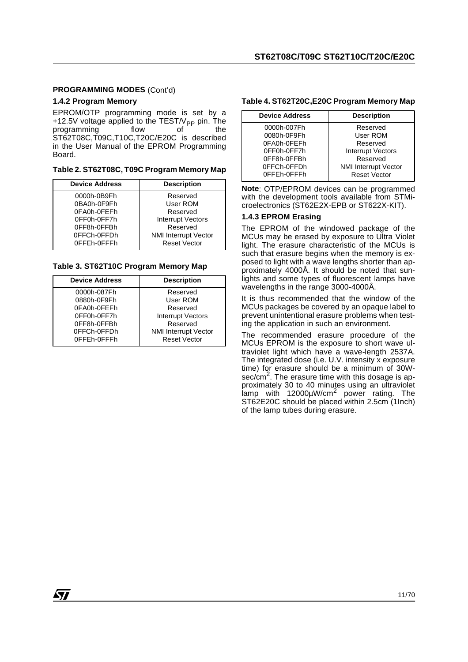#### **PROGRAMMING MODES** (Cont'd)

#### **1.4.2 Program Memory**

EPROM/OTP programming mode is set by a +12.5V voltage applied to the TEST/V<sub>PP</sub> pin. The programming the flow programming ST62T08C,T09C,T10C,T20C/E20C is described in the User Manual of the EPROM Programming Board.

#### **Table 2. ST62T08C, T09C Program Memory Map**

| <b>Device Address</b> | <b>Description</b>          |
|-----------------------|-----------------------------|
| 0000h-0B9Fh           | Reserved                    |
| 0BA0h-0F9Fh           | User ROM                    |
| 0FA0h-0FEFh           | Reserved                    |
| 0FF0h-0FF7h           | Interrupt Vectors           |
| 0FF8h-0FFBh           | Reserved                    |
| 0FFCh-0FFDh           | <b>NMI Interrupt Vector</b> |
| 0FFEh-0FFFh           | <b>Reset Vector</b>         |
|                       |                             |

#### **Table 3. ST62T10C Program Memory Map**

| <b>Device Address</b> | <b>Description</b>          |
|-----------------------|-----------------------------|
| 0000h-087Fh           | Reserved                    |
| 0880h-0F9Fh           | User ROM                    |
| 0FA0h-0FEFh           | Reserved                    |
| 0FF0h-0FF7h           | Interrupt Vectors           |
| 0FF8h-0FFBh           | Reserved                    |
| 0FFCh-0FFDh           | <b>NMI Interrupt Vector</b> |
| 0FFEh-0FFFh           | <b>Reset Vector</b>         |

#### **Table 4. ST62T20C,E20C Program Memory Map**

| <b>Device Address</b> | <b>Description</b>          |
|-----------------------|-----------------------------|
| 0000h-007Fh           | Reserved                    |
| 0080h-0F9Fh           | User ROM                    |
| 0FA0h-0FEFh           | Reserved                    |
| 0FF0h-0FF7h           | <b>Interrupt Vectors</b>    |
| 0FF8h-0FFBh           | Reserved                    |
| 0FFCh-0FFDh           | <b>NMI Interrupt Vector</b> |
| 0FFEh-0FFFh           | <b>Reset Vector</b>         |

**Note**: OTP/EPROM devices can be programmed with the development tools available from STMicroelectronics (ST62E2X-EPB or ST622X-KIT).

#### **1.4.3 EPROM Erasing**

The EPROM of the windowed package of the MCUs may be erased by exposure to Ultra Violet light. The erasure characteristic of the MCUs is such that erasure begins when the memory is exposed to light with a wave lengths shorter than approximately 4000Å. It should be noted that sunlights and some types of fluorescent lamps have wavelengths in the range 3000-4000Å.

It is thus recommended that the window of the MCUs packages be covered by an opaque label to prevent unintentional erasure problems when testing the application in such an environment.

The recommended erasure procedure of the MCUs EPROM is the exposure to short wave ultraviolet light which have a wave-length 2537A. The integrated dose (i.e. U.V. intensity x exposure time) for erasure should be a minimum of 30Wsec/cm<sup>2</sup>. The erasure time with this dosage is approximately 30 to 40 minutes using an ultraviolet lamp with 12000µW/cm<sup>2</sup> power rating. The ST62E20C should be placed within 2.5cm (1Inch) of the lamp tubes during erasure.

*sti*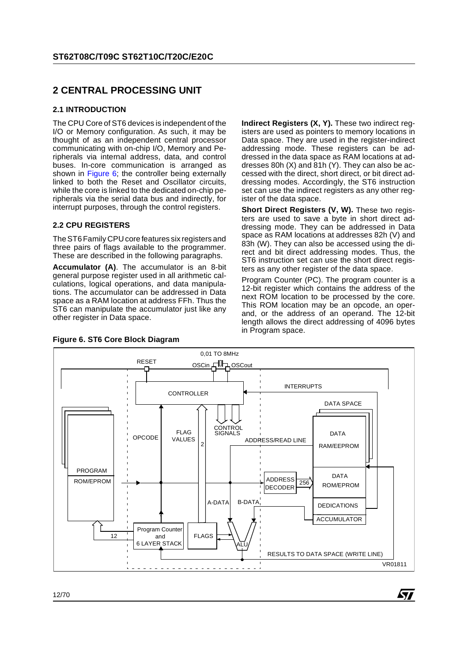## **2 CENTRAL PROCESSING UNIT**

#### **2.1 INTRODUCTION**

The CPU Core of ST6 devices is independent of the I/O or Memory configuration. As such, it may be thought of as an independent central processor communicating with on-chip I/O, Memory and Peripherals via internal address, data, and control buses. In-core communication is arranged as shown in Figure 6; the controller being externally linked to both the Reset and Oscillator circuits, while the core is linked to the dedicated on-chip peripherals via the serial data bus and indirectly, for interrupt purposes, through the control registers.

#### **2.2 CPU REGISTERS**

The ST6 Family CPU core features six registers and three pairs of flags available to the programmer. These are described in the following paragraphs.

**Accumulator (A)**. The accumulator is an 8-bit general purpose register used in all arithmetic calculations, logical operations, and data manipulations. The accumulator can be addressed in Data space as a RAM location at address FFh. Thus the ST6 can manipulate the accumulator just like any other register in Data space.

**Indirect Registers (X, Y).** These two indirect registers are used as pointers to memory locations in Data space. They are used in the register-indirect addressing mode. These registers can be addressed in the data space as RAM locations at addresses 80h (X) and 81h (Y). They can also be accessed with the direct, short direct, or bit direct addressing modes. Accordingly, the ST6 instruction set can use the indirect registers as any other register of the data space.

**Short Direct Registers (V, W).** These two registers are used to save a byte in short direct addressing mode. They can be addressed in Data space as RAM locations at addresses 82h (V) and 83h (W). They can also be accessed using the direct and bit direct addressing modes. Thus, the ST6 instruction set can use the short direct registers as any other register of the data space.

Program Counter (PC). The program counter is a 12-bit register which contains the address of the next ROM location to be processed by the core. This ROM location may be an opcode, an operand, or the address of an operand. The 12-bit length allows the direct addressing of 4096 bytes in Program space.

**S77** 



#### **Figure 6. ST6 Core Block Diagram**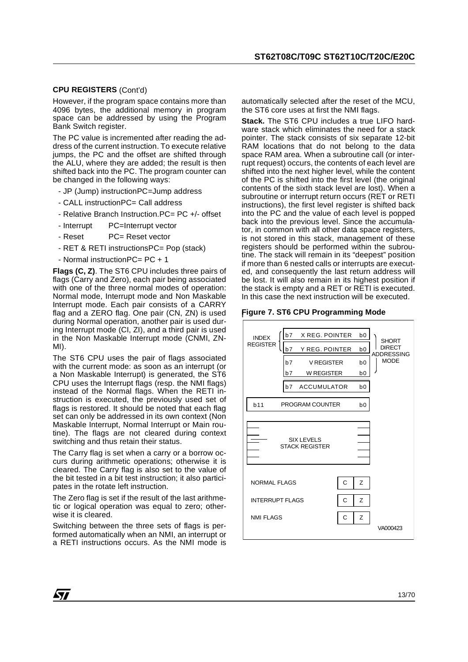#### **CPU REGISTERS** (Cont'd)

However, if the program space contains more than 4096 bytes, the additional memory in program space can be addressed by using the Program Bank Switch register.

The PC value is incremented after reading the address of the current instruction. To execute relative jumps, the PC and the offset are shifted through the ALU, where they are added; the result is then shifted back into the PC. The program counter can be changed in the following ways:

- JP (Jump) instructionPC=Jump address
- CALL instructionPC= Call address
- Relative Branch Instruction.PC= PC +/- offset
- Interrupt PC=Interrupt vector
- Reset PC= Reset vector
- RET & RETI instructionsPC= Pop (stack)
- Normal instructionPC= PC + 1

**Flags (C, Z)**. The ST6 CPU includes three pairs of flags (Carry and Zero), each pair being associated with one of the three normal modes of operation: Normal mode, Interrupt mode and Non Maskable Interrupt mode. Each pair consists of a CARRY flag and a ZERO flag. One pair (CN, ZN) is used during Normal operation, another pair is used during Interrupt mode (CI, ZI), and a third pair is used in the Non Maskable Interrupt mode (CNMI, ZN-MI).

The ST6 CPU uses the pair of flags associated with the current mode: as soon as an interrupt (or a Non Maskable Interrupt) is generated, the ST6 CPU uses the Interrupt flags (resp. the NMI flags) instead of the Normal flags. When the RETI instruction is executed, the previously used set of flags is restored. It should be noted that each flag set can only be addressed in its own context (Non Maskable Interrupt, Normal Interrupt or Main routine). The flags are not cleared during context switching and thus retain their status.

The Carry flag is set when a carry or a borrow occurs during arithmetic operations; otherwise it is cleared. The Carry flag is also set to the value of the bit tested in a bit test instruction; it also participates in the rotate left instruction.

The Zero flag is set if the result of the last arithmetic or logical operation was equal to zero; otherwise it is cleared.

Switching between the three sets of flags is performed automatically when an NMI, an interrupt or a RETI instructions occurs. As the NMI mode is

automatically selected after the reset of the MCU, the ST6 core uses at first the NMI flags.

**Stack.** The ST6 CPU includes a true LIFO hardware stack which eliminates the need for a stack pointer. The stack consists of six separate 12-bit RAM locations that do not belong to the data space RAM area. When a subroutine call (or interrupt request) occurs, the contents of each level are shifted into the next higher level, while the content of the PC is shifted into the first level (the original contents of the sixth stack level are lost). When a subroutine or interrupt return occurs (RET or RETI instructions), the first level register is shifted back into the PC and the value of each level is popped back into the previous level. Since the accumulator, in common with all other data space registers, is not stored in this stack, management of these registers should be performed within the subroutine. The stack will remain in its "deepest" position if more than 6 nested calls or interrupts are executed, and consequently the last return address will be lost. It will also remain in its highest position if the stack is empty and a RET or RETI is executed. In this case the next instruction will be executed.

#### **Figure 7. ST6 CPU Programming Mode**

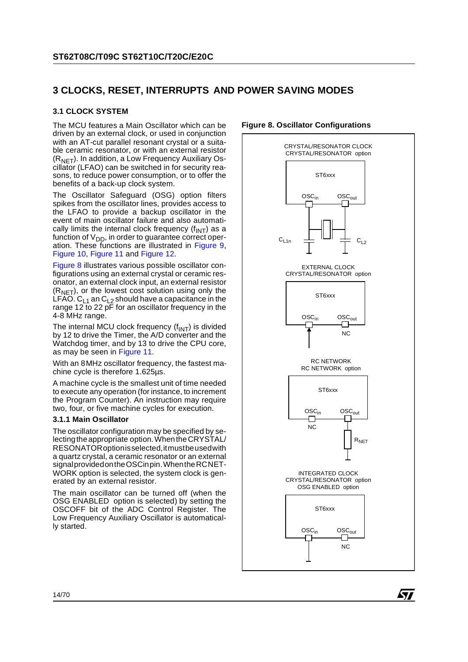## **3 CLOCKS, RESET, INTERRUPTS AND POWER SAVING MODES**

#### **3.1 CLOCK SYSTEM**

The MCU features a Main Oscillator which can be driven by an external clock, or used in conjunction with an AT-cut parallel resonant crystal or a suitable ceramic resonator, or with an external resistor  $(R<sub>NET</sub>)$ . In addition, a Low Frequency Auxiliary Oscillator (LFAO) can be switched in for security reasons, to reduce power consumption, or to offer the benefits of a back-up clock system.

The Oscillator Safeguard (OSG) option filters spikes from the oscillator lines, provides access to the LFAO to provide a backup oscillator in the event of main oscillator failure and also automatically limits the internal clock frequency  $(f<sub>INT</sub>)$  as a function of  $V_{DD}$ , in order to guarantee correct operation. These functions are illustrated in Figure 9, Figure 10, Figure 11 and Figure 12.

Figure 8 illustrates various possible oscillator configurations using an external crystal or ceramic resonator, an external clock input, an external resistor  $(R<sub>NET</sub>)$ , or the lowest cost solution using only the LFAO. C<sub>L1</sub> an C<sub>L2</sub> should have a capacitance in the range 12 to 22 pF for an oscillator frequency in the 4-8 MHz range.

The internal MCU clock frequency  $(f_{INT})$  is divided by 12 to drive the Timer, the A/D converter and the Watchdog timer, and by 13 to drive the CPU core, as may be seen in Figure 11.

With an 8MHz oscillator frequency, the fastest machine cycle is therefore 1.625µs.

A machine cycle is the smallest unit of time needed to execute any operation (for instance, to increment the Program Counter). An instruction may require two, four, or five machine cycles for execution.

#### **3.1.1 Main Oscillator**

The oscillator configuration may be specified by selecting the appropriate option. When the CRYSTAL/ RESONATOR option is selected, it must be used with a quartz crystal, a ceramic resonator or an external signal provided on the OSCin pin. When the RC NET-WORK option is selected, the system clock is generated by an external resistor.

The main oscillator can be turned off (when the OSG ENABLED option is selected) by setting the OSCOFF bit of the ADC Control Register. The Low Frequency Auxiliary Oscillator is automatically started.



#### **Figure 8. Oscillator Configurations**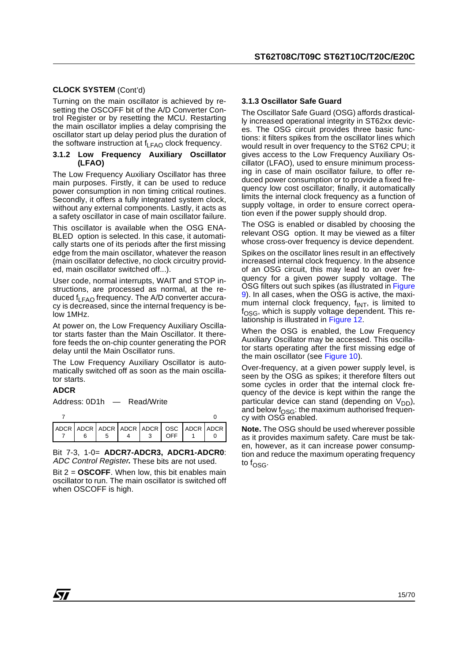#### **CLOCK SYSTEM** (Cont'd)

Turning on the main oscillator is achieved by resetting the OSCOFF bit of the A/D Converter Control Register or by resetting the MCU. Restarting the main oscillator implies a delay comprising the oscillator start up delay period plus the duration of the software instruction at  $f_{LFAO}$  clock frequency.

#### **3.1.2 Low Frequency Auxiliary Oscillator (LFAO)**

The Low Frequency Auxiliary Oscillator has three main purposes. Firstly, it can be used to reduce power consumption in non timing critical routines. Secondly, it offers a fully integrated system clock, without any external components. Lastly, it acts as a safety oscillator in case of main oscillator failure.

This oscillator is available when the OSG ENA-BLED option is selected. In this case, it automatically starts one of its periods after the first missing edge from the main oscillator, whatever the reason (main oscillator defective, no clock circuitry provided, main oscillator switched off...).

User code, normal interrupts, WAIT and STOP instructions, are processed as normal, at the reduced f<sub>LFAO</sub> frequency. The A/D converter accuracy is decreased, since the internal frequency is below 1MHz.

At power on, the Low Frequency Auxiliary Oscillator starts faster than the Main Oscillator. It therefore feeds the on-chip counter generating the POR delay until the Main Oscillator runs.

The Low Frequency Auxiliary Oscillator is automatically switched off as soon as the main oscillator starts.

#### **ADCR**

Address: 0D1h — Read/Write

|  |  | $I$ OFF $I$ | ADCR ADCR ADCR ADCR ADCR OSC ADCR ADCR |
|--|--|-------------|----------------------------------------|

Bit 7-3, 1-0= **ADCR7-ADCR3, ADCR1-ADCR0**: ADC Control Register**.** These bits are not used.

Bit 2 = **OSCOFF**. When low, this bit enables main oscillator to run. The main oscillator is switched off when OSCOFF is high.

#### **3.1.3 Oscillator Safe Guard**

The Oscillator Safe Guard (OSG) affords drastically increased operational integrity in ST62xx devices. The OSG circuit provides three basic functions: it filters spikes from the oscillator lines which would result in over frequency to the ST62 CPU; it gives access to the Low Frequency Auxiliary Oscillator (LFAO), used to ensure minimum processing in case of main oscillator failure, to offer reduced power consumption or to provide a fixed frequency low cost oscillator; finally, it automatically limits the internal clock frequency as a function of supply voltage, in order to ensure correct operation even if the power supply should drop.

The OSG is enabled or disabled by choosing the relevant OSG option. It may be viewed as a filter whose cross-over frequency is device dependent.

Spikes on the oscillator lines result in an effectively increased internal clock frequency. In the absence of an OSG circuit, this may lead to an over frequency for a given power supply voltage. The OSG filters out such spikes (as illustrated in Figure 9). In all cases, when the OSG is active, the maximum internal clock frequency,  $f_{\text{INT}}$ , is limited to  $f<sub>OSG</sub>$ , which is supply voltage dependent. This relationship is illustrated in Figure 12.

When the OSG is enabled, the Low Frequency Auxiliary Oscillator may be accessed. This oscillator starts operating after the first missing edge of the main oscillator (see Figure 10).

Over-frequency, at a given power supply level, is seen by the OSG as spikes; it therefore filters out some cycles in order that the internal clock frequency of the device is kept within the range the particular device can stand (depending on  $V_{DD}$ ), and below  $f_{OSG}$ : the maximum authorised frequency with OSG enabled.

**Note.** The OSG should be used wherever possible as it provides maximum safety. Care must be taken, however, as it can increase power consumption and reduce the maximum operating frequency to  $f_{\text{OSG}}$ .

57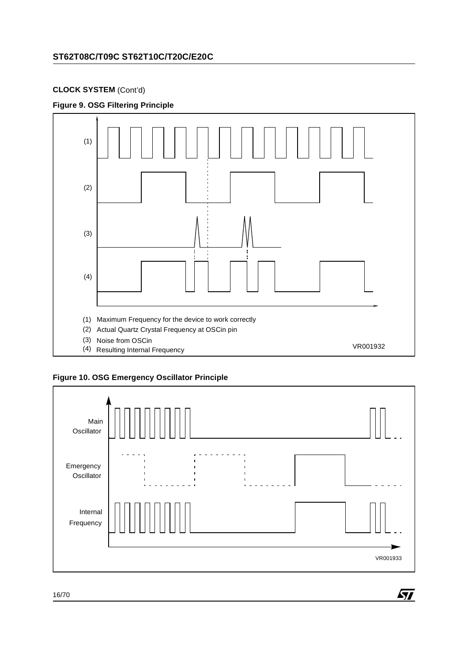## **CLOCK SYSTEM** (Cont'd)









 $\sqrt{M}$ 

16/70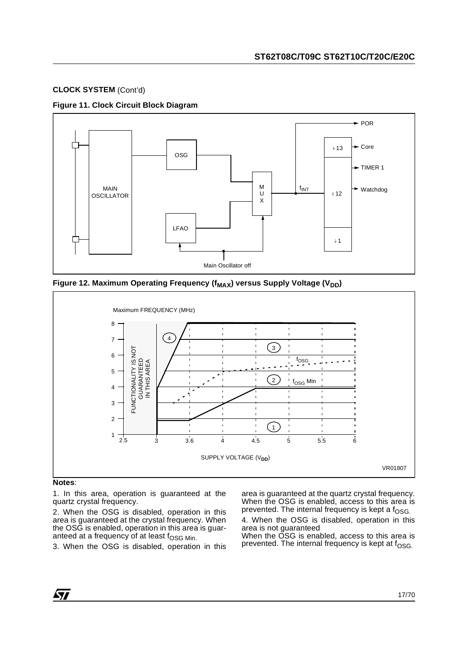## **CLOCK SYSTEM** (Cont'd)

#### **Figure 11. Clock Circuit Block Diagram**



Figure 12. Maximum Operating Frequency (f<sub>MAX</sub>) versus Supply Voltage (V<sub>DD</sub>)



#### **Notes**:

1. In this area, operation is guaranteed at the quartz crystal frequency.

2. When the OSG is disabled, operation in this area is guaranteed at the crystal frequency. When the OSG is enabled, operation in this area is guaranteed at a frequency of at least  $f_{\rm OSG Min.}$ 

3. When the OSG is disabled, operation in this

area is guaranteed at the quartz crystal frequency. When the OSG is enabled, access to this area is prevented. The internal frequency is kept a  $f<sub>OSG</sub>$ .

4. When the OSG is disabled, operation in this area is not guaranteed

When the OSG is enabled, access to this area is prevented. The internal frequency is kept at  $f_{\text{OSG}}$ .

*ST*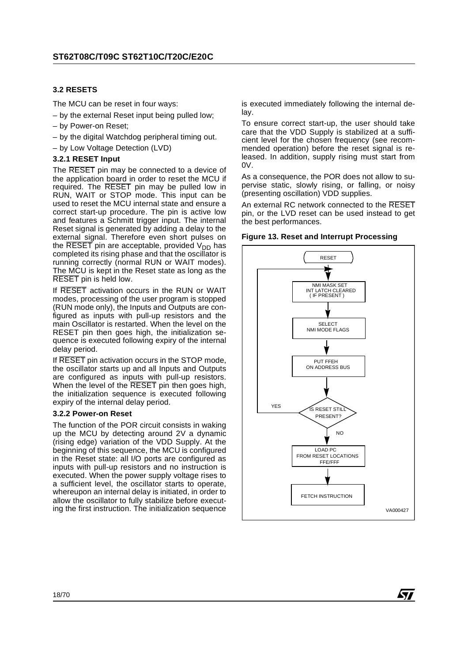#### **3.2 RESETS**

The MCU can be reset in four ways:

- by the external Reset input being pulled low;
- by Power-on Reset;
- by the digital Watchdog peripheral timing out.
- by Low Voltage Detection (LVD)

#### **3.2.1 RESET Input**

The RESET pin may be connected to a device of the application board in order to reset the MCU if required. The RESET pin may be pulled low in RUN, WAIT or STOP mode. This input can be used to reset the MCU internal state and ensure a correct start-up procedure. The pin is active low and features a Schmitt trigger input. The internal Reset signal is generated by adding a delay to the external signal. Therefore even short pulses on the RESET pin are acceptable, provided  $V_{DD}$  has completed its rising phase and that the oscillator is running correctly (normal RUN or WAIT modes). The MCU is kept in the Reset state as long as the RESET pin is held low.

If RESET activation occurs in the RUN or WAIT modes, processing of the user program is stopped (RUN mode only), the Inputs and Outputs are configured as inputs with pull-up resistors and the main Oscillator is restarted. When the level on the RESET pin then goes high, the initialization sequence is executed following expiry of the internal delay period.

If RESET pin activation occurs in the STOP mode, the oscillator starts up and all Inputs and Outputs are configured as inputs with pull-up resistors. When the level of the RESET pin then goes high, the initialization sequence is executed following expiry of the internal delay period.

#### **3.2.2 Power-on Reset**

The function of the POR circuit consists in waking up the MCU by detecting around 2V a dynamic (rising edge) variation of the VDD Supply. At the beginning of this sequence, the MCU is configured in the Reset state: all I/O ports are configured as inputs with pull-up resistors and no instruction is executed. When the power supply voltage rises to a sufficient level, the oscillator starts to operate, whereupon an internal delay is initiated, in order to allow the oscillator to fully stabilize before executing the first instruction. The initialization sequence

is executed immediately following the internal delay.

To ensure correct start-up, the user should take care that the VDD Supply is stabilized at a sufficient level for the chosen frequency (see recommended operation) before the reset signal is released. In addition, supply rising must start from  $0V<sub>1</sub>$ 

As a consequence, the POR does not allow to supervise static, slowly rising, or falling, or noisy (presenting oscillation) VDD supplies.

An external RC network connected to the RESET pin, or the LVD reset can be used instead to get the best performances.





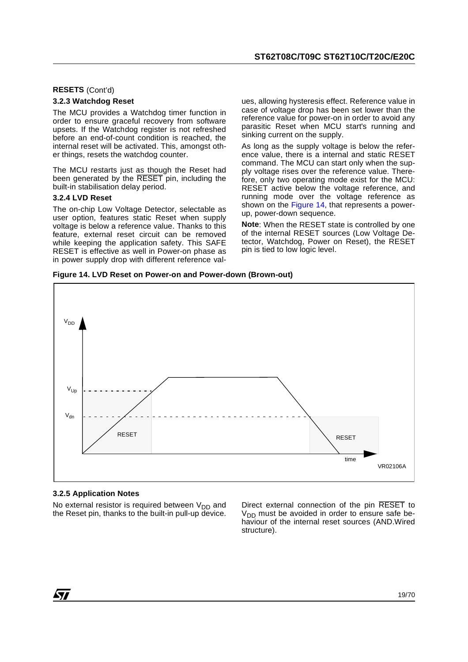#### **RESETS** (Cont'd)

#### **3.2.3 Watchdog Reset**

The MCU provides a Watchdog timer function in order to ensure graceful recovery from software upsets. If the Watchdog register is not refreshed before an end-of-count condition is reached, the internal reset will be activated. This, amongst other things, resets the watchdog counter.

The MCU restarts just as though the Reset had been generated by the RESET pin, including the built-in stabilisation delay period.

#### **3.2.4 LVD Reset**

The on-chip Low Voltage Detector, selectable as user option, features static Reset when supply voltage is below a reference value. Thanks to this feature, external reset circuit can be removed while keeping the application safety. This SAFE RESET is effective as well in Power-on phase as in power supply drop with different reference values, allowing hysteresis effect. Reference value in case of voltage drop has been set lower than the reference value for power-on in order to avoid any parasitic Reset when MCU start's running and sinking current on the supply.

As long as the supply voltage is below the reference value, there is a internal and static RESET command. The MCU can start only when the supply voltage rises over the reference value. Therefore, only two operating mode exist for the MCU: RESET active below the voltage reference, and running mode over the voltage reference as shown on the Figure 14, that represents a powerup, power-down sequence.

**Note**: When the RESET state is controlled by one of the internal RESET sources (Low Voltage Detector, Watchdog, Power on Reset), the RESET pin is tied to low logic level.

**Figure 14. LVD Reset on Power-on and Power-down (Brown-out)**



#### **3.2.5 Application Notes**

No external resistor is required between  $V_{DD}$  and the Reset pin, thanks to the built-in pull-up device.

Direct external connection of the pin RESET to  $V<sub>DD</sub>$  must be avoided in order to ensure safe behaviour of the internal reset sources (AND.Wired structure).

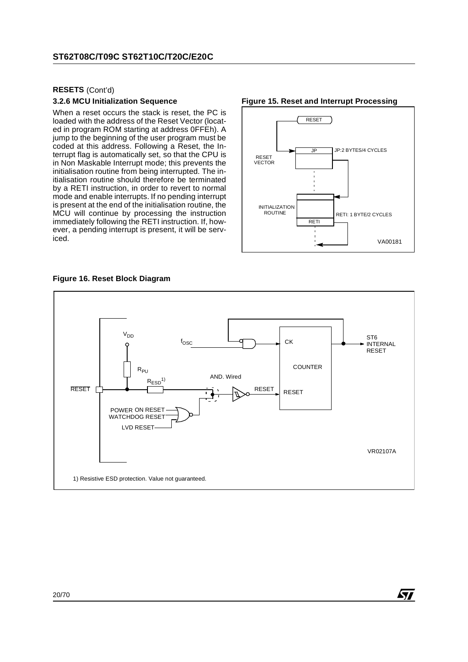#### **RESETS** (Cont'd)

#### **3.2.6 MCU Initialization Sequence**

When a reset occurs the stack is reset, the PC is loaded with the address of the Reset Vector (located in program ROM starting at address 0FFEh). A jump to the beginning of the user program must be coded at this address. Following a Reset, the Interrupt flag is automatically set, so that the CPU is in Non Maskable Interrupt mode; this prevents the initialisation routine from being interrupted. The initialisation routine should therefore be terminated by a RETI instruction, in order to revert to normal mode and enable interrupts. If no pending interrupt is present at the end of the initialisation routine, the MCU will continue by processing the instruction immediately following the RETI instruction. If, however, a pending interrupt is present, it will be serviced.



**ST** 

#### **Figure 15. Reset and Interrupt Processing**

#### **Figure 16. Reset Block Diagram**

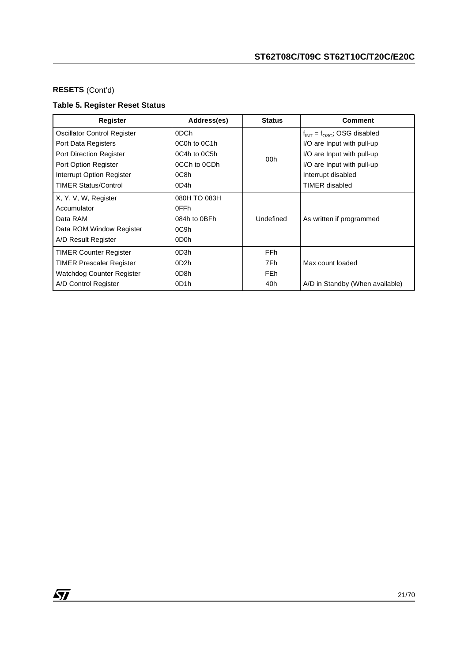## **RESETS** (Cont'd)

## **Table 5. Register Reset Status**

| Register                           | Address(es)       | <b>Status</b>   | <b>Comment</b>                     |
|------------------------------------|-------------------|-----------------|------------------------------------|
| <b>Oscillator Control Register</b> | 0DCh              |                 | $f_{INT} = f_{OSC}$ ; OSG disabled |
| Port Data Registers                | 0C0h to 0C1h      |                 | I/O are Input with pull-up         |
| Port Direction Register            | 0C4h to 0C5h      | 00 <sub>h</sub> | I/O are Input with pull-up         |
| Port Option Register               | 0CCh to 0CDh      |                 | I/O are Input with pull-up         |
| Interrupt Option Register          | 0C8h              |                 | Interrupt disabled                 |
| <b>TIMER Status/Control</b>        | 0D4h              |                 | <b>TIMER</b> disabled              |
| X, Y, V, W, Register               | 080H TO 083H      |                 |                                    |
| Accumulator                        | 0FFh              |                 |                                    |
| Data RAM                           | 084h to 0BFh      | Undefined       | As written if programmed           |
| Data ROM Window Register           | 0C9h              |                 |                                    |
| A/D Result Register                | 0D <sub>0</sub> h |                 |                                    |
| <b>TIMER Counter Register</b>      | 0D3h              | FF <sub>h</sub> |                                    |
| TIMER Prescaler Register           | 0D <sub>2</sub> h | 7Fh             | Max count loaded                   |
| Watchdog Counter Register          | 0D <sub>8</sub> h | FE <sub>h</sub> |                                    |
| A/D Control Register               | 0D <sub>1</sub> h | 40h             | A/D in Standby (When available)    |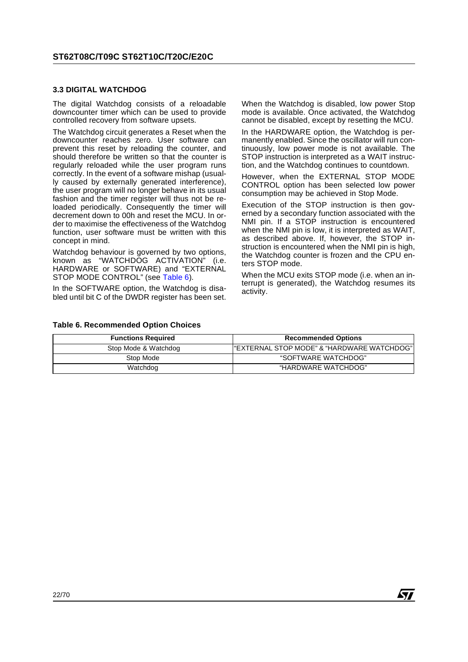#### **3.3 DIGITAL WATCHDOG**

The digital Watchdog consists of a reloadable downcounter timer which can be used to provide controlled recovery from software upsets.

The Watchdog circuit generates a Reset when the downcounter reaches zero. User software can prevent this reset by reloading the counter, and should therefore be written so that the counter is regularly reloaded while the user program runs correctly. In the event of a software mishap (usually caused by externally generated interference), the user program will no longer behave in its usual fashion and the timer register will thus not be reloaded periodically. Consequently the timer will decrement down to 00h and reset the MCU. In order to maximise the effectiveness of the Watchdog function, user software must be written with this concept in mind.

Watchdog behaviour is governed by two options, known as "WATCHDOG ACTIVATION" (i.e. HARDWARE or SOFTWARE) and "EXTERNAL STOP MODE CONTROL" (see Table 6).

In the SOFTWARE option, the Watchdog is disabled until bit C of the DWDR register has been set. When the Watchdog is disabled, low power Stop mode is available. Once activated, the Watchdog cannot be disabled, except by resetting the MCU.

In the HARDWARE option, the Watchdog is permanently enabled. Since the oscillator will run continuously, low power mode is not available. The STOP instruction is interpreted as a WAIT instruction, and the Watchdog continues to countdown.

However, when the EXTERNAL STOP MODE CONTROL option has been selected low power consumption may be achieved in Stop Mode.

Execution of the STOP instruction is then governed by a secondary function associated with the NMI pin. If a STOP instruction is encountered when the NMI pin is low, it is interpreted as WAIT, as described above. If, however, the STOP instruction is encountered when the NMI pin is high, the Watchdog counter is frozen and the CPU enters STOP mode.

When the MCU exits STOP mode (i.e. when an interrupt is generated), the Watchdog resumes its activity.

#### **Table 6. Recommended Option Choices**

| <b>Functions Required</b> | <b>Recommended Options</b>                  |
|---------------------------|---------------------------------------------|
| Stop Mode & Watchdog      | l"EXTERNAL STOP MODE" & "HARDWARE WATCHDOG" |
| Stop Mode                 | "SOFTWARE WATCHDOG"                         |
| Watchdog                  | "HARDWARE WATCHDOG"                         |

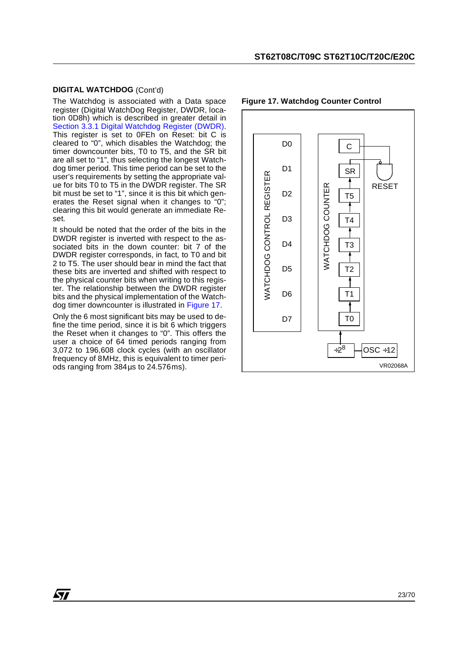#### **DIGITAL WATCHDOG** (Cont'd)

The Watchdog is associated with a Data space register (Digital WatchDog Register, DWDR, location 0D8h) which is described in greater detail in Section 3.3.1 Digital Watchdog Register (DWDR). This register is set to 0FEh on Reset: bit C is cleared to "0", which disables the Watchdog; the timer downcounter bits, T0 to T5, and the SR bit are all set to "1", thus selecting the longest Watchdog timer period. This time period can be set to the user's requirements by setting the appropriate value for bits T0 to T5 in the DWDR register. The SR bit must be set to "1", since it is this bit which generates the Reset signal when it changes to "0"; clearing this bit would generate an immediate Reset.

It should be noted that the order of the bits in the DWDR register is inverted with respect to the associated bits in the down counter: bit 7 of the DWDR register corresponds, in fact, to T0 and bit 2 to T5. The user should bear in mind the fact that these bits are inverted and shifted with respect to the physical counter bits when writing to this register. The relationship between the DWDR register bits and the physical implementation of the Watchdog timer downcounter is illustrated in Figure 17.

Only the 6 most significant bits may be used to define the time period, since it is bit 6 which triggers the Reset when it changes to "0". This offers the user a choice of 64 timed periods ranging from 3,072 to 196,608 clock cycles (with an oscillator frequency of 8MHz, this is equivalent to timer periods ranging from 384µs to 24.576ms).

*STI* 



#### **Figure 17. Watchdog Counter Control**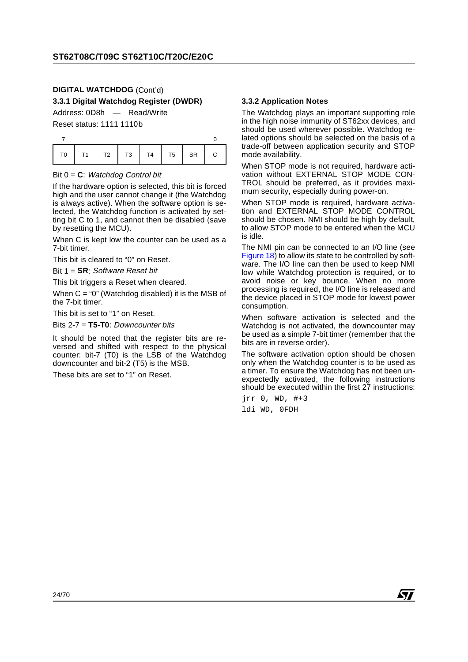## **DIGITAL WATCHDOG** (Cont'd)

**3.3.1 Digital Watchdog Register (DWDR)**

Address: 0D8h — Read/Write

Reset status: 1111 1110b

#### Bit 0 = **C**: Watchdog Control bit

If the hardware option is selected, this bit is forced high and the user cannot change it (the Watchdog is always active). When the software option is selected, the Watchdog function is activated by setting bit C to 1, and cannot then be disabled (save by resetting the MCU).

When C is kept low the counter can be used as a 7-bit timer.

This bit is cleared to "0" on Reset.

Bit 1 = **SR**: Software Reset bit

This bit triggers a Reset when cleared.

When  $C = "0"$  (Watchdog disabled) it is the MSB of the 7-bit timer.

This bit is set to "1" on Reset.

Bits 2-7 = **T5-T0**: Downcounter bits

It should be noted that the register bits are reversed and shifted with respect to the physical counter: bit-7 (T0) is the LSB of the Watchdog downcounter and bit-2 (T5) is the MSB.

These bits are set to "1" on Reset.

#### **3.3.2 Application Notes**

The Watchdog plays an important supporting role in the high noise immunity of ST62xx devices, and should be used wherever possible. Watchdog related options should be selected on the basis of a trade-off between application security and STOP mode availability.

When STOP mode is not required, hardware activation without EXTERNAL STOP MODE CON-TROL should be preferred, as it provides maximum security, especially during power-on.

When STOP mode is required, hardware activation and EXTERNAL STOP MODE CONTROL should be chosen. NMI should be high by default, to allow STOP mode to be entered when the MCU is idle.

The NMI pin can be connected to an I/O line (see Figure 18) to allow its state to be controlled by software. The I/O line can then be used to keep NMI low while Watchdog protection is required, or to avoid noise or key bounce. When no more processing is required, the I/O line is released and the device placed in STOP mode for lowest power consumption.

When software activation is selected and the Watchdog is not activated, the downcounter may be used as a simple 7-bit timer (remember that the bits are in reverse order).

The software activation option should be chosen only when the Watchdog counter is to be used as a timer. To ensure the Watchdog has not been unexpectedly activated, the following instructions should be executed within the first 27 instructions:

jrr 0, WD, #+3 ldi WD, 0FDH

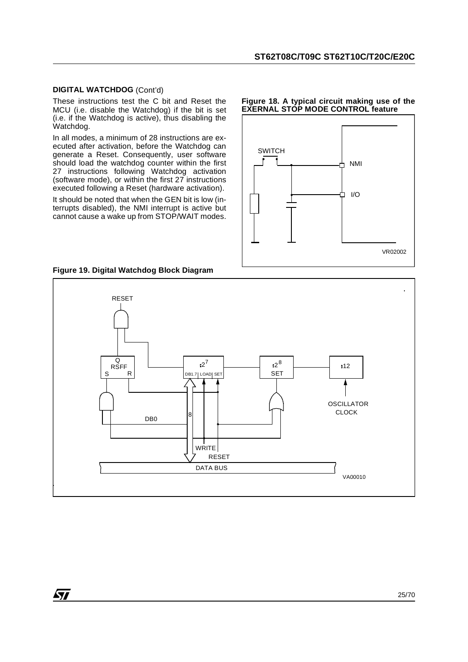#### **DIGITAL WATCHDOG** (Cont'd)

These instructions test the C bit and Reset the MCU (i.e. disable the Watchdog) if the bit is set  $(i.e.$  if the Watchdog is active), thus disabling the Watchdog.

In all modes, a minimum of 28 instructions are executed after activation, before the Watchdog can generate a Reset. Consequently, user software should load the watchdog counter within the first 27 instructions following Watchdog activation (software mode), or within the first 27 instructions executed following a Reset (hardware activation).

It should be noted that when the GEN bit is low (interrupts disabled), the NMI interrupt is active but cannot cause a wake up from STOP/WAIT modes.

#### **Figure 18. A typical circuit making use of the EXERNAL STOP MODE CONTROL feature**



**Figure 19. Digital Watchdog Block Diagram**

*ST* 



25/70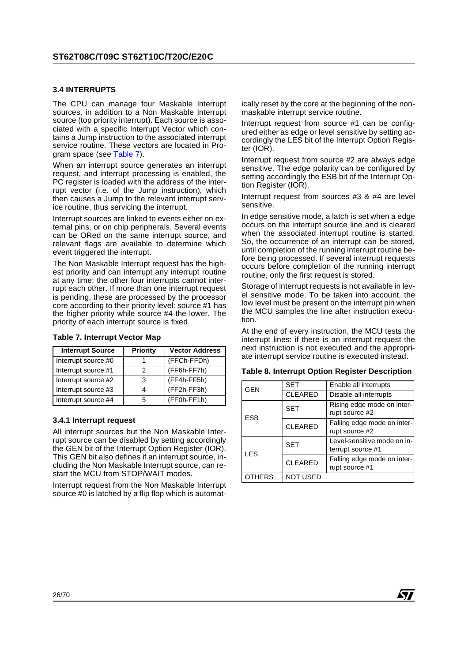#### **3.4 INTERRUPTS**

The CPU can manage four Maskable Interrupt sources, in addition to a Non Maskable Interrupt source (top priority interrupt). Each source is associated with a specific Interrupt Vector which contains a Jump instruction to the associated interrupt service routine. These vectors are located in Program space (see Table 7).

When an interrupt source generates an interrupt request, and interrupt processing is enabled, the PC register is loaded with the address of the interrupt vector (i.e. of the Jump instruction), which then causes a Jump to the relevant interrupt service routine, thus servicing the interrupt.

Interrupt sources are linked to events either on external pins, or on chip peripherals. Several events can be ORed on the same interrupt source, and relevant flags are available to determine which event triggered the interrupt.

The Non Maskable Interrupt request has the highest priority and can interrupt any interrupt routine at any time; the other four interrupts cannot interrupt each other. If more than one interrupt request is pending, these are processed by the processor core according to their priority level: source #1 has the higher priority while source #4 the lower. The priority of each interrupt source is fixed.

| <b>Interrupt Source</b> | <b>Priority</b> | <b>Vector Address</b> |
|-------------------------|-----------------|-----------------------|
| Interrupt source #0     |                 | (FFCh-FFDh)           |
| Interrupt source #1     |                 | (FF6h-FF7h)           |
| Interrupt source #2     |                 | (FF4h-FF5h)           |
| Interrupt source #3     |                 | (FF2h-FF3h)           |
| Interrupt source #4     | 5               | $(FF0h-FF1h)$         |

#### **Table 7. Interrupt Vector Map**

#### **3.4.1 Interrupt request**

All interrupt sources but the Non Maskable Interrupt source can be disabled by setting accordingly the GEN bit of the Interrupt Option Register (IOR). This GEN bit also defines if an interrupt source, including the Non Maskable Interrupt source, can restart the MCU from STOP/WAIT modes.

Interrupt request from the Non Maskable Interrupt source #0 is latched by a flip flop which is automatically reset by the core at the beginning of the nonmaskable interrupt service routine.

Interrupt request from source #1 can be configured either as edge or level sensitive by setting accordingly the LES bit of the Interrupt Option Register (IOR).

Interrupt request from source #2 are always edge sensitive. The edge polarity can be configured by setting accordingly the ESB bit of the Interrupt Option Register (IOR).

Interrupt request from sources #3 & #4 are level sensitive.

In edge sensitive mode, a latch is set when a edge occurs on the interrupt source line and is cleared when the associated interrupt routine is started. So, the occurrence of an interrupt can be stored, until completion of the running interrupt routine before being processed. If several interrupt requests occurs before completion of the running interrupt routine, only the first request is stored.

Storage of interrupt requests is not available in level sensitive mode. To be taken into account, the low level must be present on the interrupt pin when the MCU samples the line after instruction execution.

At the end of every instruction, the MCU tests the interrupt lines: if there is an interrupt request the next instruction is not executed and the appropriate interrupt service routine is executed instead.

| Table 8. Interrupt Option Register Description |  |  |  |  |  |
|------------------------------------------------|--|--|--|--|--|
|------------------------------------------------|--|--|--|--|--|

| <b>GEN</b>    | <b>SET</b>      | Enable all interrupts                            |
|---------------|-----------------|--------------------------------------------------|
|               | <b>CLEARED</b>  | Disable all interrupts                           |
| <b>ESB</b>    | <b>SET</b>      | Rising edge mode on inter-<br>rupt source #2     |
|               | <b>CLEARED</b>  | Falling edge mode on inter-<br>rupt source #2    |
| <b>LES</b>    | <b>SET</b>      | Level-sensitive mode on in-<br>terrupt source #1 |
|               | <b>CLEARED</b>  | Falling edge mode on inter-<br>rupt source #1    |
| <b>OTHERS</b> | <b>NOT USED</b> |                                                  |

87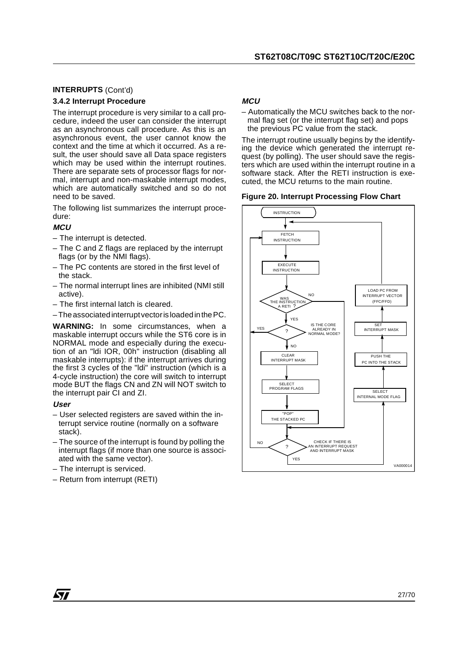#### **INTERRUPTS** (Cont'd)

#### **3.4.2 Interrupt Procedure**

The interrupt procedure is very similar to a call procedure, indeed the user can consider the interrupt as an asynchronous call procedure. As this is an asynchronous event, the user cannot know the context and the time at which it occurred. As a result, the user should save all Data space registers which may be used within the interrupt routines. There are separate sets of processor flags for normal, interrupt and non-maskable interrupt modes, which are automatically switched and so do not need to be saved.

The following list summarizes the interrupt procedure:

#### **MCU**

- The interrupt is detected.
- The C and Z flags are replaced by the interrupt flags (or by the NMI flags).
- The PC contents are stored in the first level of the stack.
- The normal interrupt lines are inhibited (NMI still active).
- The first internal latch is cleared.
- The associated interrupt vector is loaded in the PC.

**WARNING:** In some circumstances, when a maskable interrupt occurs while the ST6 core is in NORMAL mode and especially during the execution of an "ldi IOR, 00h" instruction (disabling all maskable interrupts): if the interrupt arrives during the first 3 cycles of the "ldi" instruction (which is a 4-cycle instruction) the core will switch to interrupt mode BUT the flags CN and ZN will NOT switch to the interrupt pair CI and ZI.

#### **User**

- User selected registers are saved within the interrupt service routine (normally on a software stack).
- The source of the interrupt is found by polling the interrupt flags (if more than one source is associated with the same vector).
- The interrupt is serviced.
- Return from interrupt (RETI)

#### **MCU**

– Automatically the MCU switches back to the normal flag set (or the interrupt flag set) and pops the previous PC value from the stack.

The interrupt routine usually begins by the identifying the device which generated the interrupt request (by polling). The user should save the registers which are used within the interrupt routine in a software stack. After the RETI instruction is executed, the MCU returns to the main routine.

#### **Figure 20. Interrupt Processing Flow Chart**



*sti*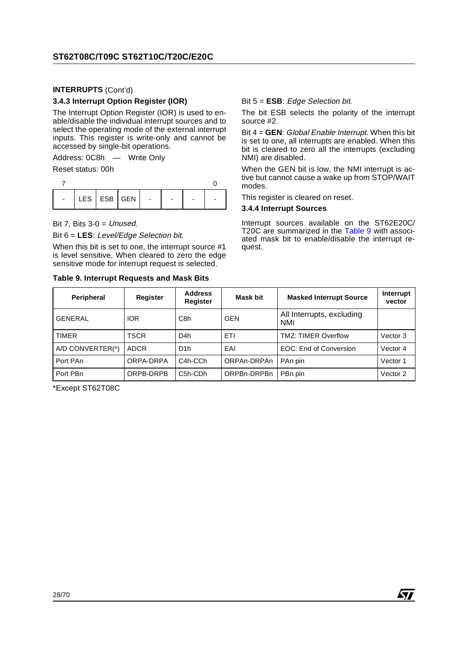#### **INTERRUPTS** (Cont'd)

#### **3.4.3 Interrupt Option Register (IOR)**

The Interrupt Option Register (IOR) is used to enable/disable the individual interrupt sources and to select the operating mode of the external interrupt inputs. This register is write-only and cannot be accessed by single-bit operations.

Address: 0C8h — Write Only

Reset status: 00h

| $\sim$ | $ $ LES $ $ ESB $ $ GEN $ $ | $\sim$ 100 $\sim$ |  |  |
|--------|-----------------------------|-------------------|--|--|

Bit 7, Bits  $3-0 =$  Unused.

Bit 6 = **LES**: Level/Edge Selection bit.

When this bit is set to one, the interrupt source #1 is level sensitive. When cleared to zero the edge sensitive mode for interrupt request is selected.

#### **Table 9. Interrupt Requests and Mask Bits**

Bit 5 = **ESB**: Edge Selection bit.

The bit ESB selects the polarity of the interrupt source #2.

Bit 4 = **GEN**: Global Enable Interrupt. When this bit is set to one, all interrupts are enabled. When this bit is cleared to zero all the interrupts (excluding NMI) are disabled.

When the GEN bit is low, the NMI interrupt is active but cannot cause a wake up from STOP/WAIT modes.

This register is cleared on reset.

#### **3.4.4 Interrupt Sources**

Interrupt sources available on the ST62E20C/ T20C are summarized in the Table 9 with associated mask bit to enable/disable the interrupt request.

| <b>Peripheral</b> | <b>Register</b> | <b>Address</b><br><b>Register</b> | <b>Masked Interrupt Source</b><br>Mask bit |                                         | Interrupt<br>vector |
|-------------------|-----------------|-----------------------------------|--------------------------------------------|-----------------------------------------|---------------------|
| <b>GENERAL</b>    | <b>IOR</b>      | C8h                               | <b>GEN</b>                                 | All Interrupts, excluding<br><b>NMI</b> |                     |
| <b>TIMER</b>      | <b>TSCR</b>     | D <sub>4</sub> h                  | ETI                                        | <b>TMZ: TIMER Overflow</b>              | Vector 3            |
| A/D CONVERTER(*)  | <b>ADCR</b>     | D <sub>1</sub> h                  | EAI                                        | EOC: End of Conversion                  | Vector 4            |
| Port PAn          | ORPA-DRPA       | C <sub>4</sub> h-C <sub>C</sub> h | ORPAn-DRPAn                                | PAn pin                                 | Vector 1            |
| Port PBn          | ORPB-DRPB       | C5h-CDh                           | ORPBn-DRPBn                                | PBn pin                                 | Vector 2            |

\*Except ST62T08C

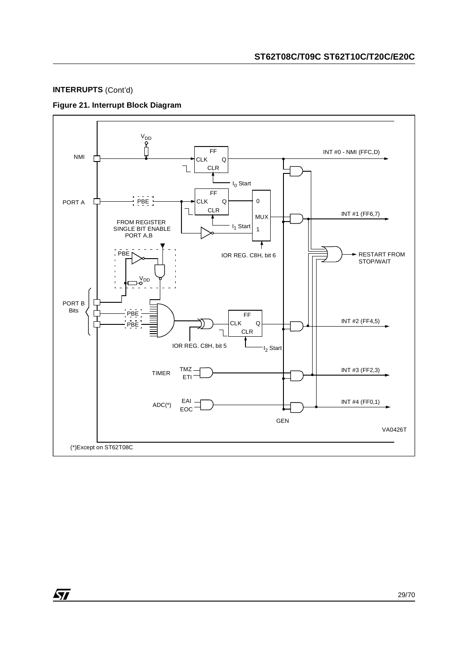#### **INTERRUPTS** (Cont'd)

勾

#### **Figure 21. Interrupt Block Diagram**



29/70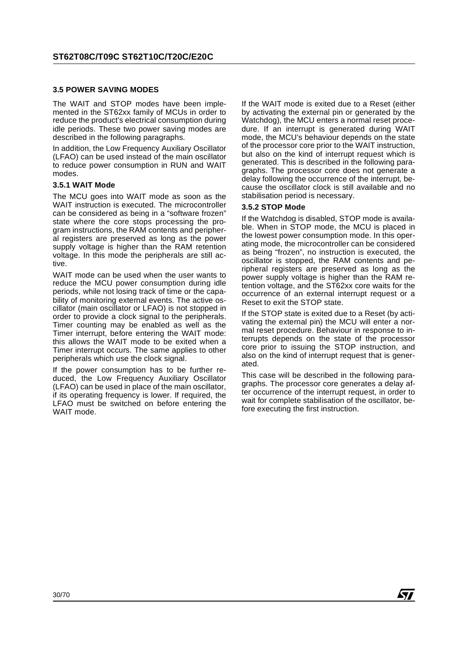#### **3.5 POWER SAVING MODES**

The WAIT and STOP modes have been implemented in the ST62xx family of MCUs in order to reduce the product's electrical consumption during idle periods. These two power saving modes are described in the following paragraphs.

In addition, the Low Frequency Auxiliary Oscillator (LFAO) can be used instead of the main oscillator to reduce power consumption in RUN and WAIT modes.

#### **3.5.1 WAIT Mode**

The MCU goes into WAIT mode as soon as the WAIT instruction is executed. The microcontroller can be considered as being in a "software frozen" state where the core stops processing the program instructions, the RAM contents and peripheral registers are preserved as long as the power supply voltage is higher than the RAM retention voltage. In this mode the peripherals are still active.

WAIT mode can be used when the user wants to reduce the MCU power consumption during idle periods, while not losing track of time or the capability of monitoring external events. The active oscillator (main oscillator or LFAO) is not stopped in order to provide a clock signal to the peripherals. Timer counting may be enabled as well as the Timer interrupt, before entering the WAIT mode: this allows the WAIT mode to be exited when a Timer interrupt occurs. The same applies to other peripherals which use the clock signal.

If the power consumption has to be further reduced, the Low Frequency Auxiliary Oscillator (LFAO) can be used in place of the main oscillator, if its operating frequency is lower. If required, the LFAO must be switched on before entering the WAIT mode.

If the WAIT mode is exited due to a Reset (either by activating the external pin or generated by the Watchdog), the MCU enters a normal reset procedure. If an interrupt is generated during WAIT mode, the MCU's behaviour depends on the state of the processor core prior to the WAIT instruction, but also on the kind of interrupt request which is generated. This is described in the following paragraphs. The processor core does not generate a delay following the occurrence of the interrupt, because the oscillator clock is still available and no stabilisation period is necessary.

#### **3.5.2 STOP Mode**

If the Watchdog is disabled, STOP mode is available. When in STOP mode, the MCU is placed in the lowest power consumption mode. In this operating mode, the microcontroller can be considered as being "frozen", no instruction is executed, the oscillator is stopped, the RAM contents and peripheral registers are preserved as long as the power supply voltage is higher than the RAM retention voltage, and the ST62xx core waits for the occurrence of an external interrupt request or a Reset to exit the STOP state.

If the STOP state is exited due to a Reset (by activating the external pin) the MCU will enter a normal reset procedure. Behaviour in response to interrupts depends on the state of the processor core prior to issuing the STOP instruction, and also on the kind of interrupt request that is generated.

This case will be described in the following paragraphs. The processor core generates a delay after occurrence of the interrupt request, in order to wait for complete stabilisation of the oscillator, before executing the first instruction.

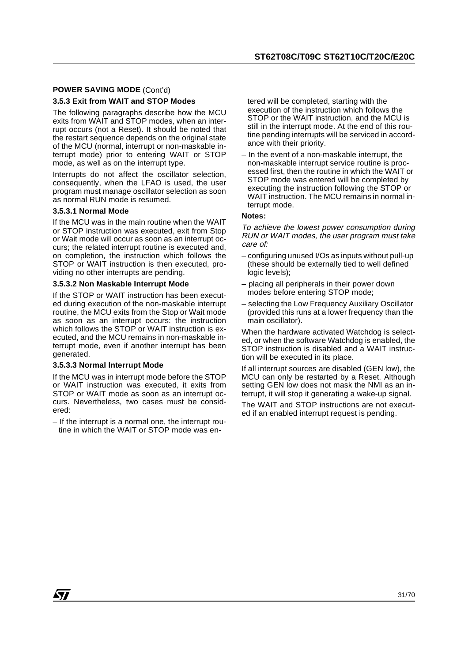## **POWER SAVING MODE** (Cont'd)

#### **3.5.3 Exit from WAIT and STOP Modes**

The following paragraphs describe how the MCU exits from WAIT and STOP modes, when an interrupt occurs (not a Reset). It should be noted that the restart sequence depends on the original state of the MCU (normal, interrupt or non-maskable interrupt mode) prior to entering WAIT or STOP mode, as well as on the interrupt type.

Interrupts do not affect the oscillator selection, consequently, when the LFAO is used, the user program must manage oscillator selection as soon as normal RUN mode is resumed.

#### **3.5.3.1 Normal Mode**

If the MCU was in the main routine when the WAIT or STOP instruction was executed, exit from Stop or Wait mode will occur as soon as an interrupt occurs; the related interrupt routine is executed and, on completion, the instruction which follows the STOP or WAIT instruction is then executed, providing no other interrupts are pending.

#### **3.5.3.2 Non Maskable Interrupt Mode**

If the STOP or WAIT instruction has been executed during execution of the non-maskable interrupt routine, the MCU exits from the Stop or Wait mode as soon as an interrupt occurs: the instruction which follows the STOP or WAIT instruction is executed, and the MCU remains in non-maskable interrupt mode, even if another interrupt has been generated.

#### **3.5.3.3 Normal Interrupt Mode**

If the MCU was in interrupt mode before the STOP or WAIT instruction was executed, it exits from STOP or WAIT mode as soon as an interrupt occurs. Nevertheless, two cases must be considered:

– If the interrupt is a normal one, the interrupt routine in which the WAIT or STOP mode was entered will be completed, starting with the execution of the instruction which follows the STOP or the WAIT instruction, and the MCU is still in the interrupt mode. At the end of this routine pending interrupts will be serviced in accordance with their priority.

– In the event of a non-maskable interrupt, the non-maskable interrupt service routine is processed first, then the routine in which the WAIT or STOP mode was entered will be completed by executing the instruction following the STOP or WAIT instruction. The MCU remains in normal interrupt mode.

#### **Notes:**

To achieve the lowest power consumption during RUN or WAIT modes, the user program must take care of:

- configuring unused I/Os as inputs without pull-up (these should be externally tied to well defined logic levels);
- placing all peripherals in their power down modes before entering STOP mode;
- selecting the Low Frequency Auxiliary Oscillator (provided this runs at a lower frequency than the main oscillator).

When the hardware activated Watchdog is selected, or when the software Watchdog is enabled, the STOP instruction is disabled and a WAIT instruction will be executed in its place.

If all interrupt sources are disabled (GEN low), the MCU can only be restarted by a Reset. Although setting GEN low does not mask the NMI as an interrupt, it will stop it generating a wake-up signal.

The WAIT and STOP instructions are not executed if an enabled interrupt request is pending.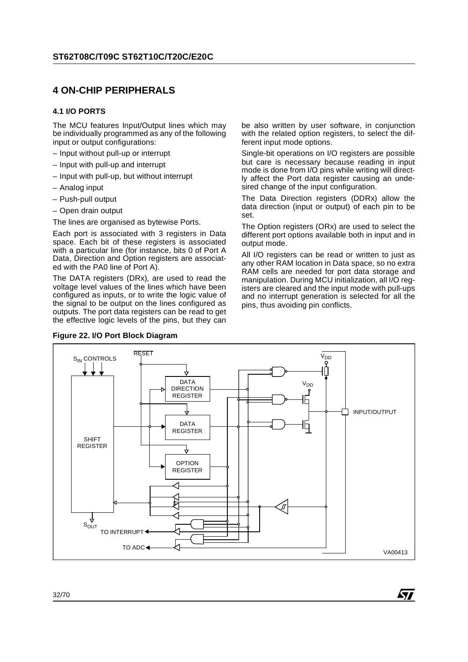## **4 ON-CHIP PERIPHERALS**

#### **4.1 I/O PORTS**

The MCU features Input/Output lines which may be individually programmed as any of the following input or output configurations:

- Input without pull-up or interrupt
- Input with pull-up and interrupt
- Input with pull-up, but without interrupt
- Analog input
- Push-pull output
- Open drain output

The lines are organised as bytewise Ports.

Each port is associated with 3 registers in Data space. Each bit of these registers is associated with a particular line (for instance, bits 0 of Port A Data, Direction and Option registers are associated with the PA0 line of Port A).

The DATA registers (DRx), are used to read the voltage level values of the lines which have been configured as inputs, or to write the logic value of the signal to be output on the lines configured as outputs. The port data registers can be read to get the effective logic levels of the pins, but they can



be also written by user software, in conjunction with the related option registers, to select the different input mode options.

Single-bit operations on I/O registers are possible but care is necessary because reading in input mode is done from I/O pins while writing will directly affect the Port data register causing an undesired change of the input configuration.

The Data Direction registers (DDRx) allow the data direction (input or output) of each pin to be set.

The Option registers (ORx) are used to select the different port options available both in input and in output mode.

All I/O registers can be read or written to just as any other RAM location in Data space, so no extra RAM cells are needed for port data storage and manipulation. During MCU initialization, all I/O registers are cleared and the input mode with pull-ups and no interrupt generation is selected for all the pins, thus avoiding pin conflicts.

57

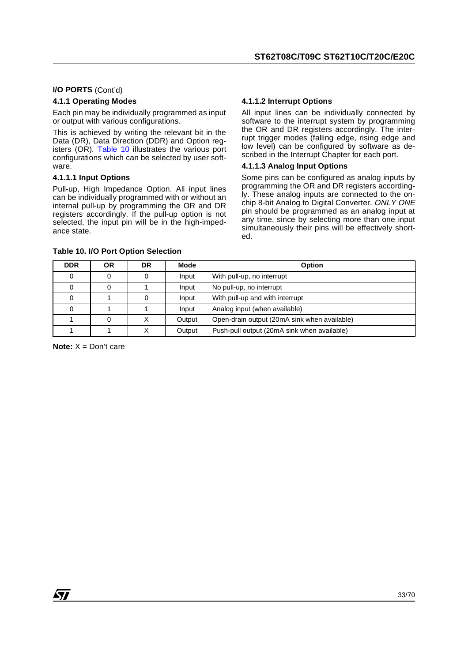#### **I/O PORTS** (Cont'd)

#### **4.1.1 Operating Modes**

Each pin may be individually programmed as input or output with various configurations.

This is achieved by writing the relevant bit in the Data (DR), Data Direction (DDR) and Option registers (OR). Table 10 illustrates the various port configurations which can be selected by user software.

#### **4.1.1.1 Input Options**

Pull-up, High Impedance Option. All input lines can be individually programmed with or without an internal pull-up by programming the OR and DR registers accordingly. If the pull-up option is not selected, the input pin will be in the high-impedance state.

#### **4.1.1.2 Interrupt Options**

All input lines can be individually connected by software to the interrupt system by programming the OR and DR registers accordingly. The interrupt trigger modes (falling edge, rising edge and low level) can be configured by software as described in the Interrupt Chapter for each port.

#### **4.1.1.3 Analog Input Options**

Some pins can be configured as analog inputs by programming the OR and DR registers accordingly. These analog inputs are connected to the onchip 8-bit Analog to Digital Converter. ONLY ONE pin should be programmed as an analog input at any time, since by selecting more than one input simultaneously their pins will be effectively shorted.

| <b>DDR</b> | ΟR | DR | Mode   | Option                                       |
|------------|----|----|--------|----------------------------------------------|
|            |    |    | Input  | With pull-up, no interrupt                   |
|            |    |    | Input  | No pull-up, no interrupt                     |
|            |    |    | Input  | With pull-up and with interrupt              |
|            |    |    | Input  | Analog input (when available)                |
|            |    |    | Output | Open-drain output (20mA sink when available) |
|            |    |    | Output | Push-pull output (20mA sink when available)  |

#### **Table 10. I/O Port Option Selection**

**Note:** X = Don't care

*ST*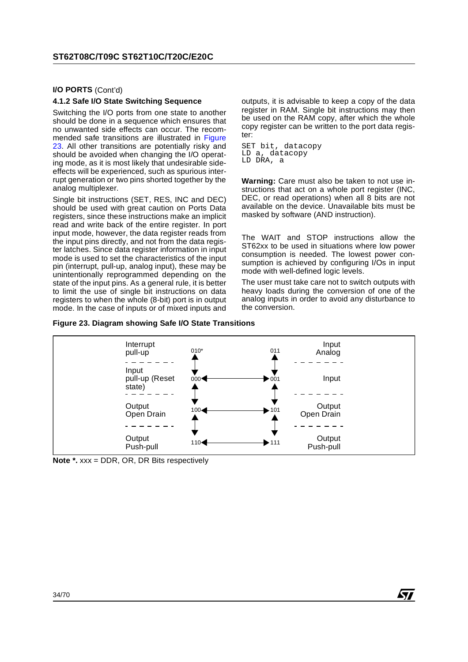#### **I/O PORTS** (Cont'd)

#### **4.1.2 Safe I/O State Switching Sequence**

Switching the I/O ports from one state to another should be done in a sequence which ensures that no unwanted side effects can occur. The recommended safe transitions are illustrated in Figure 23. All other transitions are potentially risky and should be avoided when changing the I/O operating mode, as it is most likely that undesirable sideeffects will be experienced, such as spurious interrupt generation or two pins shorted together by the analog multiplexer.

Single bit instructions (SET, RES, INC and DEC) should be used with great caution on Ports Data registers, since these instructions make an implicit read and write back of the entire register. In port input mode, however, the data register reads from the input pins directly, and not from the data register latches. Since data register information in input mode is used to set the characteristics of the input pin (interrupt, pull-up, analog input), these may be unintentionally reprogrammed depending on the state of the input pins. As a general rule, it is better to limit the use of single bit instructions on data registers to when the whole (8-bit) port is in output mode. In the case of inputs or of mixed inputs and

outputs, it is advisable to keep a copy of the data register in RAM. Single bit instructions may then be used on the RAM copy, after which the whole copy register can be written to the port data register:

SET bit, datacopy LD a, datacopy LD DRA, a

**Warning:** Care must also be taken to not use instructions that act on a whole port register (INC, DEC, or read operations) when all 8 bits are not available on the device. Unavailable bits must be masked by software (AND instruction).

The WAIT and STOP instructions allow the ST62xx to be used in situations where low power consumption is needed. The lowest power consumption is achieved by configuring I/Os in input mode with well-defined logic levels.

The user must take care not to switch outputs with heavy loads during the conversion of one of the analog inputs in order to avoid any disturbance to the conversion.

**S77** 

#### **Figure 23. Diagram showing Safe I/O State Transitions**



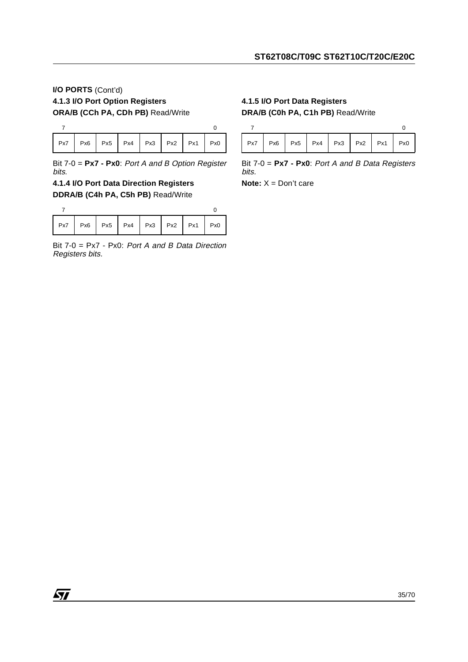## **I/O PORTS** (Cont'd) **4.1.3 I/O Port Option Registers ORA/B (CCh PA, CDh PB)** Read/Write

|  | $Px7$   Px6   Px5   Px4   Px3   Px2   Px1   Px0 |  |  |  |
|--|-------------------------------------------------|--|--|--|

Bit 7-0 = **Px7 - Px0**: Port A and B Option Register bits.

## **4.1.4 I/O Port Data Direction Registers DDRA/B (C4h PA, C5h PB)** Read/Write

|  | Px7   Px6   Px5   Px4   Px3   Px2   Px1   Px0 |  |  |  |
|--|-----------------------------------------------|--|--|--|

Bit 7-0 = Px7 - Px0: Port A and B Data Direction Registers bits.

## **4.1.5 I/O Port Data Registers DRA/B (C0h PA, C1h PB)** Read/Write



Bit 7-0 = **Px7 - Px0**: Port A and B Data Registers bits.

**Note:** X = Don't care

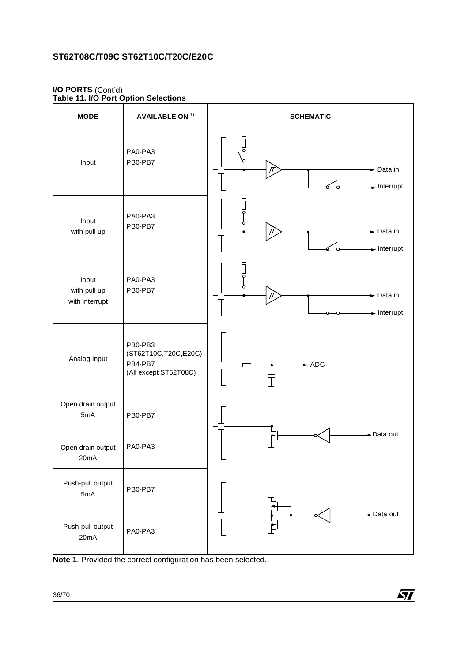#### **I/O PORTS** (Cont'd) **Table 11. I/O Port Option Selections**

| <b>MODE</b>                             | <b>AVAILABLE ON(1)</b>                                              | <b>SCHEMATIC</b>                                                       |
|-----------------------------------------|---------------------------------------------------------------------|------------------------------------------------------------------------|
| Input                                   | PA0-PA3<br>PB0-PB7                                                  | ठ<br>Data in<br>$\blacktriangleright$ Interrupt<br>$\alpha$            |
| Input<br>with pull up                   | PA0-PA3<br>PB0-PB7                                                  | $\blacktriangleright$ Data in<br>ౕ⊶<br>$\blacktriangleright$ Interrupt |
| Input<br>with pull up<br>with interrupt | PA0-PA3<br>PB0-PB7                                                  | $\blacktriangleright$ Data in<br>$\blacktriangleright$ Interrupt       |
| Analog Input                            | PB0-PB3<br>(ST62T10C,T20C,E20C)<br>PB4-PB7<br>(All except ST62T08C) | $-$ ADC                                                                |
| Open drain output<br>5mA                | PB0-PB7                                                             |                                                                        |
| Open drain output<br>20mA               | PA0-PA3                                                             | Data out<br>L                                                          |
| Push-pull output<br>5mA                 | PB0-PB7                                                             |                                                                        |
| Push-pull output<br>20mA                | PA0-PA3                                                             | Data out                                                               |

**Note 1**. Provided the correct configuration has been selected.

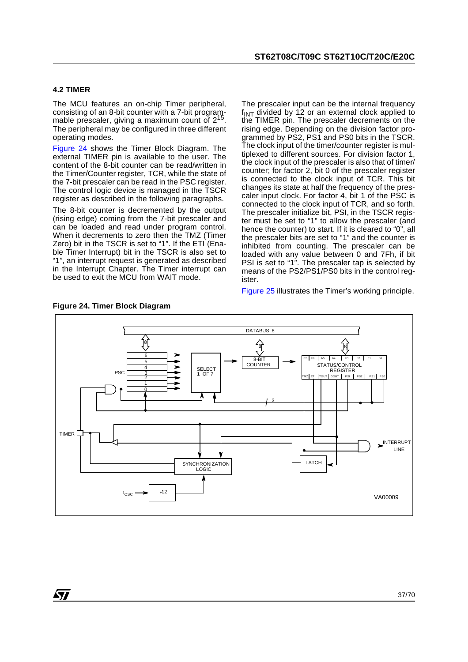#### **4.2 TIMER**

The MCU features an on-chip Timer peripheral, consisting of an 8-bit counter with a 7-bit programmable prescaler, giving a maximum count of 2<sup>15</sup>. The peripheral may be configured in three different operating modes.

Figure 24 shows the Timer Block Diagram. The external TIMER pin is available to the user. The content of the 8-bit counter can be read/written in the Timer/Counter register, TCR, while the state of the 7-bit prescaler can be read in the PSC register. The control logic device is managed in the TSCR register as described in the following paragraphs.

The 8-bit counter is decremented by the output (rising edge) coming from the 7-bit prescaler and can be loaded and read under program control. When it decrements to zero then the TMZ (Timer Zero) bit in the TSCR is set to "1". If the ETI (Enable Timer Interrupt) bit in the TSCR is also set to "1", an interrupt request is generated as described in the Interrupt Chapter. The Timer interrupt can be used to exit the MCU from WAIT mode.

The prescaler input can be the internal frequency  $f_{INT}$  divided by 12 or an external clock applied to the TIMER pin. The prescaler decrements on the rising edge. Depending on the division factor programmed by PS2, PS1 and PS0 bits in the TSCR. The clock input of the timer/counter register is multiplexed to different sources. For division factor 1, the clock input of the prescaler is also that of timer/ counter; for factor 2, bit 0 of the prescaler register is connected to the clock input of TCR. This bit changes its state at half the frequency of the prescaler input clock. For factor 4, bit 1 of the PSC is connected to the clock input of TCR, and so forth. The prescaler initialize bit, PSI, in the TSCR register must be set to "1" to allow the prescaler (and hence the counter) to start. If it is cleared to "0", all the prescaler bits are set to "1" and the counter is inhibited from counting. The prescaler can be loaded with any value between 0 and 7Fh, if bit PSI is set to "1". The prescaler tap is selected by means of the PS2/PS1/PS0 bits in the control register.

Figure 25 illustrates the Timer's working principle.



**Figure 24. Timer Block Diagram**

*STI*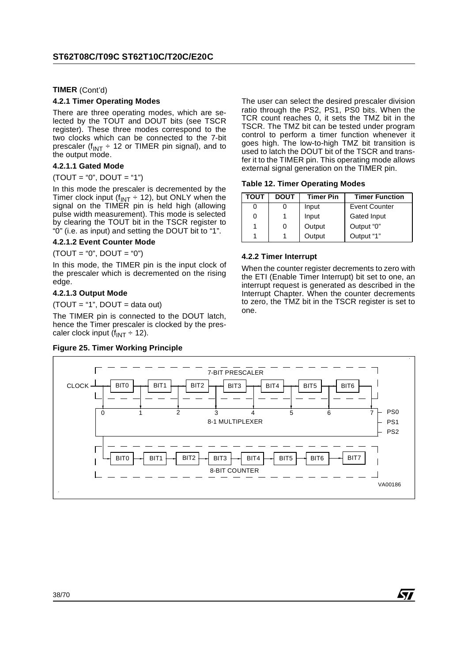**TIMER** (Cont'd)

#### **4.2.1 Timer Operating Modes**

There are three operating modes, which are selected by the TOUT and DOUT bits (see TSCR register). These three modes correspond to the two clocks which can be connected to the 7-bit prescaler ( $f_{INT} \div 12$  or TIMER pin signal), and to the output mode.

#### **4.2.1.1 Gated Mode**

#### $(TOUT = "0", DOUT = "1")$

In this mode the prescaler is decremented by the Timer clock input (f<sub>INT</sub> ÷ 12), but ONLY when the signal on the TIMER pin is held high (allowing pulse width measurement). This mode is selected by clearing the TOUT bit in the TSCR register to "0" (i.e. as input) and setting the DOUT bit to "1".

#### **4.2.1.2 Event Counter Mode**

 $(TOUT = "0", DOUT = "0")$ 

In this mode, the TIMER pin is the input clock of the prescaler which is decremented on the rising edge.

#### **4.2.1.3 Output Mode**

 $(TOUT = "1", DOUT = data out)$ 

The TIMER pin is connected to the DOUT latch, hence the Timer prescaler is clocked by the prescaler clock input  $(f_{INT} \div 12)$ .

#### **Figure 25. Timer Working Principle**

The user can select the desired prescaler division ratio through the PS2, PS1, PS0 bits. When the TCR count reaches 0, it sets the TMZ bit in the TSCR. The TMZ bit can be tested under program control to perform a timer function whenever it goes high. The low-to-high TMZ bit transition is used to latch the DOUT bit of the TSCR and transfer it to the TIMER pin. This operating mode allows external signal generation on the TIMER pin.

#### **Table 12. Timer Operating Modes**

| <b>TOUT</b> | <b>DOUT</b> | <b>Timer Pin</b> | <b>Timer Function</b> |
|-------------|-------------|------------------|-----------------------|
|             |             | Input            | <b>Event Counter</b>  |
|             |             | Input            | Gated Input           |
|             | 0           | Output           | Output "0"            |
|             |             | Output           | Output "1"            |

#### **4.2.2 Timer Interrupt**

When the counter register decrements to zero with the ETI (Enable Timer Interrupt) bit set to one, an interrupt request is generated as described in the Interrupt Chapter. When the counter decrements to zero, the TMZ bit in the TSCR register is set to one.

*st* 

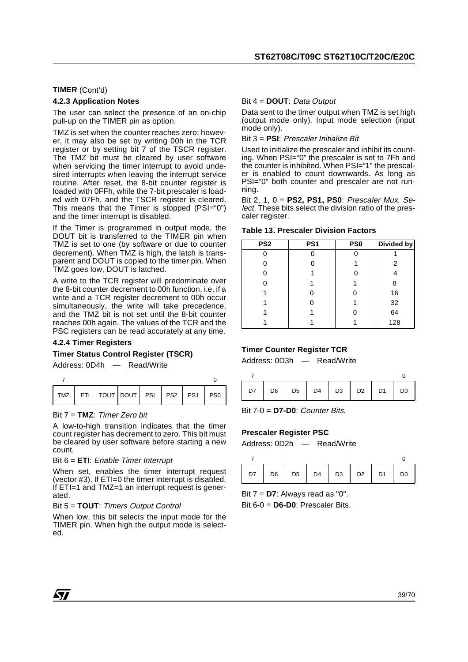#### **TIMER** (Cont'd)

#### **4.2.3 Application Notes**

The user can select the presence of an on-chip pull-up on the TIMER pin as option.

TMZ is set when the counter reaches zero; however, it may also be set by writing 00h in the TCR register or by setting bit 7 of the TSCR register. The TMZ bit must be cleared by user software when servicing the timer interrupt to avoid undesired interrupts when leaving the interrupt service routine. After reset, the 8-bit counter register is loaded with 0FFh, while the 7-bit prescaler is loaded with 07Fh, and the TSCR register is cleared. This means that the Timer is stopped (PSI="0") and the timer interrupt is disabled.

If the Timer is programmed in output mode, the DOUT bit is transferred to the TIMER pin when TMZ is set to one (by software or due to counter decrement). When TMZ is high, the latch is transparent and DOUT is copied to the timer pin. When TMZ goes low, DOUT is latched.

A write to the TCR register will predominate over the 8-bit counter decrement to 00h function, i.e. if a write and a TCR register decrement to 00h occur simultaneously, the write will take precedence, and the TMZ bit is not set until the 8-bit counter reaches 00h again. The values of the TCR and the PSC registers can be read accurately at any time.

#### **4.2.4 Timer Registers**

#### **Timer Status Control Register (TSCR)**

Address: 0D4h — Read/Write

#### Bit 7 = **TMZ**: Timer Zero bit

A low-to-high transition indicates that the timer count register has decrement to zero. This bit must be cleared by user software before starting a new count.

#### Bit 6 = **ETI**: Enable Timer Interrupt

When set, enables the timer interrupt request (vector #3). If ETI=0 the timer interrupt is disabled. If  $ETI=1$  and  $TMZ=1$  an interrupt request is generated.

#### Bit 5 = **TOUT**: Timers Output Control

When low, this bit selects the input mode for the TIMER pin. When high the output mode is selected.

#### Bit 4 = **DOUT**: Data Output

Data sent to the timer output when TMZ is set high (output mode only). Input mode selection (input mode only).

#### Bit 3 = **PSI**: Prescaler Initialize Bit

Used to initialize the prescaler and inhibit its counting. When PSI="0" the prescaler is set to 7Fh and the counter is inhibited. When PSI="1" the prescaler is enabled to count downwards. As long as PSI="0" both counter and prescaler are not running.

Bit 2, 1, 0 = **PS2, PS1, PS0**: Prescaler Mux. Select. These bits select the division ratio of the prescaler register.

#### **Table 13. Prescaler Division Factors**

| PS <sub>2</sub> | PS <sub>1</sub> | PS <sub>0</sub> | Divided by |
|-----------------|-----------------|-----------------|------------|
|                 |                 |                 |            |
|                 | ი               |                 | 2          |
|                 |                 |                 |            |
|                 |                 |                 | 8          |
|                 |                 | ი               | 16         |
|                 |                 |                 | 32         |
|                 |                 |                 | 64         |
|                 |                 |                 | 128        |

#### **Timer Counter Register TCR**

Address: 0D3h — Read/Write

|  | $D7$ $D6$ $D5$ $D4$ $D3$ $D2$ $D1$ $D0$ |  |  |  |
|--|-----------------------------------------|--|--|--|

Bit 7-0 = **D7-D0**: Counter Bits.

#### **Prescaler Register PSC**

Address: 0D2h — Read/Write

|  | D7   D6   D5   D4   D3   D2   D1   D0 |  |  |
|--|---------------------------------------|--|--|

Bit 7 = **D7**: Always read as "0".

Bit 6-0 = **D6-D0**: Prescaler Bits.

*sti*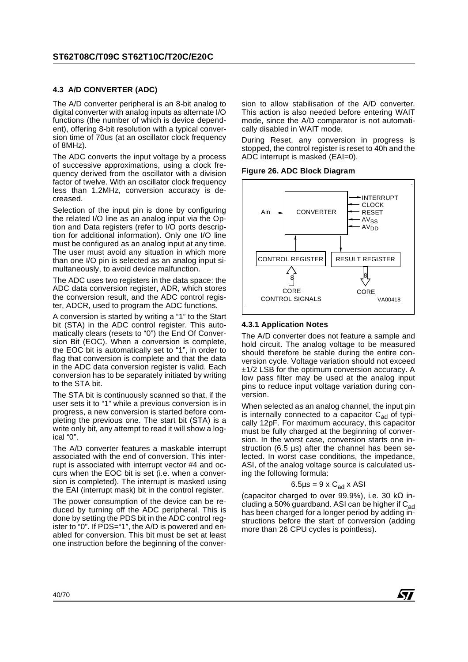#### **4.3 A/D CONVERTER (ADC)**

The A/D converter peripheral is an 8-bit analog to digital converter with analog inputs as alternate I/O functions (the number of which is device dependent), offering 8-bit resolution with a typical conversion time of 70us (at an oscillator clock frequency of 8MHz).

The ADC converts the input voltage by a process of successive approximations, using a clock frequency derived from the oscillator with a division factor of twelve. With an oscillator clock frequency less than 1.2MHz, conversion accuracy is decreased.

Selection of the input pin is done by configuring the related I/O line as an analog input via the Option and Data registers (refer to I/O ports description for additional information). Only one I/O line must be configured as an analog input at any time. The user must avoid any situation in which more than one I/O pin is selected as an analog input simultaneously, to avoid device malfunction.

The ADC uses two registers in the data space: the ADC data conversion register, ADR, which stores the conversion result, and the ADC control register, ADCR, used to program the ADC functions.

A conversion is started by writing a "1" to the Start bit (STA) in the ADC control register. This automatically clears (resets to "0") the End Of Conversion Bit (EOC). When a conversion is complete, the EOC bit is automatically set to "1", in order to flag that conversion is complete and that the data in the ADC data conversion register is valid. Each conversion has to be separately initiated by writing to the STA bit.

The STA bit is continuously scanned so that, if the user sets it to "1" while a previous conversion is in progress, a new conversion is started before completing the previous one. The start bit (STA) is a write only bit, any attempt to read it will show a logical "0".

The A/D converter features a maskable interrupt associated with the end of conversion. This interrupt is associated with interrupt vector #4 and occurs when the EOC bit is set (i.e. when a conversion is completed). The interrupt is masked using the EAI (interrupt mask) bit in the control register.

The power consumption of the device can be reduced by turning off the ADC peripheral. This is done by setting the PDS bit in the ADC control register to "0". If PDS="1", the A/D is powered and enabled for conversion. This bit must be set at least one instruction before the beginning of the conversion to allow stabilisation of the A/D converter. This action is also needed before entering WAIT mode, since the A/D comparator is not automatically disabled in WAIT mode.

During Reset, any conversion in progress is stopped, the control register is reset to 40h and the ADC interrupt is masked (EAI=0).

#### **Figure 26. ADC Block Diagram**



#### **4.3.1 Application Notes**

The A/D converter does not feature a sample and hold circuit. The analog voltage to be measured should therefore be stable during the entire conversion cycle. Voltage variation should not exceed  $\pm$ 1/2 LSB for the optimum conversion accuracy. A low pass filter may be used at the analog input pins to reduce input voltage variation during conversion.

When selected as an analog channel, the input pin is internally connected to a capacitor  $C_{ad}$  of typically 12pF. For maximum accuracy, this capacitor must be fully charged at the beginning of conversion. In the worst case, conversion starts one instruction (6.5 µs) after the channel has been selected. In worst case conditions, the impedance, ASI, of the analog voltage source is calculated using the following formula:

#### $6.5\mu s = 9 \times C_{ad} \times ASI$

(capacitor charged to over 99.9%), i.e. 30 k $\Omega$  including a 50% guardband. ASI can be higher if  $C_{ad}$ has been charged for a longer period by adding instructions before the start of conversion (adding more than 26 CPU cycles is pointless).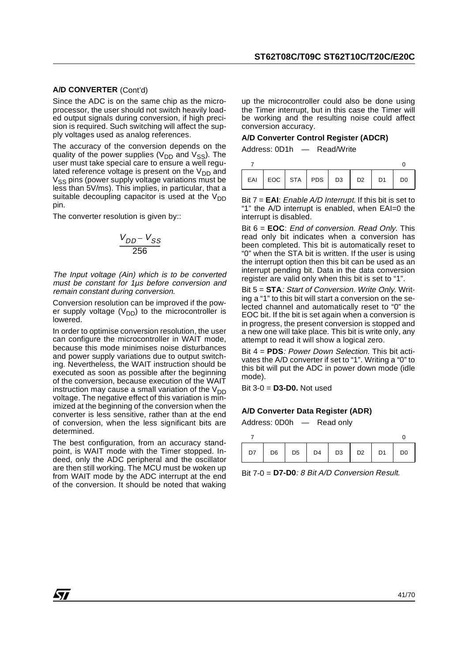#### **A/D CONVERTER** (Cont'd)

Since the ADC is on the same chip as the microprocessor, the user should not switch heavily loaded output signals during conversion, if high precision is required. Such switching will affect the supply voltages used as analog references.

The accuracy of the conversion depends on the quality of the power supplies ( $V_{DD}$  and  $V_{SS}$ ). The user must take special care to ensure a well regulated reference voltage is present on the  $V_{DD}$  and  $V_{SS}$  pins (power supply voltage variations must be less than 5V/ms). This implies, in particular, that a suitable decoupling capacitor is used at the  $V_{DD}$ pin.

The converter resolution is given by::

$$
\frac{V_{DD} - V_{SS}}{256}
$$

The Input voltage (Ain) which is to be converted must be constant for 1µs before conversion and remain constant during conversion.

Conversion resolution can be improved if the power supply voltage ( $V_{DD}$ ) to the microcontroller is lowered.

In order to optimise conversion resolution, the user can configure the microcontroller in WAIT mode, because this mode minimises noise disturbances and power supply variations due to output switching. Nevertheless, the WAIT instruction should be executed as soon as possible after the beginning of the conversion, because execution of the WAIT instruction may cause a small variation of the  $V_{DD}$ voltage. The negative effect of this variation is minimized at the beginning of the conversion when the converter is less sensitive, rather than at the end of conversion, when the less significant bits are determined.

The best configuration, from an accuracy standpoint, is WAIT mode with the Timer stopped. Indeed, only the ADC peripheral and the oscillator are then still working. The MCU must be woken up from WAIT mode by the ADC interrupt at the end of the conversion. It should be noted that waking

up the microcontroller could also be done using the Timer interrupt, but in this case the Timer will be working and the resulting noise could affect conversion accuracy.

#### **A/D Converter Control Register (ADCR)**

Address: 0D1h — Read/Write

|  | EAI EOC STA PDS D3 D2 D1 D0 |  |  |  |
|--|-----------------------------|--|--|--|

Bit 7 = **EAI**: Enable A/D Interrupt. If this bit is set to "1" the A/D interrupt is enabled, when EAI=0 the interrupt is disabled.

Bit 6 = **EOC**: End of conversion. Read Only. This read only bit indicates when a conversion has been completed. This bit is automatically reset to "0" when the STA bit is written. If the user is using the interrupt option then this bit can be used as an interrupt pending bit. Data in the data conversion register are valid only when this bit is set to "1".

Bit 5 = **STA**: Start of Conversion. Write Only. Writing a "1" to this bit will start a conversion on the selected channel and automatically reset to "0" the EOC bit. If the bit is set again when a conversion is in progress, the present conversion is stopped and a new one will take place. This bit is write only, any attempt to read it will show a logical zero.

Bit 4 = **PDS**: Power Down Selection. This bit activates the A/D converter if set to "1". Writing a "0" to this bit will put the ADC in power down mode (idle mode).

Bit 3-0 = **D3-D0.** Not used

#### **A/D Converter Data Register (ADR)**

Address: 0D0h — Read only

|  | $D7$ $D6$ $D5$ $D4$ $D3$ $D2$ $D1$ |  | D <sub>0</sub> |
|--|------------------------------------|--|----------------|

Bit 7-0 = **D7-D0**: 8 Bit A/D Conversion Result.

**S77**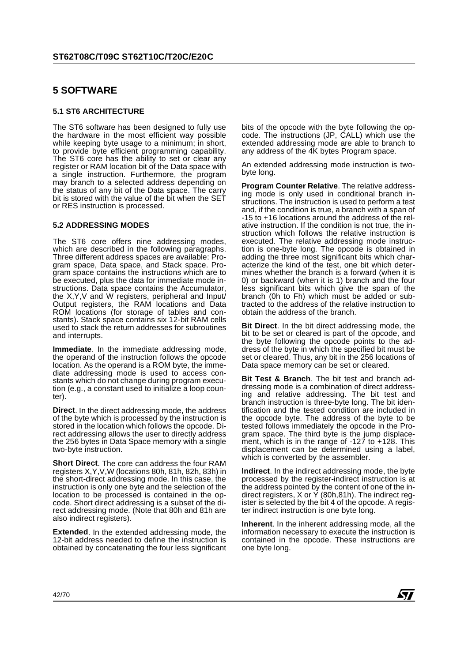## **5 SOFTWARE**

#### **5.1 ST6 ARCHITECTURE**

The ST6 software has been designed to fully use the hardware in the most efficient way possible while keeping byte usage to a minimum; in short, to provide byte efficient programming capability. The ST6 core has the ability to set or clear any register or RAM location bit of the Data space with a single instruction. Furthermore, the program may branch to a selected address depending on the status of any bit of the Data space. The carry bit is stored with the value of the bit when the SET or RES instruction is processed.

#### **5.2 ADDRESSING MODES**

The ST6 core offers nine addressing modes, which are described in the following paragraphs. Three different address spaces are available: Program space, Data space, and Stack space. Program space contains the instructions which are to be executed, plus the data for immediate mode instructions. Data space contains the Accumulator, the X,Y,V and W registers, peripheral and Input/ Output registers, the RAM locations and Data ROM locations (for storage of tables and constants). Stack space contains six 12-bit RAM cells used to stack the return addresses for subroutines and interrupts.

**Immediate**. In the immediate addressing mode, the operand of the instruction follows the opcode location. As the operand is a ROM byte, the immediate addressing mode is used to access constants which do not change during program execution (e.g., a constant used to initialize a loop counter).

**Direct**. In the direct addressing mode, the address of the byte which is processed by the instruction is stored in the location which follows the opcode. Direct addressing allows the user to directly address the 256 bytes in Data Space memory with a single two-byte instruction.

**Short Direct**. The core can address the four RAM registers X,Y,V,W (locations 80h, 81h, 82h, 83h) in the short-direct addressing mode. In this case, the instruction is only one byte and the selection of the location to be processed is contained in the opcode. Short direct addressing is a subset of the direct addressing mode. (Note that 80h and 81h are also indirect registers).

**Extended**. In the extended addressing mode, the 12-bit address needed to define the instruction is obtained by concatenating the four less significant bits of the opcode with the byte following the opcode. The instructions (JP, CALL) which use the extended addressing mode are able to branch to any address of the 4K bytes Program space.

An extended addressing mode instruction is twobyte long.

**Program Counter Relative**. The relative addressing mode is only used in conditional branch instructions. The instruction is used to perform a test and, if the condition is true, a branch with a span of -15 to +16 locations around the address of the relative instruction. If the condition is not true, the instruction which follows the relative instruction is executed. The relative addressing mode instruction is one-byte long. The opcode is obtained in adding the three most significant bits which characterize the kind of the test, one bit which determines whether the branch is a forward (when it is 0) or backward (when it is 1) branch and the four less significant bits which give the span of the branch (0h to Fh) which must be added or subtracted to the address of the relative instruction to obtain the address of the branch.

**Bit Direct**. In the bit direct addressing mode, the bit to be set or cleared is part of the opcode, and the byte following the opcode points to the address of the byte in which the specified bit must be set or cleared. Thus, any bit in the 256 locations of Data space memory can be set or cleared.

**Bit Test & Branch**. The bit test and branch addressing mode is a combination of direct addressing and relative addressing. The bit test and branch instruction is three-byte long. The bit identification and the tested condition are included in the opcode byte. The address of the byte to be tested follows immediately the opcode in the Program space. The third byte is the jump displacement, which is in the range of -127 to +128. This displacement can be determined using a label, which is converted by the assembler.

**Indirect**. In the indirect addressing mode, the byte processed by the register-indirect instruction is at the address pointed by the content of one of the indirect registers, X or  $\check{Y}$  (80h,81h). The indirect register is selected by the bit 4 of the opcode. A register indirect instruction is one byte long.

**Inherent**. In the inherent addressing mode, all the information necessary to execute the instruction is contained in the opcode. These instructions are one byte long.

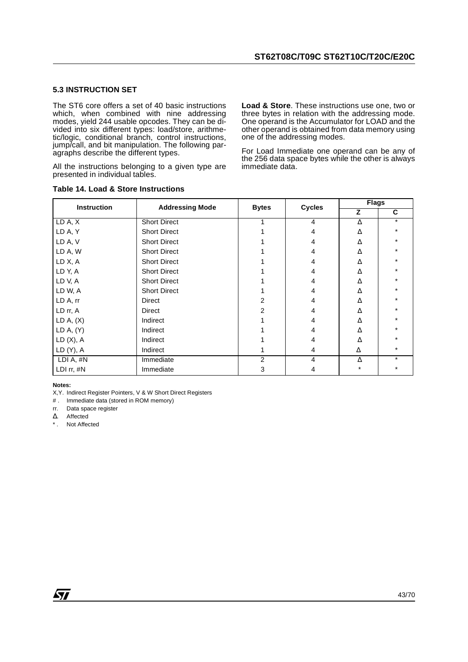#### **5.3 INSTRUCTION SET**

The ST6 core offers a set of 40 basic instructions which, when combined with nine addressing modes, yield 244 usable opcodes. They can be divided into six different types: load/store, arithmetic/logic, conditional branch, control instructions, jump/call, and bit manipulation. The following paragraphs describe the different types.

All the instructions belonging to a given type are presented in individual tables.

#### **Table 14. Load & Store Instructions**

**Load & Store**. These instructions use one, two or three bytes in relation with the addressing mode. One operand is the Accumulator for LOAD and the other operand is obtained from data memory using one of the addressing modes.

For Load Immediate one operand can be any of the 256 data space bytes while the other is always immediate data.

| Instruction | <b>Addressing Mode</b> | <b>Bytes</b> | <b>Cycles</b> | <b>Flags</b> |         |  |
|-------------|------------------------|--------------|---------------|--------------|---------|--|
|             |                        |              |               | z            | C       |  |
| LD A, X     | <b>Short Direct</b>    |              | 4             | Δ            | $\star$ |  |
| LD A, Y     | <b>Short Direct</b>    |              | 4             | Δ            |         |  |
| LD A, V     | <b>Short Direct</b>    |              | 4             | Λ            |         |  |
| LD A, W     | <b>Short Direct</b>    |              | 4             | Λ            |         |  |
| LD X, A     | <b>Short Direct</b>    |              | 4             | Δ            |         |  |
| LD Y, A     | <b>Short Direct</b>    |              | 4             | Λ            |         |  |
| LD V, A     | <b>Short Direct</b>    |              | 4             | Λ            |         |  |
| LD W, A     | <b>Short Direct</b>    |              | 4             | $\Lambda$    |         |  |
| LD A, rr    | Direct                 | 2            | 4             | Δ            |         |  |
| LD rr, A    | Direct                 | 2            | 4             | Δ            |         |  |
| LD A, (X)   | Indirect               |              | 4             | Δ            |         |  |
| LD A, (Y)   | Indirect               |              | 4             | Δ            |         |  |
| LD(X), A    | Indirect               |              | 4             | Δ            |         |  |
| LD(Y), A    | Indirect               |              | 4             | Δ            |         |  |
| LDI A, #N   | Immediate              | 2            | 4             | $\Delta$     | $\star$ |  |
| LDI rr, #N  | Immediate              | 3            | 4             | $^\star$     |         |  |

#### **Notes:**

X,Y. Indirect Register Pointers, V & W Short Direct Registers

# . Immediate data (stored in ROM memory)

rr. Data space register

∆. Affected

\* . Not Affected

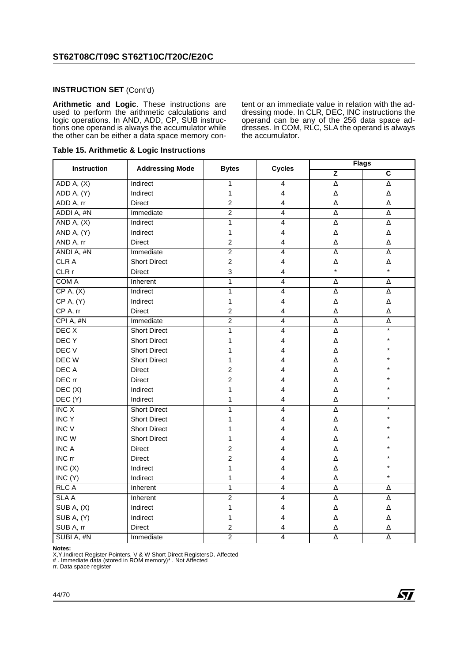#### **INSTRUCTION SET** (Cont'd)

**Arithmetic and Logic**. These instructions are used to perform the arithmetic calculations and logic operations. In AND, ADD, CP, SUB instructions one operand is always the accumulator while the other can be either a data space memory content or an immediate value in relation with the addressing mode. In CLR, DEC, INC instructions the operand can be any of the 256 data space addresses. In COM, RLC, SLA the operand is always the accumulator.

| <b>Instruction</b> | <b>Addressing Mode</b> | <b>Bytes</b>     | <b>Cycles</b>           | <b>Flags</b>        |                         |  |
|--------------------|------------------------|------------------|-------------------------|---------------------|-------------------------|--|
|                    |                        |                  |                         | $\overline{z}$      | $\overline{\mathsf{c}}$ |  |
| ADD A, (X)         | Indirect               | $\mathbf{1}$     | 4                       | $\Delta$            | Δ                       |  |
| ADD A, (Y)         | Indirect               | $\mathbf{1}$     | 4                       | $\Delta$            | Δ                       |  |
| ADD A, rr          | <b>Direct</b>          | $\boldsymbol{2}$ | 4                       | Δ                   | Δ                       |  |
| ADDI A, #N         | Immediate              | $\overline{2}$   | 4                       | Δ                   | Δ                       |  |
| AND $A, (X)$       | Indirect               | $\mathbf{1}$     | 4                       | Δ                   | Δ                       |  |
| AND A, (Y)         | Indirect               | $\mathbf 1$      | 4                       | $\Delta$            | Δ                       |  |
| AND A, rr          | Direct                 | $\overline{2}$   | 4                       | $\Delta$            | Δ                       |  |
| ANDI A, #N         | Immediate              | $\overline{2}$   | $\overline{4}$          | $\overline{\Delta}$ | $\overline{\Delta}$     |  |
| <b>CLRA</b>        | <b>Short Direct</b>    | $\overline{2}$   | 4                       | $\Delta$            | Δ                       |  |
| CLR r              | Direct                 | 3                | 4                       | $\star$             | $\star$                 |  |
| COM A              | Inherent               | $\mathbf{1}$     | 4                       | Δ                   | Δ                       |  |
| CP A, (X)          | Indirect               | $\mathbf{1}$     | $\overline{4}$          | Δ                   | Δ                       |  |
| CP A, (Y)          | Indirect               | $\mathbf 1$      | 4                       | $\Delta$            | Δ                       |  |
| CP A, rr           | <b>Direct</b>          | $\overline{c}$   | 4                       | Δ                   | Δ                       |  |
| CPI A, #N          | Immediate              | $\overline{2}$   | $\overline{4}$          | Δ                   | Δ                       |  |
| DEC <sub>X</sub>   | <b>Short Direct</b>    | $\mathbf{1}$     | $\overline{\mathbf{4}}$ | Δ                   | $\star$                 |  |
| DEC Y              | <b>Short Direct</b>    | 1                | 4                       | Δ                   |                         |  |
| DEC V              | <b>Short Direct</b>    | 1                | 4                       | Δ                   |                         |  |
| DEC W              | <b>Short Direct</b>    | 1                | 4                       | Δ                   |                         |  |
| DEC A              | <b>Direct</b>          | $\overline{c}$   | 4                       | Δ                   |                         |  |
| DEC rr             | <b>Direct</b>          | $\overline{c}$   | 4                       | Δ                   |                         |  |
| DEC(X)             | Indirect               | 1                | 4                       | Δ                   |                         |  |
| DEC(Y)             | Indirect               | 1                | 4                       | $\Delta$            |                         |  |
| INC X              | <b>Short Direct</b>    | 1                | $\overline{\mathbf{4}}$ | Δ                   |                         |  |
| <b>INCY</b>        | <b>Short Direct</b>    | 1                | 4                       | $\Delta$            |                         |  |
| <b>INC V</b>       | <b>Short Direct</b>    | 1                | 4                       | Δ                   |                         |  |
| <b>INC W</b>       | <b>Short Direct</b>    | 1                | 4                       | Δ                   |                         |  |
| <b>INC A</b>       | Direct                 | $\overline{c}$   | 4                       | Δ                   |                         |  |
| INC rr             | <b>Direct</b>          | $\overline{c}$   | 4                       | Δ                   |                         |  |
| INC(X)             | Indirect               | 1                | 4                       | Δ                   |                         |  |
| INC (Y)            | Indirect               | 1                | 4                       | Δ                   |                         |  |
| <b>RLC A</b>       | Inherent               | 1                | 4                       | Δ                   | Δ                       |  |
| <b>SLAA</b>        | Inherent               | $\overline{2}$   | 4                       | $\Delta$            | Δ                       |  |
| SUB A, (X)         | Indirect               | 1                | 4                       | $\Delta$            | Δ                       |  |
| SUB A, (Y)         | Indirect               | 1                | 4                       | Δ                   | Δ                       |  |
| SUB A, rr          | <b>Direct</b>          | $\boldsymbol{2}$ | 4                       | Δ                   | Δ                       |  |
| SUBI A, #N         | Immediate              | $\overline{2}$   | $\overline{4}$          | Δ                   | Δ                       |  |

**Notes:**<br>X,Y.Indirect Register Pointers, V & W Short Direct RegistersD. Affected<br># . Immediate data (stored in ROM memory)\* . Not Affected

rr. Data space register

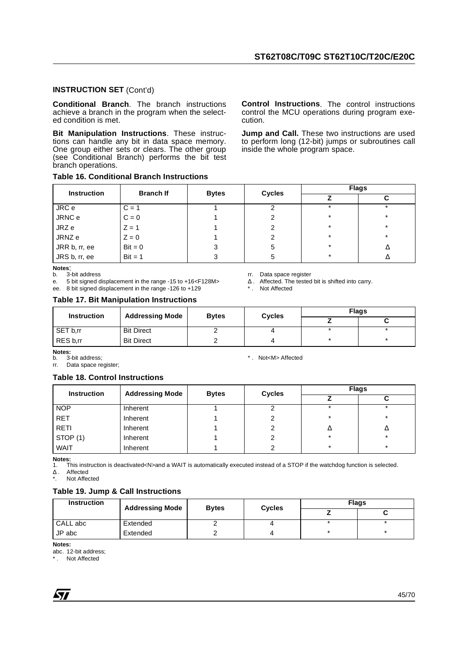#### **INSTRUCTION SET** (Cont'd)

**Conditional Branch**. The branch instructions achieve a branch in the program when the selected condition is met.

**Bit Manipulation Instructions**. These instructions can handle any bit in data space memory. One group either sets or clears. The other group (see Conditional Branch) performs the bit test branch operations.

#### **Table 16. Conditional Branch Instructions**

| <b>Instruction</b> | <b>Branch If</b> | <b>Bytes</b> | <b>Cycles</b> | <b>Flags</b> |         |  |
|--------------------|------------------|--------------|---------------|--------------|---------|--|
|                    |                  |              |               |              | С       |  |
| JRC e              | $C = 1$          |              |               | ×            | $\star$ |  |
| JRNC e             | $C = 0$          |              | ∠             | $\star$      | $\star$ |  |
| JRZ e              | $Z = 1$          |              |               | $\star$      | $\star$ |  |
| JRNZ e             | $Z = 0$          |              |               | $\star$      | $\star$ |  |
| JRR b, rr, ee      | $Bit = 0$        | 3            | 5             | $\star$      |         |  |
| JRS b, rr, ee      | $Bit = 1$        | 3            | 5             | $\star$      |         |  |

**Notes:**<br>b 3-bit address

e. 5 bit signed displacement in the range -15 to +16<F128M>

ee. 8 bit signed displacement in the range -126 to +129 \* Not Affected

#### **Table 17. Bit Manipulation Instructions**

**Instruction** Addressing Mode Bytes Cycles **Flags Z C** SET b,rr Bit Direct 2 4 \* \* RES b,rr Bit Direct 2 4 \* \*

**Notes:**<br>b. 3-bit address:

rr. Data space register;

#### **Table 18. Control Instructions**

| <b>Instruction</b> | <b>Addressing Mode</b> | <b>Bytes</b> | <b>Cycles</b> | <b>Flags</b> |         |
|--------------------|------------------------|--------------|---------------|--------------|---------|
|                    |                        |              |               |              |         |
| <b>NOP</b>         | Inherent               |              |               |              |         |
| <b>RET</b>         | Inherent               |              |               | $\star$      | $\star$ |
| <b>RETI</b>        | Inherent               |              |               | Δ            | Δ       |
| STOP (1)           | Inherent               |              |               | *            | $\star$ |
| WAIT               | Inherent               |              |               | $\star$      | $\star$ |

**Notes:** 1. This instruction is deactivated<N>and a WAIT is automatically executed instead of a STOP if the watchdog function is selected.

∆ . Affected

Not Affected

#### **Table 19. Jump & Call Instructions**

| <b>Instruction</b> | <b>Addressing Mode</b> | <b>Bytes</b> | <b>Cycles</b> | <b>Flags</b> |  |  |
|--------------------|------------------------|--------------|---------------|--------------|--|--|
|                    |                        |              |               |              |  |  |
| CALL abc           | Extended               |              |               |              |  |  |
| JP abc             | Extended               |              |               |              |  |  |

**Notes:**

abc. 12-bit address;

Not Affected

*STI* 

**Control Instructions**. The control instructions control the MCU operations during program execution.

**Jump and Call.** These two instructions are used to perform long (12-bit) jumps or subroutines call inside the whole program space.

rr. Data space register<br> $\Delta$ . Affected. The tested bit is shifted into carry.

b. 3-bit address;  $\ast$  . Not<M> Affected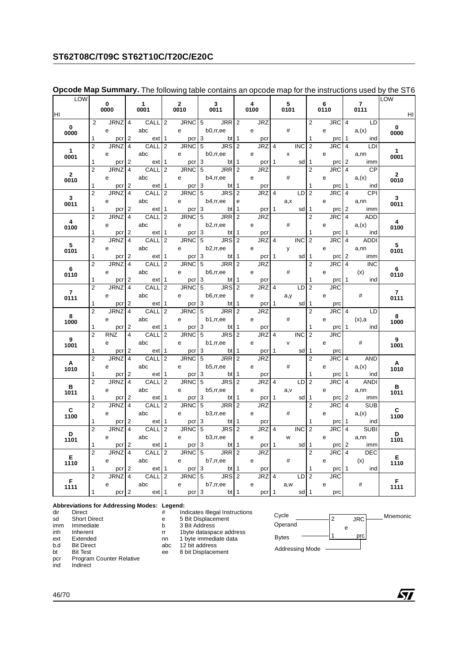## **ST62T08C/T09C ST62T10C/T20C/E20C**

| LOW                     |                |                     |                         |                      |                |                      |   |                                |                |           |                     |                |              |                 |                |              |                         |                        | LOW                     |
|-------------------------|----------------|---------------------|-------------------------|----------------------|----------------|----------------------|---|--------------------------------|----------------|-----------|---------------------|----------------|--------------|-----------------|----------------|--------------|-------------------------|------------------------|-------------------------|
| HI                      |                | $\mathbf 0$<br>0000 |                         | $\mathbf{1}$<br>0001 |                | $\mathbf{2}$<br>0010 |   | $\mathbf{3}$<br>0011           |                | 4<br>0100 |                     |                | 5<br>0101    |                 |                | 6<br>0110    |                         | $\overline{7}$<br>0111 | – HI                    |
|                         | 2              | JRNZ <sup>4</sup>   |                         | CALL                 | $\overline{2}$ | <b>JRNC</b>          |   | $5$ JRR 2                      |                |           | <b>JRZ</b>          |                |              |                 | $\overline{2}$ | <b>JRC</b>   |                         | $4$ LD                 |                         |
| $\mathbf{0}$<br>0000    |                | e                   |                         | abc                  |                | e                    |   | b0,rr,ee                       |                | e         |                     |                | #            |                 |                | e            |                         | a(x)                   | $\mathbf{0}$<br>0000    |
|                         | 1              | pcr                 | 2                       | ext                  | 1              | pcr                  | 3 | $bt$ 1                         |                |           | pcr                 |                |              |                 | 1              | prc          | -1                      | ind                    |                         |
|                         | $\overline{2}$ | <b>JRNZ</b>         | $\overline{\mathbf{A}}$ | CALL                 | 2              | <b>JRNC</b>          | 5 | <b>JRS</b>                     | $\overline{2}$ |           | <b>JRZ</b>          | $\overline{4}$ |              | <b>INC</b>      | $\overline{2}$ | JRC          | $\overline{4}$          | LDI                    |                         |
| $\overline{1}$<br>0001  |                | e                   |                         | abc                  |                | e                    |   | b0,rr,ee                       |                | e         |                     |                | x            |                 |                | e            |                         | a,nn                   | $\overline{1}$<br>0001  |
|                         | 1              | pcr                 | $\overline{2}$          | ext                  | -1             | pcr                  | 3 | bt 1                           |                |           | pcr                 | 1              |              | sd              | 1              | prc          | $\overline{2}$          | imm                    |                         |
|                         | $\overline{2}$ | <b>JRNZ</b>         | $\overline{4}$          | CALL                 | $\overline{2}$ | <b>JRNC</b>          | 5 | JRR                            | $\overline{2}$ |           | <b>JRZ</b>          |                |              |                 | $\overline{2}$ | <b>JRC</b>   | $\overline{4}$          | <b>CP</b>              |                         |
| $\overline{2}$          |                | e                   |                         | abc                  |                | e                    |   | b4,rr,ee                       |                | e         |                     |                | #            |                 |                | e            |                         | a,(x)                  | $\overline{2}$          |
| 0010                    | 1              | pcr 2               |                         | ext                  | $\mathbf{1}$   | pcr 3                |   | $bt \mid 1$                    |                |           | pcr                 |                |              |                 | 1              | prc 1        |                         | ind                    | 0010                    |
|                         | $\overline{2}$ | <b>JRNZ</b>         | $\overline{4}$          | CALL                 | $\overline{2}$ | <b>JRNC</b>          | 5 | <b>JRS</b>                     | $\overline{2}$ |           | <b>JRZ</b>          | $\overline{4}$ |              | LD              | $\overline{2}$ | <b>JRC</b>   | $\overline{4}$          | CPI                    |                         |
| $\overline{\mathbf{3}}$ |                |                     |                         |                      |                |                      |   |                                |                |           |                     |                |              |                 |                |              |                         |                        | $\overline{\mathbf{3}}$ |
| 0011                    |                | e i                 |                         | abc                  |                | e                    |   | b4,rr,ee                       | e              |           |                     |                | a,x          |                 |                | e            |                         | a,nn                   | 0011                    |
|                         | 1              | pcr 2               |                         | ext                  | -1             |                      |   | $per \ 3$ bt 1                 |                |           | pcr 1               |                |              | sd              | 1              | $prc$ 2      |                         | imm                    |                         |
| $\overline{\mathbf{4}}$ | $\overline{2}$ | JRNZ 4              |                         | CALL 2               |                |                      |   | $JRNC$ $5$ $JRR$ $2$           |                |           | JRZ                 |                |              |                 | 2              | JRC          | $\overline{4}$          | ADD                    | $\overline{\mathbf{4}}$ |
| 0100                    |                | e                   |                         | abc                  |                | e                    |   | b2,rr,ee                       |                | e         |                     |                | #            |                 |                | e            |                         | a(x)                   | 0100                    |
|                         | 1              | pcr                 | $\overline{2}$          | ext                  | 1              | pcr                  | 3 | <b>bt</b> 1                    |                |           | pcr                 |                |              |                 | 1              | prc          | $\mathbf{1}$            | ind                    |                         |
|                         | $\overline{2}$ | <b>JRNZ</b>         | $\overline{4}$          | CALL                 | $\overline{2}$ | <b>JRNC</b>          | 5 | $\overline{\phantom{0}}$ JRS 2 |                |           | JRZ 4               |                |              | <b>INC</b>      | $\overline{2}$ | <b>JRC</b>   | $\overline{4}$          | <b>ADD</b>             |                         |
| $5\overline{5}$<br>0101 |                | e                   |                         | abc                  |                | e                    |   | $b2,$ rr,ee                    |                | e         |                     |                | y            |                 |                | e            |                         | a,nn                   | 5<br>0101               |
|                         | 1              | pcr                 | 2                       | ext                  | 1              | pcr                  | 3 | $bt \mid 1$                    |                |           | pcr 1               |                |              | sd              | 1              | prc          | 2                       | imm                    |                         |
|                         | $\overline{2}$ | <b>JRNZ</b>         | $\overline{\mathbf{A}}$ | CALL                 | 2              | <b>JRNC</b>          | 5 | JRR <sub>2</sub>               |                |           | <b>JRZ</b>          |                |              |                 | $\overline{2}$ | JRC          | $\overline{4}$          | <b>INC</b>             | $6\overline{6}$         |
| 6                       |                | e                   |                         | abc                  |                | e                    |   | b6,rr,ee                       |                | e         |                     |                | #            |                 |                | e            |                         | (x)                    |                         |
| 0110                    | 1              | pcr                 | $\overline{2}$          | ext                  | -1             | pcr                  | 3 | bt 1                           |                |           | pcr                 |                |              |                 | 1              | prc          | $\overline{1}$          | ind                    | 0110                    |
|                         | $\overline{2}$ | <b>JRNZ</b>         | $\overline{4}$          | CALL                 | $\overline{2}$ | <b>JRNC</b>          | 5 | <b>JRS</b>                     | $\overline{2}$ |           | <b>JRZ</b>          | $\overline{4}$ |              | LD              | $\overline{2}$ | <b>JRC</b>   |                         |                        |                         |
| $\overline{7}$          |                | e                   |                         | abc                  |                | e                    |   | b6,rr,ee                       |                | e         |                     |                | a,y          |                 |                | e            |                         | #                      | $\overline{7}$          |
| 0111                    | 1              | pcr <sub>2</sub>    |                         | ext                  | $\mathbf{1}$   | pcr <sub>3</sub>     |   |                                |                |           |                     |                |              | sd              | 1              |              |                         |                        | 0111                    |
|                         | $\overline{2}$ | <b>JRNZ</b>         | $\overline{4}$          | CALL                 | $\overline{2}$ | <b>JRNC</b>          | 5 | $bt$ 1<br>JRR 2                |                |           | pcr 1<br><b>JRZ</b> |                |              |                 | $\overline{2}$ | prc<br>JRC 4 |                         | <b>LD</b>              |                         |
| 8                       |                |                     |                         |                      |                |                      |   |                                |                |           |                     |                |              |                 |                |              |                         |                        | $\overline{\mathbf{8}}$ |
| 1000                    |                | e                   |                         | abc                  |                | e                    |   | $b1,$ rr,ee                    |                | e         |                     |                | #            |                 |                | e            |                         | (x), a                 | 1000                    |
|                         | 1              | pcr                 | 2                       | ext                  | 1              |                      |   | pcr 3 bt 1                     |                |           | pcr                 |                |              |                 | 1              |              |                         | $prc$ 1 ind            |                         |
| 9                       | $\overline{2}$ | <b>RNZ</b>          | $\overline{4}$          | CALL <sub>2</sub>    |                |                      |   | $JRNC$ $5$ $JRS$ $2$           |                |           | JRZ 4               |                |              | <b>INC</b>      | $\overline{2}$ | <b>JRC</b>   |                         |                        | 9                       |
| 1001                    |                | e                   |                         | abc                  |                | e                    |   | b1,rr,ee                       |                | e         |                     |                | $\mathsf{V}$ |                 |                | e            |                         | #                      | 1001                    |
|                         | 1              | pcr                 | 2                       | ext                  | -1             | pcr                  | 3 | bt 1                           |                |           | pcr <sub>1</sub>    |                |              | sd              | 1              | prc          |                         |                        |                         |
|                         | $\overline{2}$ | <b>JRNZ</b>         | $\overline{4}$          | CALL                 | $\overline{2}$ | <b>JRNC</b>          | 5 | JRR 2                          |                |           | <b>JRZ</b>          |                |              |                 | $\overline{2}$ | <b>JRC</b>   |                         | 4 AND                  | A                       |
| A<br>1010               |                | e                   |                         | abc                  |                | e                    |   | b5,rr,ee                       |                | e         |                     |                | #            |                 |                | e            |                         | a(x)                   | 1010                    |
|                         | 1              | pcr                 | 2                       | ext                  | 1              | pcr                  | 3 | bt <sub>1</sub>                |                |           | pcr                 |                |              |                 |                | prc          |                         | ind i                  |                         |
|                         | $\overline{2}$ | <b>JRNZ</b>         | $\overline{\mathbf{A}}$ | CALL                 | 2              | <b>JRNC</b>          | 5 | JRS 2                          |                |           | JRZ 4               |                |              | LD              | $\overline{2}$ | JRC          | $\overline{4}$          | <b>ANDI</b>            |                         |
| B<br>1011               |                | e                   |                         | abc                  |                | e                    |   | b5, r, ee                      |                | e         |                     |                | a,v          |                 |                | e            |                         | a,nn                   | $\overline{B}$<br>1011  |
|                         | 1              | pcr                 | 2                       | ext                  | 1              | pcr                  | 3 | bt <sub>1</sub>                |                |           | pcr 1               |                |              | sd              | 1              | prc          | 2                       | imm                    |                         |
|                         | $\overline{2}$ | <b>JRNZ</b>         | $\overline{4}$          | CALL                 | $\overline{2}$ | <b>JRNC</b>          | 5 | <b>JRR</b>                     | $\overline{2}$ |           | <b>JRZ</b>          |                |              |                 | $\overline{2}$ | JRC          | $\overline{4}$          | <b>SUB</b>             |                         |
| $\mathbf{C}$            |                | e                   |                         | abc                  |                | e                    |   | b3,rr,ee                       |                | e         |                     |                | #            |                 |                | e            |                         | a,(x)                  | $\mathbf{C}$            |
| 1100                    | 1              | pcr <sub>2</sub>    |                         | ext                  | $\mathbf{1}$   | $pcr$ 3              |   | bt <sub>1</sub>                |                |           | pcr                 |                |              |                 | 1              | prc          | ∣ 1                     | ind                    | 1100                    |
|                         | $\overline{2}$ | <b>JRNZ</b>         | $\overline{4}$          | <b>CALL</b>          | $\overline{2}$ | <b>JRNC</b>          | 5 | JRS 2                          |                |           | <b>JRZ</b>          | $\overline{4}$ |              | <b>INC</b>      | $\overline{2}$ | <b>JRC</b>   | $\overline{\mathbf{A}}$ | <b>SUBI</b>            |                         |
| D                       |                | e i                 |                         | abc                  |                | e                    |   | b3, r, ee                      |                | e         |                     |                | W            |                 |                | e            |                         | a,nn                   | <b>D</b>                |
| 1101                    | 1              |                     | $\overline{2}$          |                      | 1              |                      |   | pcr 3 bt                       | $\mathbf{1}$   |           |                     | 1              |              | sd              | 1              |              | 2                       | imm                    | 1101                    |
|                         | $\overline{2}$ | pcr                 |                         | ext                  |                |                      |   | $JRNC$ $5$ $JRR$ $2$           |                |           | pcr<br><b>JRZ</b>   |                |              |                 | $\overline{2}$ | prc          | $\overline{4}$          | DEC                    |                         |
| E                       |                | JRNZ <sup>4</sup>   |                         | CALL <sub>2</sub>    |                |                      |   |                                |                |           |                     |                |              |                 |                | <b>JRC</b>   |                         |                        | E                       |
| 1110                    |                | e                   |                         | abc                  |                | e                    |   | b7,rr,ee                       |                | e         |                     |                | #            |                 |                | e            |                         | (x)                    | 1110                    |
|                         | 1              | pcr                 | $\overline{2}$          | ext                  | -1             | pcr 3                |   | bt 1                           |                |           | pcr                 |                |              |                 | 1              | prc 1        |                         | ind                    |                         |
| F.                      | $\overline{2}$ | <b>JRNZ</b>         | $\overline{4}$          | <b>CALL</b>          | $\overline{2}$ | <b>JRNC</b>          |   | $5^{\circ}$<br>JRS 2           |                |           | JRZ <sup>4</sup>    |                |              | LD              | $\overline{2}$ | <b>JRC</b>   |                         |                        | F.                      |
| 1111                    |                | e                   |                         | abc                  |                | e                    |   | b7,rr,ee                       |                | e         |                     |                | a, w         |                 |                | e            |                         | #                      | 1111                    |
|                         | $\mathbf{1}$   | pcr <sub>2</sub>    |                         | ext 1                |                | pcr <sub>3</sub>     |   | bt <sub>1</sub>                |                |           | pcr 1               |                |              | sd <sub>1</sub> |                | prc          |                         |                        |                         |

#### **Opcode Map Summary.** The following table contains an opcode map for the instructions used by the ST6

## **Abbreviations for Addressing Modes: Legend:**

- sd Short Direct e 5 Bit Displacement
- imm Immediate b 3 Bit Address<br>
inh Inherent for the dataspay
- b.d Bit Direct abc 12 bit address
- 
- 
- 
- dir Direct **Algebra 1.5 and 1.5 and 1.5 and 1.5 and 1.5 and 1.6 and 1.6 and 1.6 and 1.6 and 1.6 and 1.6 and 1.6 and 1.6 and 1.6 and 1.6 and 1.6 and 1.6 and 1.6 and 1.6 and 1.6 and 1.6 and 1.6 and 1.6 and 1.6 and 1.6 and 1.** 
	- -
	- inherent rr 1byte dataspace address<br>
	Extended Tr 1byte dataspace address<br>
	Extended Trn 1 byte immediate data
- ext Extended **notation contract that is extended** nn 1 byte immediate data
	-
- bt Bit Test ee 8 bit Displacement<br>
pcr Program Counter Relative<br>
Program Counter Relative pcr Program Counter Relative<br>ind Indirect
- Indirect





勾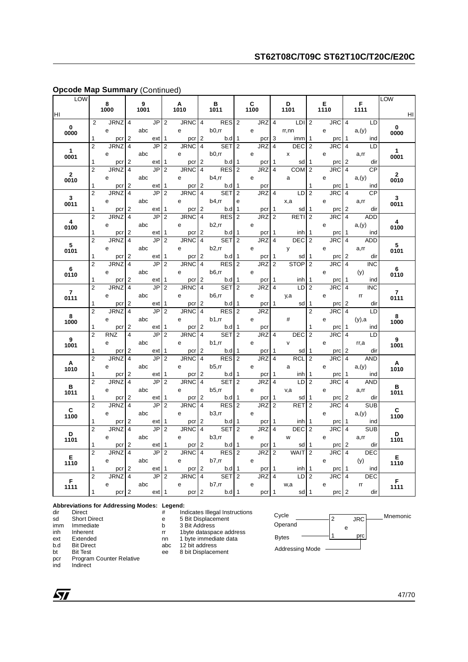| LOW                    |                     |                    |                                           |           |           |                     |                    |                                  |                   |                     |           |                  |                     |                        |                     |                   |                |                                      | LOW                    |
|------------------------|---------------------|--------------------|-------------------------------------------|-----------|-----------|---------------------|--------------------|----------------------------------|-------------------|---------------------|-----------|------------------|---------------------|------------------------|---------------------|-------------------|----------------|--------------------------------------|------------------------|
| HI                     |                     | 8<br>1000          |                                           | 9<br>1001 |           |                     | A<br>1010          |                                  | В<br>1011         |                     | C<br>1100 |                  |                     | D<br>1101              |                     | E<br>1110         |                | F<br>1111                            | HI                     |
|                        | $\overline{2}$      | <b>JRNZ</b>        | $\overline{4}$                            |           | <b>JP</b> | $\overline{2}$      | <b>JRNC</b>        | 4                                | RES               | $\overline{2}$      |           | JRZ 4            |                     | LDI <sub>2</sub>       |                     | <b>JRC</b>        |                | $\overline{4}$<br><b>LD</b>          |                        |
| $\mathbf 0$<br>0000    |                     | e                  |                                           | abc       |           |                     | e                  |                                  | $b0, r$ r         |                     | e         |                  |                     | rr,nn                  |                     | e                 |                | a(y)                                 | $\mathbf 0$<br>0000    |
|                        | 1                   | pcr                | $\overline{2}$                            |           | ext       | 1                   | pcr                | $\overline{2}$                   | b.dl              | 1                   |           | pcr              | 3                   | imm                    | 1                   | prc               | $\mathbf{1}$   | ind                                  |                        |
|                        | $\overline{2}$      | <b>JRNZ</b>        | $\overline{4}$                            |           | JP        | $\overline{2}$      | <b>JRNC</b>        | $\overline{4}$                   | <b>SET</b>        | $\overline{2}$      |           | JRZ              | $\overline{4}$      | <b>DEC</b>             | $\overline{2}$      | <b>JRC</b>        |                | $\overline{4}$<br>LD                 |                        |
| $\mathbf{1}$<br>0001   |                     | e                  |                                           | abc       |           |                     | e                  |                                  | $b0,$ rr          |                     | e         |                  |                     | x                      |                     | e                 |                | a,rr                                 | $\overline{1}$<br>0001 |
|                        | 1                   | pcr                | 2                                         |           | ext       | 1                   | pcr                | 2                                | b.d               | 1                   |           | pcr              | 1                   | sd                     | 1                   | prc               |                | 2<br>dir                             |                        |
|                        | $\overline{2}$      | <b>JRNZ</b>        | 4                                         |           | JP        | $\overline{2}$      | JRNC               | $\overline{4}$                   | <b>RES</b>        | $\overline{2}$      |           | JRZ              | 4                   | <b>COM</b>             | $\overline{2}$      | JRC               |                | $\overline{\mathbf{A}}$<br><b>CP</b> |                        |
| $\overline{2}$<br>0010 |                     | e                  |                                           | abc       |           |                     | e                  |                                  | b4,rr             |                     | e         |                  |                     | a                      |                     | е                 |                | a(y)                                 | $\overline{2}$<br>0010 |
|                        | 1                   | pcr                | $\overline{2}$                            |           | ext       | 1                   | pcr                | $\overline{2}$                   | b.dl              | 1                   |           | pcr              |                     |                        | 1                   | prc               | $\mathbf{1}$   | ind                                  |                        |
| 3 <sup>1</sup>         | $\overline{2}$      | <b>JRNZ</b>        | $\overline{4}$                            |           | <b>JP</b> | $\overline{2}$      | <b>JRNC</b>        | $\overline{4}$                   | <b>SET</b>        | $\overline{2}$      |           | <b>JRZ</b>       | $\overline{4}$      | LD                     | $\overline{2}$      | JRC               |                | $\overline{4}$<br>CP                 | 3 <sup>1</sup>         |
| 0011                   |                     | e                  |                                           | abc       |           |                     | e                  |                                  | b4,rr             | е                   |           |                  |                     | x,a                    |                     | e                 |                | a,rr                                 | 0011                   |
|                        | 1                   | pcr                | $\overline{2}$                            |           | ext       | 1                   | pcr                | $\overline{2}$                   | b.d               | $\mathbf{1}$        |           | pcr              | 1                   | sd                     | 1                   | prc               |                | 2<br>dir                             |                        |
| $\overline{4}$         | $\overline{2}$      | <b>JRNZ</b>        | $\overline{4}$                            |           | JP        | $\overline{2}$      | <b>JRNC</b>        | $\overline{4}$                   | <b>RES</b>        | $\overline{2}$      |           | <b>JRZ</b>       | $\overline{2}$      | RETI                   | $\overline{2}$      | <b>JRC</b>        |                | <b>ADD</b><br>4                      | $\overline{4}$         |
| 0100                   |                     | е                  |                                           | abc       |           |                     | е                  |                                  | b2,rr             |                     | e         |                  |                     |                        |                     | е                 |                | a(y)                                 | 0100                   |
|                        | 1                   | pcr                | $\overline{2}$                            |           | ext       | -1                  | pcr                | 2                                | b.d               | 1                   |           | pcr              | 1                   | inh                    | 1                   | prc               |                | 1<br>ind                             |                        |
| 5 <sup>5</sup>         | $\overline{2}$      | JRNZ               | 4                                         |           | JP        | 2                   | JRNC               | $\overline{4}$                   | <b>SET</b>        | $\overline{2}$      |           | JRZ              | 4                   | DEC                    | $\overline{2}$      | JRC               |                | 4<br>ADD                             | 5                      |
| 0101                   |                     | e                  |                                           | abc       |           |                     | e                  |                                  | b2,rr             |                     | e         |                  |                     | y                      |                     | e                 |                | a,rr                                 | 0101                   |
|                        | 1                   | pcr                | 2                                         |           | ext       | 1                   | pcr                | 2                                | b.d               | 1                   |           | pcr              | -1                  | sd                     | 1                   | prc               |                | 2<br>dir                             |                        |
| 6                      | $\overline{2}$      | <b>JRNZ</b>        | $\overline{4}$                            |           | JP        | $\overline{2}$      | <b>JRNC</b>        | $\overline{4}$                   | <b>RES</b>        | $\overline{2}$      |           | <b>JRZ</b>       | $\overline{2}$      | <b>STOP</b>            | $\overline{2}$      | <b>JRC</b>        | $\overline{4}$ | <b>INC</b>                           | 6                      |
| 0110                   |                     | e                  |                                           | abc       |           |                     | e                  |                                  | $b6, r$ r         |                     | e         |                  |                     |                        |                     | e                 |                | (y)                                  | 0110                   |
|                        | 1                   | pcr                | 2                                         |           | ext       | 1                   | pcr                | 2                                | b.d               | 1                   |           | pcr              | 1                   | inh                    | 1                   | prc               |                | 1<br>ind                             |                        |
| $\overline{7}$         | $\overline{2}$      | <b>JRNZ</b>        | 4                                         |           | JP        | $\overline{2}$      | <b>JRNC</b>        | 4                                | <b>SET</b>        | $\overline{2}$      |           | <b>JRZ</b>       | 4                   | LD                     | $\overline{2}$      | <b>JRC</b>        |                | $\overline{4}$<br><b>INC</b>         | $\overline{7}$         |
| 0111                   |                     | e                  |                                           | abc       |           |                     | e                  |                                  | $b6, r$ r         |                     | e         |                  |                     | y,a                    |                     | е                 |                | rr                                   | 0111                   |
|                        | 1                   | pcr                | $\overline{2}$                            |           | ext       | 1                   | pcr                | $\overline{2}$                   | $b.d$ 1           |                     |           | pcr 1            |                     | sd                     | 1                   | prc               |                | 2<br>dir                             |                        |
| 8                      | $\overline{2}$      | <b>JRNZ</b>        | $\overline{4}$                            |           | JP        | $\overline{2}$      | <b>JRNC</b>        | $\overline{4}$                   | <b>RES</b>        | $\overline{2}$      |           | JRZ              |                     |                        | $\overline{2}$      | JRC               |                | $\overline{4}$<br>LD                 | 8                      |
| 1000                   |                     | e                  |                                           | abc       |           |                     | е                  |                                  | b1,rr             |                     | e         |                  |                     | $\#$                   |                     | е                 |                | (y),a                                | 1000                   |
|                        | 1                   | pcr                | 2                                         |           | ext       | -1                  | pcr                | 2                                | b.d               | -1                  |           | pcr              |                     |                        | 1                   | prc               |                | ind<br>1                             |                        |
| 9                      | $\overline{2}$      | <b>RNZ</b>         | 4                                         |           | JP        | $\overline{2}$      | <b>JRNC</b>        | 4                                | <b>SET</b>        | $\overline{2}$      |           | JRZ <sup>4</sup> |                     | <b>DEC</b>             | $\overline{2}$      | <b>JRC</b>        |                | LD<br>4                              | 9                      |
| 1001                   |                     | e                  |                                           | abc       |           |                     | e                  |                                  | b1,rr             |                     | e         |                  |                     | $\mathsf{v}$           |                     | e                 |                | rr,a                                 | 1001                   |
|                        | 1                   | pcr                | 2                                         |           | ext       | 1                   | pcr                | $\overline{2}$                   | b.d               | 1                   |           | pcr              |                     | sd                     | 1                   | prc               |                | 2<br>dir                             |                        |
| $\mathsf{A}$           | $\overline{2}$      | <b>JRNZ</b>        | 4                                         |           | JP        | $\overline{2}$      | <b>JRNC</b>        | $\overline{4}$                   | <b>RES</b>        | $\overline{2}$      |           | JRZ              | 4                   | <b>RCL</b>             | $\overline{2}$      | JRC               |                | $\overline{4}$<br><b>AND</b>         | A                      |
| 1010                   |                     | e                  |                                           | abc       |           |                     | e                  |                                  | b5,rr             |                     | e         |                  |                     | a                      |                     | e                 |                | a(y)                                 | 1010                   |
|                        | 1                   | pcr                | 2                                         |           | ext       |                     | pcr                | $\overline{2}$                   | b.d               | $\mathbf{1}$        |           | pcr              | 1                   | inh                    |                     | prc               |                | ind<br>1                             |                        |
| в                      | $\overline{2}$      | <b>JRNZ</b>        | $\overline{4}$                            |           | JP        | $\overline{2}$      | <b>JRNC</b>        | $\overline{4}$                   | <b>SET</b>        | $\overline{2}$      |           | JRZ              | $\overline{4}$      | LD                     | $\overline{2}$      | JRC               |                | $\overline{4}$<br><b>AND</b>         | $\overline{B}$         |
| 1011                   |                     | e                  |                                           | abc       |           |                     | e                  |                                  | $b5, r$ r         |                     | e         |                  |                     | v,a                    |                     | e                 |                | a,rr                                 | 1011                   |
|                        | 1                   | pcr                | 2                                         |           | ext       | 1                   | pcr                | $\overline{2}$                   | b.d               | 1                   |           | pcr              | 1                   | sd                     | 1                   | prc               |                | 2<br>dir                             |                        |
| C                      | $\overline{2}$      | <b>JRNZ</b>        | $\overline{\mathbf{A}}$                   |           | JP        | $\overline{2}$      | <b>JRNC</b>        | $\overline{4}$                   | <b>RES</b>        | $\overline{2}$      |           | <b>JRZ</b>       | $\overline{2}$      | <b>RET</b>             | $\overline{2}$      | <b>JRC</b>        | $\overline{4}$ | <b>SUB</b>                           | $\mathbf{C}$           |
| 1100                   |                     | e                  |                                           | abc       |           |                     | e                  |                                  | b3,rr             |                     | e         |                  |                     |                        |                     | e                 |                | a(y)                                 | 1100                   |
|                        | 1<br>$\overline{2}$ | pcr                | $\overline{2}$<br>$\overline{\mathbf{A}}$ |           | ext<br>JP | 1                   | pcr                | $\overline{2}$<br>$\overline{4}$ | $b.d$ 1           |                     |           | pcr              | 1<br>$\overline{4}$ | inh                    | 1<br>$\overline{2}$ | prc               |                | 1<br>ind<br>$\overline{4}$           |                        |
| D                      |                     | <b>JRNZ</b>        |                                           |           |           | $\overline{2}$      | <b>JRNC</b>        |                                  | SET <sub>2</sub>  |                     |           | JRZ              |                     | <b>DEC</b>             |                     | JRC               |                | <b>SUB</b>                           | D                      |
| 1101                   |                     | e                  |                                           | abc       |           |                     | e                  |                                  | b3,rr             |                     | e         |                  |                     | W                      |                     | e                 |                | a,rr                                 | 1101                   |
|                        | 1<br>$\overline{2}$ | pcr                | 2<br>$\overline{4}$                       |           | ext<br>JP |                     | pcr                | 2<br>$\overline{4}$              | b.d               | 1                   |           | pcr              | 1                   | sd                     | 1                   | prc               |                | dir<br>2<br>$\overline{4}$           |                        |
| E                      |                     | <b>JRNZ</b>        |                                           |           |           | $\overline{2}$      | JRNC               |                                  | RES <sub>2</sub>  |                     |           | JRZ              | $\overline{2}$      | WAIT                   | $\overline{2}$      | JRC               |                | DEC                                  | E                      |
| 1110                   |                     | e                  |                                           | abc       |           |                     | e                  |                                  | b7,rr             |                     | e         |                  |                     |                        |                     | e                 |                | (y)                                  | 1110                   |
|                        | 1<br>$\overline{2}$ | pcr<br><b>JRNZ</b> | $\overline{2}$<br>$\overline{4}$          |           | ext<br>JP | 1<br>$\overline{2}$ | pcr<br><b>JRNC</b> | $\overline{2}$<br>$\overline{4}$ | b.d<br><b>SET</b> | 1<br>$\overline{2}$ |           | pcr<br>JRZ       | 1<br>4              | inh<br>LD              | 1<br>$\overline{2}$ | prc<br><b>JRC</b> | 1              | ind<br>$\overline{4}$<br>DEC         |                        |
| F.                     |                     | e                  |                                           | abc       |           |                     | e                  |                                  | b7,rr             |                     | e         |                  |                     |                        |                     | e                 |                | rr                                   | F                      |
| 1111                   | $\mathbf{1}$        | pcr 2              |                                           |           | ext 1     |                     | pcr <sub>2</sub>   |                                  | $b.d$ 1           |                     |           |                  |                     | w,a<br>sd <sub>1</sub> |                     |                   | prc 2          | dir                                  | 1111                   |
|                        |                     |                    |                                           |           |           |                     |                    |                                  |                   |                     |           | pcr 1            |                     |                        |                     |                   |                |                                      |                        |

#### **Opcode Map Summary** (Continued)

## **Abbreviations for Addressing Modes: Legend:**

- 
- 
- 
- 
- -
- 
- dir Direct **Algebra 1.5 and 1.5 and 1.5 and 1.5 and 1.5 and 1.6 and 1.6 and 1.6 and 1.6 and 1.6 and 1.6 and 1.6 and 1.6 and 1.6 and 1.6 and 1.6 and 1.6 and 1.6 and 1.6 and 1.6 and 1.6 and 1.6 and 1.6 and 1.6 and 1.6 and 1.** sd Short Direct e 5 Bit Displacement
	-
- imm Immediate b 3 Bit Address<br>
inh Inherent for the dataspay inh Inherent rr 1byte dataspace address<br>ext Extended and 1 byte immediate data
- ext Extended **notation contract that is extended** nn 1 byte immediate data
- b.d Bit Direct abc 12 bit address
	-
- bt Bit Test ee 8 bit Displacement<br>pcr Program Counter Relative<br>ind Indirect **Program Counter Relative**
- Indirect



 $\sqrt{57}$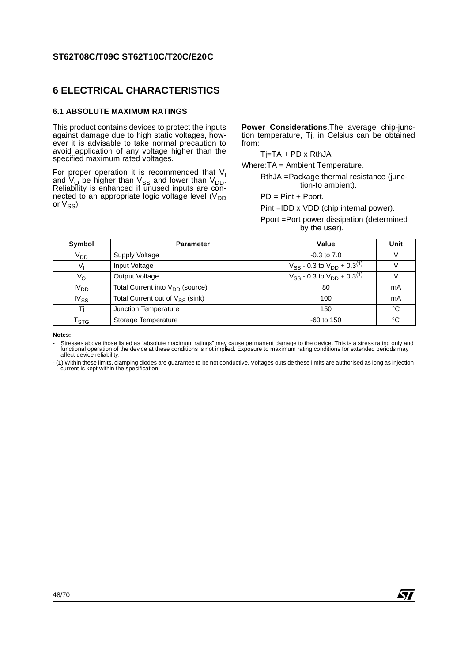## **6 ELECTRICAL CHARACTERISTICS**

#### **6.1 ABSOLUTE MAXIMUM RATINGS**

This product contains devices to protect the inputs against damage due to high static voltages, however it is advisable to take normal precaution to avoid application of any voltage higher than the specified maximum rated voltages.

For proper operation it is recommended that  $V<sub>1</sub>$ and  $V_{\rm Q}$  be higher than  $V_{\rm SS}$  and lower than  $V_{\rm DD}$ . Reliability is enhanced if unused inputs are connected to an appropriate logic voltage level  $(V_{DD}$ or  $V_{SS}$ ).

**Power Considerations**.The average chip-junction temperature, Tj, in Celsius can be obtained from:

 $Ti=TA + PD \times RthJA$ 

Where:TA = Ambient Temperature.

RthJA =Package thermal resistance (junction-to ambient).

PD = Pint + Pport.

Pint =IDD x VDD (chip internal power).

Pport =Port power dissipation (determined by the user).

| Symbol           | <b>Parameter</b>                     | Value                                           | Unit |
|------------------|--------------------------------------|-------------------------------------------------|------|
| V <sub>DD</sub>  | Supply Voltage                       | $-0.3$ to $7.0$                                 |      |
| V,               | Input Voltage                        | $V_{SS}$ - 0.3 to $V_{DD}$ + 0.3 <sup>(1)</sup> |      |
| Vo               | Output Voltage                       | $V_{SS}$ - 0.3 to $V_{DD}$ + 0.3 <sup>(1)</sup> |      |
| IV <sub>DD</sub> | Total Current into $V_{DD}$ (source) | 80                                              | mA   |
| $IV_{SS}$        | Total Current out of $V_{SS}$ (sink) | 100                                             | mA   |
| Τi               | Junction Temperature                 | 150                                             | °C   |
| l stg            | Storage Temperature                  | $-60$ to 150                                    | °C   |

**Notes:** 

- Stresses above those listed as "absolute maximum ratings" may cause permanent damage to the device. This is a stress rating only and functional operation of the device at these conditions is not implied. Exposure to maximum rating conditions for extended periods may affect device reliability.

- (1) Within these limits, clamping diodes are guarantee to be not conductive. Voltages outside these limits are authorised as long as injection current is kept within the specification.

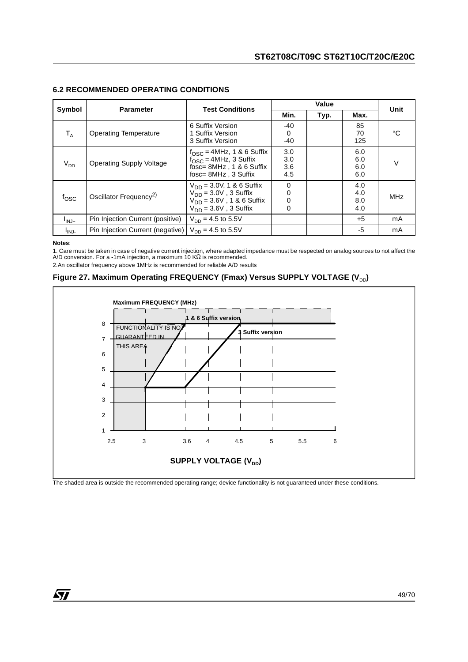|                   |                                    | <b>Test Conditions</b>                                                                                                       |                          | Value |                          |      |
|-------------------|------------------------------------|------------------------------------------------------------------------------------------------------------------------------|--------------------------|-------|--------------------------|------|
| Symbol            | <b>Parameter</b>                   |                                                                                                                              | Min.                     | Typ.  | Max.                     | Unit |
| $T_A$             | <b>Operating Temperature</b>       | 6 Suffix Version<br>1 Suffix Version<br>3 Suffix Version                                                                     | -40<br>0<br>$-40$        |       | 85<br>70<br>125          | °C   |
| $V_{DD}$          | <b>Operating Supply Voltage</b>    | $f_{\text{OSC}} = 4$ MHz, 1 & 6 Suffix<br>$f_{\rm OSC}$ = 4MHz, 3 Suffix<br>fosc= 8MHz, 1 & 6 Suffix<br>fosc= 8MHz, 3 Suffix | 3.0<br>3.0<br>3.6<br>4.5 |       | 6.0<br>6.0<br>6.0<br>6.0 | v    |
| $f_{\rm OSC}$     | Oscillator Frequency <sup>2)</sup> | $V_{DD} = 3.0V$ , 1 & 6 Suffix<br>$V_{DD}$ = 3.0V, 3 Suffix<br>$V_{DD} = 3.6V$ , 1 & 6 Suffix<br>$V_{DD}$ = 3.6V, 3 Suffix   | 0<br>0<br>0<br>0         |       | 4.0<br>4.0<br>8.0<br>4.0 | MHz  |
| $I_{\text{INJ+}}$ | Pin Injection Current (positive)   | $V_{DD} = 4.5$ to 5.5V                                                                                                       |                          |       | $+5$                     | mA   |
| I <sub>INJ-</sub> | Pin Injection Current (negative)   | $V_{\text{DD}} = 4.5$ to 5.5V                                                                                                |                          |       | -5                       | mA   |

#### **6.2 RECOMMENDED OPERATING CONDITIONS**

#### **Notes**:

1. Care must be taken in case of negative current injection, where adapted impedance must be respected on analog sources to not affect the<br>A/D conversion. For a -1mA injection, a maximum 10 KΩ is recommended.

2.An oscillator frequency above 1MHz is recommended for reliable A/D results





The shaded area is outside the recommended operating range; device functionality is not guaranteed under these conditions.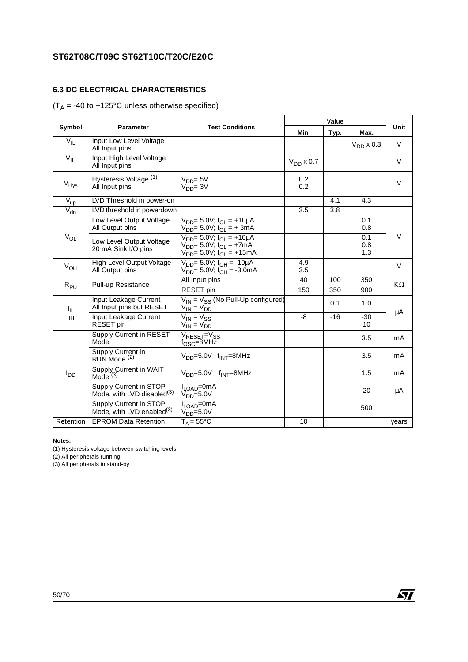## **6.3 DC ELECTRICAL CHARACTERISTICS**

## $(T_A = -40$  to  $+125^{\circ}$ C unless otherwise specified)

|                     |                                                                  |                                                                                                                     |                | Value |                   |           |
|---------------------|------------------------------------------------------------------|---------------------------------------------------------------------------------------------------------------------|----------------|-------|-------------------|-----------|
| Symbol              | <b>Parameter</b>                                                 | <b>Test Conditions</b>                                                                                              | Min.           | Typ.  | Max.              | Unit      |
| $V_{IL}$            | Input Low Level Voltage<br>All Input pins                        |                                                                                                                     |                |       | $V_{DD}$ x 0.3    | $\vee$    |
| $V_{\text{IH}}$     | Input High Level Voltage<br>All Input pins                       |                                                                                                                     | $V_{DD}$ x 0.7 |       |                   | V         |
| $V_{Hys}$           | Hysteresis Voltage (1)<br>All Input pins                         | $V_{DD} = 5V$<br>$VDD = 3V$                                                                                         | 0.2<br>0.2     |       |                   | $\vee$    |
| $V_{up}$            | LVD Threshold in power-on                                        |                                                                                                                     |                | 4.1   | 4.3               |           |
| $\overline{V}_{dn}$ | LVD threshold in powerdown                                       |                                                                                                                     | 3.5            | 3.8   |                   |           |
|                     | Low Level Output Voltage<br>All Output pins                      | $V_{DD}$ = 5.0V; $I_{OL}$ = +10µA<br>$V_{DD} = 5.0 V$ ; $I_{OL} = + 3 mA$                                           |                |       | 0.1<br>0.8        |           |
| $V_{OL}$            | Low Level Output Voltage<br>20 mA Sink I/O pins                  | $V_{DD} = 5.0 V$ ; $I_{OI} = +10 \mu A$<br>$V_{DD} = 5.0 V; I_{OL} = +7 mA$<br>$V_{DD} = 5.0 V$ ; $V_{OL} = +15 mA$ |                |       | 0.1<br>0.8<br>1.3 | V         |
| $V_{OH}$            | High Level Output Voltage<br>All Output pins                     | $\overline{V_{DD}}$ = 5.0V; $I_{OH}$ = -10µA<br>$V_{DD} = 5.0V$ ; $I_{OH} = -3.0mA$                                 | 4.9<br>3.5     |       |                   | $\vee$    |
| $R_{PU}$            | <b>Pull-up Resistance</b>                                        | All Input pins                                                                                                      | 40             | 100   | 350               | $K\Omega$ |
|                     |                                                                  | RESET pin                                                                                                           | 150            | 350   | 900               |           |
| I <sub>IL</sub>     | Input Leakage Current<br>All Input pins but RESET                | $V_{IN}$ = $V_{SS}$ (No Pull-Up configured)<br>$V_{IN} = V_{DD}$                                                    |                | 0.1   | 1.0               | μA        |
| ŀщ                  | Input Leakage Current<br>RESET pin                               | $\overline{V_{IN}}$ = $V_{SS}$<br>$V_{IN} = V_{DD}$                                                                 | -8             | $-16$ | $-30$<br>10       |           |
|                     | Supply Current in RESET<br>Mode                                  | $V_{\text{RESET}} = V_{SS}$<br>$f_{\text{OSC}} = 8$ MHz                                                             |                |       | 3.5               | mA        |
|                     | Supply Current in<br>RUN Mode <sup>(2)</sup>                     | $V_{DD} = 5.0V$ f <sub>INT</sub> =8MHz                                                                              |                |       | 3.5               | mA        |
| l <sub>DD</sub>     | Supply Current in WAIT<br>Mode $(3)$                             | $V_{DD} = 5.0V$ f <sub>INT</sub> =8MHz                                                                              |                |       | 1.5               | mA        |
|                     | Supply Current in STOP<br>Mode, with LVD disabled <sup>(3)</sup> | $I_{\text{LOAD}} = 0 \text{mA}$<br>$VDD=5.0V$                                                                       |                |       | 20                | μA        |
|                     | Supply Current in STOP<br>Mode, with LVD enabled $(3)$           | $I_{LOAD} = 0 \text{mA}$<br>$V_{DD} = 5.0 V$                                                                        |                |       | 500               |           |
| Retention           | <b>EPROM Data Retention</b>                                      | $T_A = 55^{\circ}$ C                                                                                                | 10             |       |                   | years     |

#### **Notes:**

(1) Hysteresis voltage between switching levels

(2) All peripherals running

(3) All peripherals in stand-by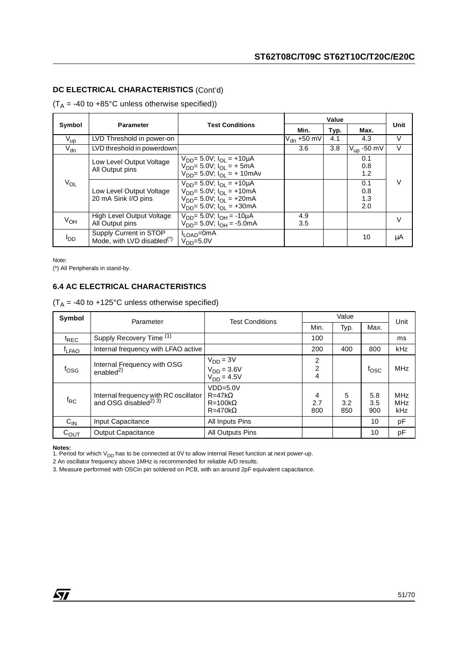## **DC ELECTRICAL CHARACTERISTICS** (Cont'd)

 $(T_A = -40$  to  $+85^{\circ}$ C unless otherwise specified))

|                 |                                                         |                                                                                                                                                                 |                 | Value |                          | Unit   |
|-----------------|---------------------------------------------------------|-----------------------------------------------------------------------------------------------------------------------------------------------------------------|-----------------|-------|--------------------------|--------|
| Symbol          | <b>Parameter</b>                                        | <b>Test Conditions</b>                                                                                                                                          | Min.            | Typ.  | Max.                     |        |
| $V_{\text{up}}$ | LVD Threshold in power-on                               |                                                                                                                                                                 | $V_{dn}$ +50 mV | 4.1   | 4.3                      | v      |
| $V_{dn}$        | LVD threshold in powerdown                              |                                                                                                                                                                 | 3.6             | 3.8   | $V_{\text{up}}$ -50 mV   | $\vee$ |
|                 | Low Level Output Voltage<br>All Output pins             | $V_{DD} = 5.0 V$ ; $I_{OL} = +10 \mu A$<br>$V_{DD} = 5.0 V$ ; $I_{OL} = + 5 mA$<br>$V_{DD} = 5.0 V$ ; $I_{OI} = + 10$ mAv                                       |                 |       | 0.1<br>0.8<br>1.2        |        |
| $V_{OL}$        | Low Level Output Voltage<br>20 mA Sink I/O pins         | $V_{DD} = 5.0 V$ ; $I_{OL} = +10 \mu A$<br>$V_{DD} = 5.0 V$ ; $I_{OL} = +10 mA$<br>$V_{DD} = 5.0 V$ ; $I_{OL} = +20 mA$<br>$V_{DD} = 5.0 V$ ; $I_{OL} = +30 mA$ |                 |       | 0.1<br>0.8<br>1.3<br>2.0 | V      |
| V <sub>OH</sub> | High Level Output Voltage<br>All Output pins            | $V_{DD} = 5.0 V$ ; $I_{DH} = -10 \mu A$<br>$V_{DD} = 5.0 V$ ; $I_{OH} = -5.0 mA$                                                                                | 4.9<br>3.5      |       |                          |        |
| OD <sup>I</sup> | Supply Current in STOP<br>Mode, with LVD disabled $(*)$ | I <sub>LOAD</sub> =0mA<br>$VDD=5.0V$                                                                                                                            |                 |       | 10                       | μA     |

Note: (\*) All Peripherals in stand-by.

## **6.4 AC ELECTRICAL CHARACTERISTICS**

 $(T_A = -40$  to +125°C unless otherwise specified)

| Symbol                     | Parameter                                                                     | <b>Test Conditions</b>                                                |                          | Value           |                   | Unit                                   |
|----------------------------|-------------------------------------------------------------------------------|-----------------------------------------------------------------------|--------------------------|-----------------|-------------------|----------------------------------------|
|                            |                                                                               |                                                                       | Min.                     | Typ.            | Max.              |                                        |
| $t_{REC}$                  | Supply Recovery Time (1)                                                      |                                                                       | 100                      |                 |                   | ms                                     |
| <sup>I</sup> LFAO          | Internal frequency with LFAO active                                           |                                                                       | 200                      | 400             | 800               | <b>kHz</b>                             |
| tosg                       | Internal Frequency with OSG<br>enabled $^{2)}$                                | $V_{DD} = 3V$<br>$V_{DD} = 3.6V$<br>$V_{DD} = 4.5V$                   | 2<br>$\overline{2}$<br>4 |                 | fosc              | <b>MHz</b>                             |
| $\mathsf{f}_{\mathsf{RC}}$ | Internal frequency with RC oscillator<br>and OSG disabled <sup>2)</sup> $3$ ) | $VDD=5.0V$<br>$R = 47k\Omega$<br>$R = 100k\Omega$<br>$R = 470k\Omega$ | 4<br>2.7<br>800          | 5<br>3.2<br>850 | 5.8<br>3.5<br>900 | <b>MHz</b><br><b>MHz</b><br><b>kHz</b> |
| $C_{IN}$                   | Input Capacitance                                                             | All Inputs Pins                                                       |                          |                 | 10                | pF                                     |
| $C_{\text{OUT}}$           | Output Capacitance                                                            | <b>All Outputs Pins</b>                                               |                          |                 | 10                | pF                                     |

**Notes:**<br>1. Period for which V<sub>DD</sub> has to be connected at 0V to allow internal Reset function at next power-up.

2 An oscillator frequency above 1MHz is recommended for reliable A/D results.

3. Measure performed with OSCin pin soldered on PCB, with an around 2pF equivalent capacitance.

冈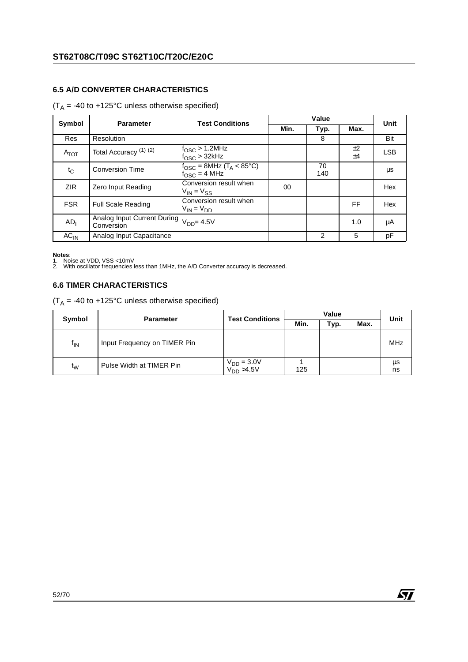## **6.5 A/D CONVERTER CHARACTERISTICS**

## $(T_A = -40$  to  $+125^{\circ}$ C unless otherwise specified)

| Symbol           | <b>Parameter</b>                                                 | <b>Test Conditions</b>                                                       |        | Value     |          | Unit       |
|------------------|------------------------------------------------------------------|------------------------------------------------------------------------------|--------|-----------|----------|------------|
|                  |                                                                  |                                                                              | Min.   | Typ.      | Max.     |            |
| Res              | Resolution                                                       |                                                                              |        | 8         |          | Bit        |
| $A_{\text{TOT}}$ | Total Accuracy <sup>(1)(2)</sup>                                 | $f_{\rm OSC}$ > 1.2MHz<br>$f_{\rm OSC}$ > 32kHz                              |        |           | ±2<br>±4 | <b>LSB</b> |
| t <sub>C</sub>   | <b>Conversion Time</b>                                           | $f_{\text{OSC}} = 8$ MHz (T <sub>A</sub> < 85°C)<br>$f_{\text{OSC}} = 4$ MHz |        | 70<br>140 |          | μs         |
| ZIR.             | Zero Input Reading                                               | Conversion result when<br>$V_{IN} = V_{SS}$                                  | $00\,$ |           |          | Hex        |
| <b>FSR</b>       | <b>Full Scale Reading</b>                                        | Conversion result when<br>$V_{IN} = V_{DD}$                                  |        |           | FF       | Hex        |
| AD <sub>1</sub>  | Analog Input Current During V <sub>DD</sub> = 4.5V<br>Conversion |                                                                              |        |           | 1.0      | μA         |
| $AC_{IN}$        | Analog Input Capacitance                                         |                                                                              |        | 2         | 5        | pF         |

**Notes**:<br>1. Noise at VDD, VSS <10mV<br>2. With oscillator frequencies less than 1MHz, the A/D Converter accuracy is decreased.

#### **6.6 TIMER CHARACTERISTICS**

 $(T_A = -40$  to  $+125^{\circ}$ C unless otherwise specified)

| Symbol         | <b>Parameter</b>             | <b>Test Conditions</b>               |      | Unit |      |          |
|----------------|------------------------------|--------------------------------------|------|------|------|----------|
|                |                              |                                      | Min. | Typ. | Max. |          |
| $f_{\sf IN}$   | Input Frequency on TIMER Pin |                                      |      |      |      | MHz      |
| t <sub>w</sub> | Pulse Width at TIMER Pin     | $V_{DD} = 3.0 V$<br>$V_{DD} > 4.5 V$ | 125  |      |      | μs<br>ns |

 $\sqrt{27}$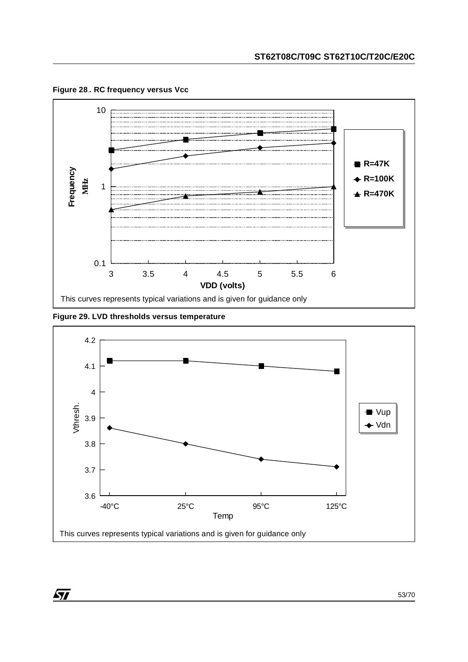

**Figure 28**.**. RC frequency versus Vcc**

**Figure 29. LVD thresholds versus temperature**

 $\sqrt{27}$ 



53/70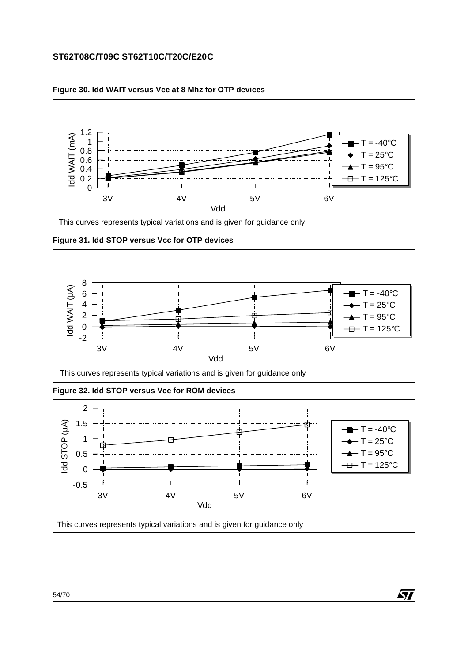## **ST62T08C/T09C ST62T10C/T20C/E20C**



#### **Figure 30. Idd WAIT versus Vcc at 8 Mhz for OTP devices**

**Figure 31. Idd STOP versus Vcc for OTP devices**



**Figure 32. Idd STOP versus Vcc for ROM devices**



*ST*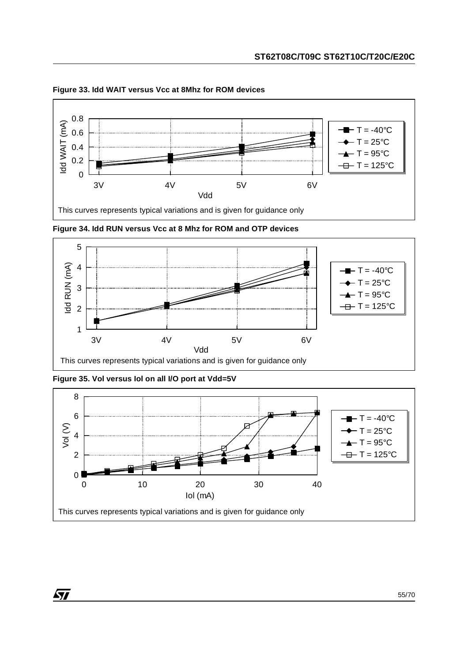

**Figure 33. Idd WAIT versus Vcc at 8Mhz for ROM devices**

**Figure 34. Idd RUN versus Vcc at 8 Mhz for ROM and OTP devices**



**Figure 35. Vol versus Iol on all I/O port at Vdd=5V**



 $\sqrt{M}$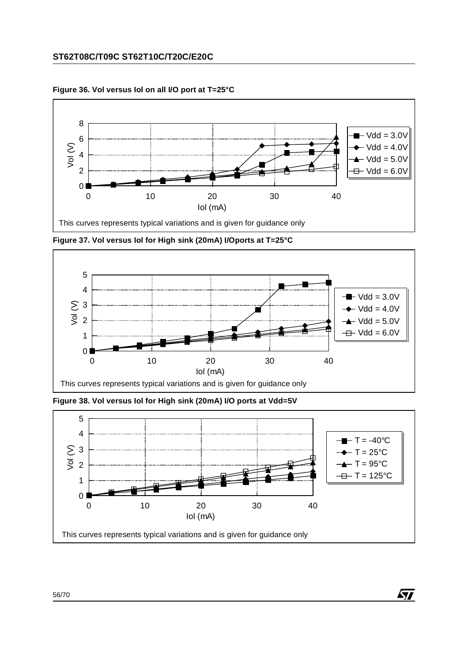## **ST62T08C/T09C ST62T10C/T20C/E20C**



**Figure 36. Vol versus Iol on all I/O port at T=25°C**

**Figure 37. Vol versus Iol for High sink (20mA) I/Oports at T=25°C**



**Figure 38. Vol versus Iol for High sink (20mA) I/O ports at Vdd=5V**

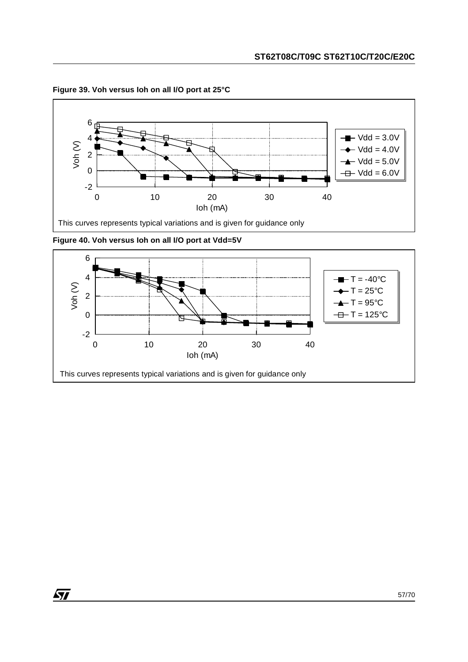

**Figure 39. Voh versus Ioh on all I/O port at 25°C**



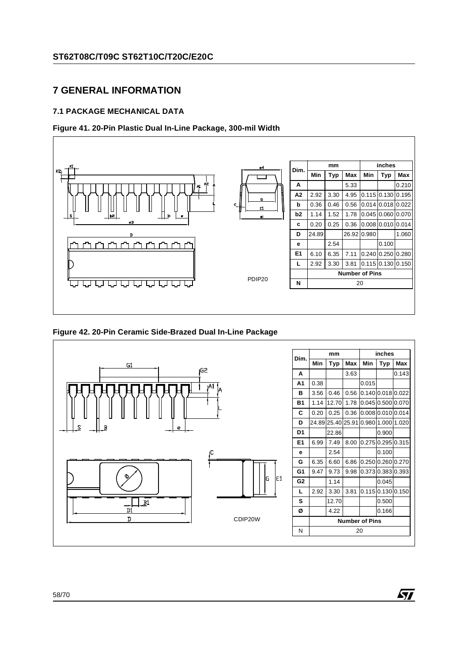## **7 GENERAL INFORMATION**

## **7.1 PACKAGE MECHANICAL DATA**

### **Figure 41. 20-Pin Plastic Dual In-Line Package, 300-mil Width**



**Figure 42. 20-Pin Ceramic Side-Brazed Dual In-Line Package**



*ST*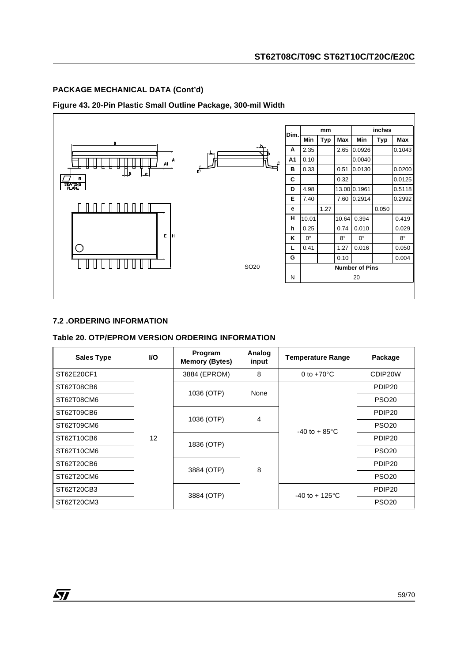## **PACKAGE MECHANICAL DATA (Cont'd)**

#### **Figure 43. 20-Pin Plastic Small Outline Package, 300-mil Width**



#### **7.2 .ORDERING INFORMATION**

ST

#### **Table 20. OTP/EPROM VERSION ORDERING INFORMATION**

| <b>Sales Type</b> | <b>VO</b> | Program<br><b>Memory (Bytes)</b> | Analog<br>input | <b>Temperature Range</b> | Package            |
|-------------------|-----------|----------------------------------|-----------------|--------------------------|--------------------|
| ST62E20CF1        |           | 3884 (EPROM)                     | 8               | 0 to $+70^{\circ}$ C     | CDIP20W            |
| ST62T08CB6        |           | 1036 (OTP)                       | None            |                          | PDIP <sub>20</sub> |
| ST62T08CM6        |           |                                  |                 |                          | <b>PSO20</b>       |
| ST62T09CB6        |           |                                  |                 |                          | PDIP <sub>20</sub> |
| ST62T09CM6        |           | 1036 (OTP)<br>$\overline{4}$     |                 | $-40$ to $+85^{\circ}$ C | <b>PSO20</b>       |
| ST62T10CB6        | 12        |                                  |                 |                          | PDIP <sub>20</sub> |
| ST62T10CM6        |           | 1836 (OTP)                       |                 |                          | <b>PSO20</b>       |
| ST62T20CB6        |           |                                  | 8               |                          | PDIP <sub>20</sub> |
| ST62T20CM6        |           | 3884 (OTP)                       |                 |                          | <b>PSO20</b>       |
| ST62T20CB3        |           |                                  |                 | $-40$ to $+125$ °C       | PDIP <sub>20</sub> |
| ST62T20CM3        |           | 3884 (OTP)                       |                 |                          | <b>PSO20</b>       |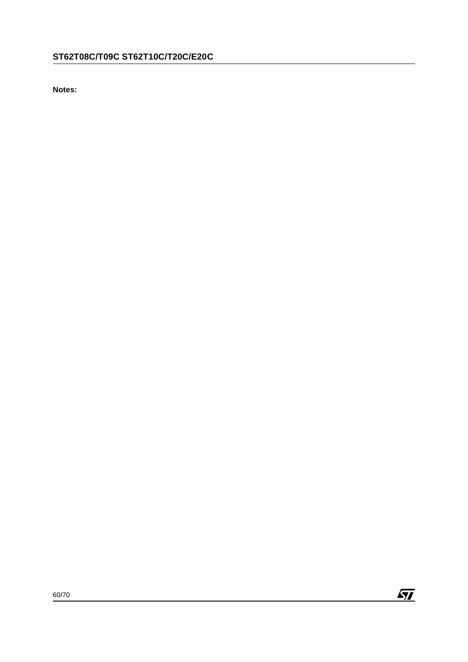**Notes:**

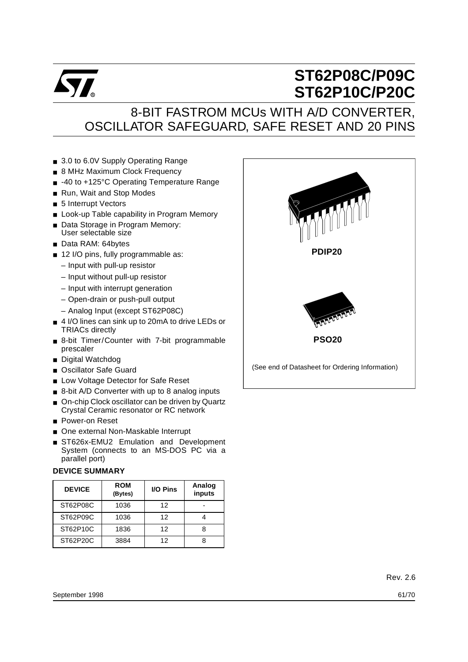

# **ST62P08C/P09C ST62P10C/P20C**

## 8-BIT FASTROM MCUs WITH A/D CONVERTER, OSCILLATOR SAFEGUARD, SAFE RESET AND 20 PINS

- 3.0 to 6.0V Supply Operating Range
- 8 MHz Maximum Clock Frequency
- -40 to +125°C Operating Temperature Range
- Run, Wait and Stop Modes
- 5 Interrupt Vectors
- Look-up Table capability in Program Memory
- Data Storage in Program Memory: User selectable size
- Data RAM: 64bytes
- 12 I/O pins, fully programmable as:
	- Input with pull-up resistor
	- Input without pull-up resistor
	- Input with interrupt generation
	- Open-drain or push-pull output
	- Analog Input (except ST62P08C)
- 4 I/O lines can sink up to 20mA to drive LEDs or TRIACs directly
- 8-bit Timer/Counter with 7-bit programmable prescaler
- Digital Watchdog
- Oscillator Safe Guard
- Low Voltage Detector for Safe Reset
- 8-bit A/D Converter with up to 8 analog inputs
- On-chip Clock oscillator can be driven by Quartz Crystal Ceramic resonator or RC network
- Power-on Reset
- One external Non-Maskable Interrupt
- ST626x-EMU2 Emulation and Development System (connects to an MS-DOS PC via a parallel port)

#### **DEVICE SUMMARY**

| <b>DEVICE</b> | <b>ROM</b><br>(Bytes) | <b>I/O Pins</b> | Analog<br>inputs |
|---------------|-----------------------|-----------------|------------------|
| ST62P08C      | 1036                  | 12              |                  |
| ST62P09C      | 1036                  | 12              |                  |
| ST62P10C      | 1836                  | 12              |                  |
| ST62P20C      | 3884                  | 12              |                  |

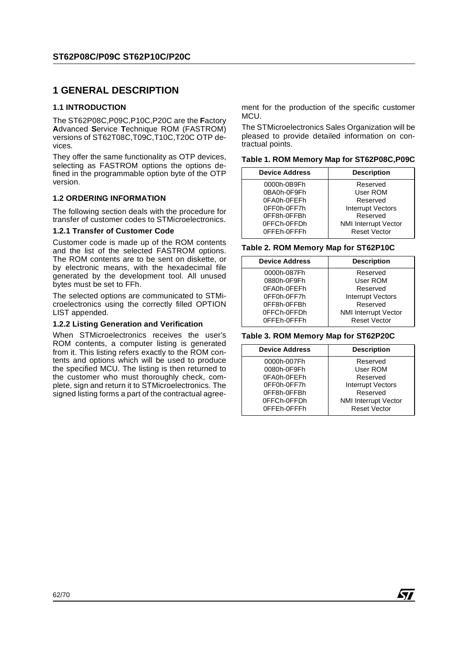## **1 GENERAL DESCRIPTION**

#### **1.1 INTRODUCTION**

The ST62P08C,P09C,P10C,P20C are the **F**actory **A**dvanced **S**ervice **T**echnique ROM (FASTROM) versions of ST62T08C,T09C,T10C,T20C OTP devices.

They offer the same functionality as OTP devices, selecting as FASTROM options the options defined in the programmable option byte of the OTP version.

#### **1.2 ORDERING INFORMATION**

The following section deals with the procedure for transfer of customer codes to STMicroelectronics.

#### **1.2.1 Transfer of Customer Code**

Customer code is made up of the ROM contents and the list of the selected FASTROM options. The ROM contents are to be sent on diskette, or by electronic means, with the hexadecimal file generated by the development tool. All unused bytes must be set to FFh.

The selected options are communicated to STMicroelectronics using the correctly filled OPTION LIST appended.

#### **1.2.2 Listing Generation and Verification**

When STMicroelectronics receives the user's ROM contents, a computer listing is generated from it. This listing refers exactly to the ROM contents and options which will be used to produce the specified MCU. The listing is then returned to the customer who must thoroughly check, complete, sign and return it to STMicroelectronics. The signed listing forms a part of the contractual agreement for the production of the specific customer MCU.

The STMicroelectronics Sales Organization will be pleased to provide detailed information on contractual points.

**Table 1. ROM Memory Map for ST62P08C,P09C**

| <b>Device Address</b> | <b>Description</b>          |  |
|-----------------------|-----------------------------|--|
| 0000h-0B9Fh           | Reserved                    |  |
| 0BA0h-0F9Fh           | User ROM                    |  |
| 0FA0h-0FEFh           | Reserved                    |  |
| 0FF0h-0FF7h           | Interrupt Vectors           |  |
| 0FF8h-0FFBh           | Reserved                    |  |
| 0FFCh-0FFDh           | <b>NMI Interrupt Vector</b> |  |
| 0FFEh-0FFFh           | <b>Reset Vector</b>         |  |

#### **Table 2. ROM Memory Map for ST62P10C**

| <b>Device Address</b> | <b>Description</b>          |
|-----------------------|-----------------------------|
| 0000h-087Fh           | Reserved                    |
| 0880h-0F9Fh           | User ROM                    |
| 0FA0h-0FEFh           | Reserved                    |
| 0FF0h-0FF7h           | <b>Interrupt Vectors</b>    |
| 0FF8h-0FFBh           | Reserved                    |
| 0FFCh-0FFDh           | <b>NMI Interrupt Vector</b> |
| 0FFEh-0FFFh           | <b>Reset Vector</b>         |

#### **Table 3. ROM Memory Map for ST62P20C**

| <b>Device Address</b> | <b>Description</b>          |
|-----------------------|-----------------------------|
| 0000h-007Fh           | Reserved                    |
| 0080h-0F9Fh           | User ROM                    |
| 0FA0h-0FEFh           | Reserved                    |
| 0FF0h-0FF7h           | Interrupt Vectors           |
| 0FF8h-0FFBh           | Reserved                    |
| 0FFCh-0FFDh           | <b>NMI Interrupt Vector</b> |
| 0FFEh-0FFFh           | <b>Reset Vector</b>         |
|                       |                             |

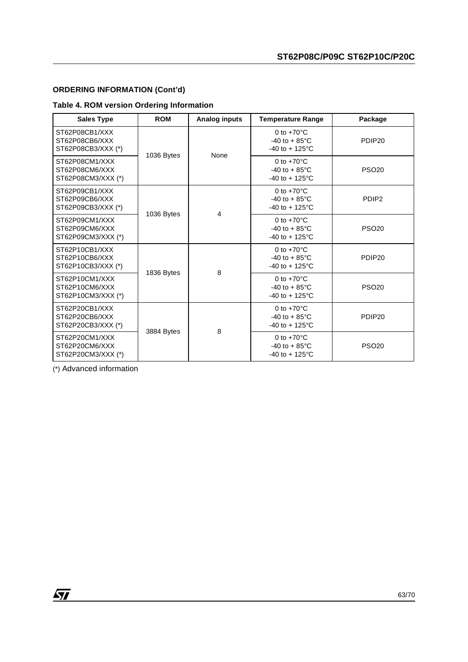## **ORDERING INFORMATION (Cont'd)**

## **Table 4. ROM version Ordering Information**

| <b>Sales Type</b>                                      | <b>ROM</b> | Analog inputs | <b>Temperature Range</b>                                                      | Package                                                                       |                    |
|--------------------------------------------------------|------------|---------------|-------------------------------------------------------------------------------|-------------------------------------------------------------------------------|--------------------|
| ST62P08CB1/XXX<br>ST62P08CB6/XXX<br>ST62P08CB3/XXX (*) | 1036 Bytes | None          | 0 to $+70^{\circ}$ C<br>$-40$ to $+85^{\circ}$ C<br>$-40$ to $+125^{\circ}$ C | PDIP <sub>20</sub>                                                            |                    |
| ST62P08CM1/XXX<br>ST62P08CM6/XXX<br>ST62P08CM3/XXX (*) |            |               | 0 to $+70^{\circ}$ C<br>$-40$ to $+85^{\circ}$ C<br>$-40$ to $+125^{\circ}$ C | <b>PSO20</b>                                                                  |                    |
| ST62P09CB1/XXX<br>ST62P09CB6/XXX<br>ST62P09CB3/XXX (*) | 1036 Bytes |               | 0 to $+70^{\circ}$ C<br>$-40$ to $+85^{\circ}$ C<br>$-40$ to $+125^{\circ}$ C | PDIP <sub>2</sub>                                                             |                    |
| ST62P09CM1/XXX<br>ST62P09CM6/XXX<br>ST62P09CM3/XXX (*) |            | 4             | 0 to $+70^{\circ}$ C<br>$-40$ to $+85^{\circ}$ C<br>$-40$ to $+125^{\circ}$ C | <b>PSO20</b>                                                                  |                    |
| ST62P10CB1/XXX<br>ST62P10CB6/XXX<br>ST62P10CB3/XXX (*) | 1836 Bytes |               | 8                                                                             | 0 to $+70^{\circ}$ C<br>$-40$ to $+85^{\circ}$ C<br>$-40$ to $+125^{\circ}$ C | PDIP <sub>20</sub> |
| ST62P10CM1/XXX<br>ST62P10CM6/XXX<br>ST62P10CM3/XXX (*) |            |               | 0 to $+70^{\circ}$ C<br>$-40$ to $+85^{\circ}$ C<br>$-40$ to $+125^{\circ}$ C | <b>PSO20</b>                                                                  |                    |
| ST62P20CB1/XXX<br>ST62P20CB6/XXX<br>ST62P20CB3/XXX (*) | 3884 Bytes |               | 8                                                                             | 0 to $+70^{\circ}$ C<br>$-40$ to $+85^{\circ}$ C<br>$-40$ to $+125^{\circ}$ C | PDIP <sub>20</sub> |
| ST62P20CM1/XXX<br>ST62P20CM6/XXX<br>ST62P20CM3/XXX (*) |            |               | 0 to $+70^{\circ}$ C<br>$-40$ to $+85^{\circ}$ C<br>$-40$ to $+125^{\circ}$ C | <b>PSO20</b>                                                                  |                    |

(\*) Advanced information

 $\sqrt{M}$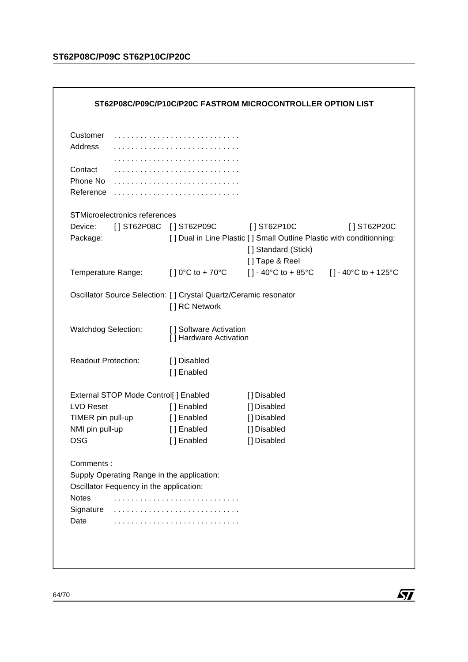## **ST62P08C/P09C ST62P10C/P20C**

| Customer                   |                                         |                                                  |                                                                                             |             |
|----------------------------|-----------------------------------------|--------------------------------------------------|---------------------------------------------------------------------------------------------|-------------|
| Address                    |                                         |                                                  |                                                                                             |             |
|                            |                                         |                                                  |                                                                                             |             |
| Contact<br>Phone No        |                                         |                                                  |                                                                                             |             |
| Reference                  |                                         |                                                  |                                                                                             |             |
|                            | STMicroelectronics references           |                                                  |                                                                                             |             |
| Device:                    |                                         | [] ST62P08C [] ST62P09C                          | $[$ ST62P10C                                                                                | [] ST62P20C |
| Package:                   |                                         |                                                  | [] Dual in Line Plastic [] Small Outline Plastic with conditionning:<br>[] Standard (Stick) |             |
| Temperature Range:         |                                         | $[ ] 0^{\circ}C$ to + 70 $^{\circ}C$             | [] Tape & Reel<br>[] - 40°C to + 85°C [] - 40°C to + 125°C                                  |             |
| Watchdog Selection:        |                                         | [] Software Activation<br>[] Hardware Activation |                                                                                             |             |
|                            |                                         |                                                  |                                                                                             |             |
| <b>Readout Protection:</b> |                                         | [ ] Disabled<br>[] Enabled                       |                                                                                             |             |
|                            |                                         |                                                  |                                                                                             |             |
|                            | External STOP Mode Control[] Enabled    |                                                  | [] Disabled                                                                                 |             |
| <b>LVD Reset</b>           |                                         | [] Enabled                                       | [] Disabled                                                                                 |             |
| TIMER pin pull-up          |                                         | [] Enabled                                       | [] Disabled                                                                                 |             |
| NMI pin pull-up            |                                         | [] Enabled                                       | [] Disabled                                                                                 |             |
| OSG                        |                                         | [] Enabled                                       | [] Disabled                                                                                 |             |
| Comments:                  |                                         |                                                  |                                                                                             |             |
|                            |                                         | Supply Operating Range in the application:       |                                                                                             |             |
|                            | Oscillator Fequency in the application: |                                                  |                                                                                             |             |
|                            |                                         |                                                  |                                                                                             |             |
| <b>Notes</b>               |                                         |                                                  |                                                                                             |             |
| Signature<br>Date          |                                         |                                                  |                                                                                             |             |

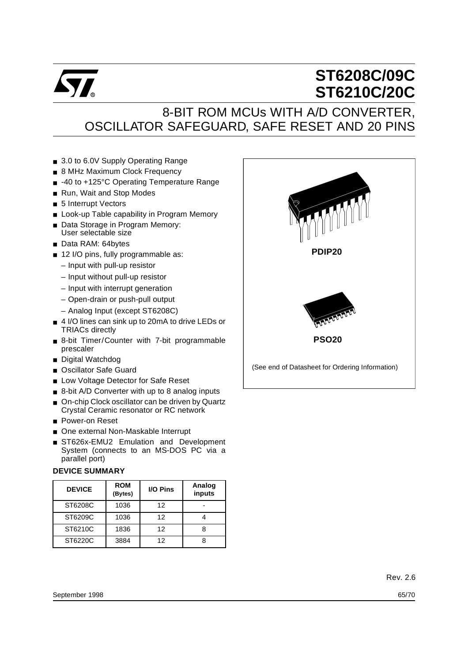

# **ST6208C/09C ST6210C/20C**

## 8-BIT ROM MCUs WITH A/D CONVERTER, OSCILLATOR SAFEGUARD, SAFE RESET AND 20 PINS

- 3.0 to 6.0V Supply Operating Range
- 8 MHz Maximum Clock Frequency
- -40 to +125°C Operating Temperature Range
- Run, Wait and Stop Modes
- 5 Interrupt Vectors
- Look-up Table capability in Program Memory
- Data Storage in Program Memory: User selectable size
- Data RAM: 64bytes
- 12 I/O pins, fully programmable as:
	- Input with pull-up resistor
	- Input without pull-up resistor
	- Input with interrupt generation
	- Open-drain or push-pull output
	- Analog Input (except ST6208C)
- 4 I/O lines can sink up to 20mA to drive LEDs or TRIACs directly
- 8-bit Timer/Counter with 7-bit programmable prescaler
- Digital Watchdog
- Oscillator Safe Guard
- Low Voltage Detector for Safe Reset
- 8-bit A/D Converter with up to 8 analog inputs
- On-chip Clock oscillator can be driven by Quartz Crystal Ceramic resonator or RC network
- Power-on Reset
- One external Non-Maskable Interrupt
- ST626x-EMU2 Emulation and Development System (connects to an MS-DOS PC via a parallel port)

## **DEVICE SUMMARY**

| <b>DEVICE</b> | <b>ROM</b><br>(Bytes) | <b>I/O Pins</b> | Analog<br>inputs |
|---------------|-----------------------|-----------------|------------------|
| ST6208C       | 1036                  | 12              |                  |
| ST6209C       | 1036                  | 12              |                  |
| ST6210C       | 1836                  | 12              |                  |
| ST6220C       | 3884                  | 12              |                  |

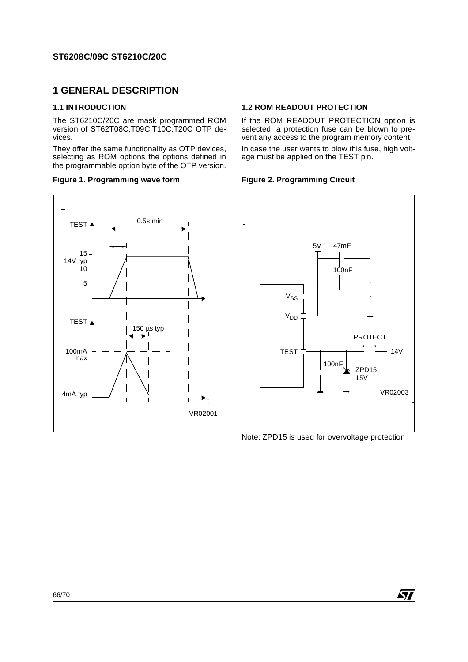## **1 GENERAL DESCRIPTION**

#### **1.1 INTRODUCTION**

The ST6210C/20C are mask programmed ROM version of ST62T08C,T09C,T10C,T20C OTP devices.

They offer the same functionality as OTP devices, selecting as ROM options the options defined in the programmable option byte of the OTP version.

#### **Figure 1. Programming wave form**



### **1.2 ROM READOUT PROTECTION**

If the ROM READOUT PROTECTION option is selected, a protection fuse can be blown to prevent any access to the program memory content.

In case the user wants to blow this fuse, high voltage must be applied on the TEST pin.

#### **Figure 2. Programming Circuit**



Note: ZPD15 is used for overvoltage protection

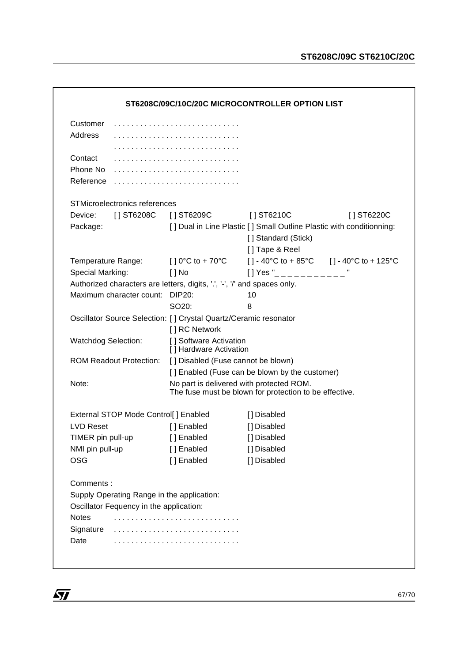| Customer                   |                                            |                                                                           |                                                                                                    |            |
|----------------------------|--------------------------------------------|---------------------------------------------------------------------------|----------------------------------------------------------------------------------------------------|------------|
| Address                    |                                            |                                                                           |                                                                                                    |            |
|                            |                                            |                                                                           |                                                                                                    |            |
| Contact                    |                                            |                                                                           |                                                                                                    |            |
| Phone No                   |                                            |                                                                           |                                                                                                    |            |
| Reference                  |                                            |                                                                           |                                                                                                    |            |
|                            | STMicroelectronics references              |                                                                           |                                                                                                    |            |
| Device:                    | [ ] ST6208C                                | [ ] ST6209C                                                               | [ ] ST6210C                                                                                        | [] ST6220C |
| Package:                   |                                            |                                                                           | [] Dual in Line Plastic [] Small Outline Plastic with conditionning:                               |            |
|                            |                                            |                                                                           | [] Standard (Stick)                                                                                |            |
|                            |                                            |                                                                           | [] Tape & Reel                                                                                     |            |
|                            | Temperature Range:                         | $[$ ] 0°C to + 70°C                                                       | [] - 40°C to + 85°C [] - 40°C to + 125°C                                                           |            |
| Special Marking:           |                                            | $[$ $]$ No                                                                | $[$   Yes " $_{---}$ $_{---}$                                                                      |            |
|                            |                                            | Authorized characters are letters, digits, '.', '-', '/' and spaces only. |                                                                                                    |            |
|                            | Maximum character count:                   | DIP20:                                                                    | 10                                                                                                 |            |
|                            |                                            | SO20:                                                                     | 8                                                                                                  |            |
|                            |                                            | Oscillator Source Selection: [] Crystal Quartz/Ceramic resonator          |                                                                                                    |            |
|                            |                                            | [] RC Network                                                             |                                                                                                    |            |
| <b>Watchdog Selection:</b> |                                            | [] Software Activation<br>[] Hardware Activation                          |                                                                                                    |            |
|                            | <b>ROM Readout Protection:</b>             | [] Disabled (Fuse cannot be blown)                                        |                                                                                                    |            |
|                            |                                            |                                                                           | [] Enabled (Fuse can be blown by the customer)                                                     |            |
| Note:                      |                                            |                                                                           | No part is delivered with protected ROM.<br>The fuse must be blown for protection to be effective. |            |
|                            | External STOP Mode Control[] Enabled       |                                                                           | [] Disabled                                                                                        |            |
| <b>LVD Reset</b>           |                                            | [ ] Enabled                                                               | [] Disabled                                                                                        |            |
| TIMER pin pull-up          |                                            | [] Enabled                                                                | [] Disabled                                                                                        |            |
| NMI pin pull-up            |                                            | [] Enabled                                                                | [] Disabled                                                                                        |            |
| <b>OSG</b>                 |                                            | [] Enabled                                                                | [] Disabled                                                                                        |            |
| Comments:                  |                                            |                                                                           |                                                                                                    |            |
|                            | Supply Operating Range in the application: |                                                                           |                                                                                                    |            |
|                            | Oscillator Fequency in the application:    |                                                                           |                                                                                                    |            |
| <b>Notes</b>               |                                            |                                                                           |                                                                                                    |            |
| Signature                  |                                            |                                                                           |                                                                                                    |            |
| Date                       |                                            |                                                                           |                                                                                                    |            |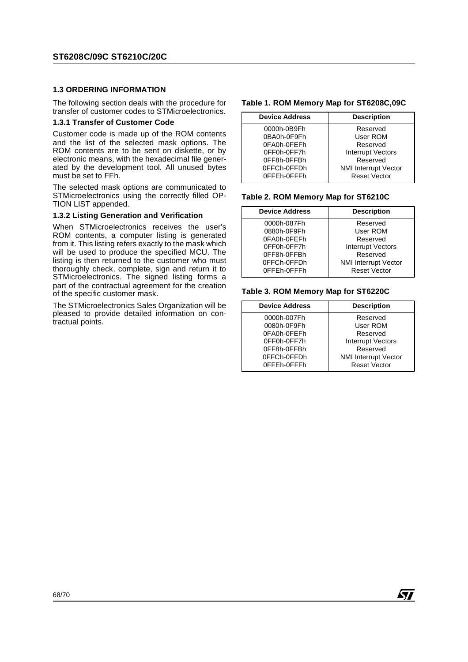#### **1.3 ORDERING INFORMATION**

The following section deals with the procedure for transfer of customer codes to STMicroelectronics.

#### **1.3.1 Transfer of Customer Code**

Customer code is made up of the ROM contents and the list of the selected mask options. The ROM contents are to be sent on diskette, or by electronic means, with the hexadecimal file generated by the development tool. All unused bytes must be set to FFh.

The selected mask options are communicated to STMicroelectronics using the correctly filled OP-TION LIST appended.

#### **1.3.2 Listing Generation and Verification**

When STMicroelectronics receives the user's ROM contents, a computer listing is generated from it. This listing refers exactly to the mask which will be used to produce the specified MCU. The listing is then returned to the customer who must thoroughly check, complete, sign and return it to STMicroelectronics. The signed listing forms a part of the contractual agreement for the creation of the specific customer mask.

The STMicroelectronics Sales Organization will be pleased to provide detailed information on contractual points.

#### **Table 1. ROM Memory Map for ST6208C,09C**

| <b>Device Address</b> | <b>Description</b>          |  |  |
|-----------------------|-----------------------------|--|--|
| 0000h-0B9Fh           | Reserved                    |  |  |
| 0BA0h-0F9Fh           | User ROM                    |  |  |
| 0FA0h-0FEFh           | Reserved                    |  |  |
| 0FF0h-0FF7h           | <b>Interrupt Vectors</b>    |  |  |
| 0FF8h-0FFBh           | Reserved                    |  |  |
| 0FFCh-0FFDh           | <b>NMI Interrupt Vector</b> |  |  |
| 0FFEh-0FFFh           | <b>Reset Vector</b>         |  |  |

#### **Table 2. ROM Memory Map for ST6210C**

| <b>Device Address</b>      | <b>Description</b>                                 |  |
|----------------------------|----------------------------------------------------|--|
| 0000h-087Fh<br>0880h-0F9Fh | Reserved<br>User ROM                               |  |
| 0FA0h-0FEFh                | Reserved                                           |  |
| 0FF0h-0FF7h                | <b>Interrupt Vectors</b>                           |  |
| 0FF8h-0FFBh                | Reserved                                           |  |
| 0FFCh-0FFDh<br>0FFEh-0FFFh | <b>NMI Interrupt Vector</b><br><b>Reset Vector</b> |  |

#### **Table 3. ROM Memory Map for ST6220C**

| <b>Device Address</b> | <b>Description</b>          |  |
|-----------------------|-----------------------------|--|
| 0000h-007Fh           | Reserved                    |  |
| 0080h-0F9Fh           | User ROM                    |  |
| 0FA0h-0FEFh           | Reserved                    |  |
| 0FF0h-0FF7h           | <b>Interrupt Vectors</b>    |  |
| 0FF8h-0FFBh           | Reserved                    |  |
| 0FFCh-0FFDh           | <b>NMI Interrupt Vector</b> |  |
| 0FFEh-0FFFh           | <b>Reset Vector</b>         |  |

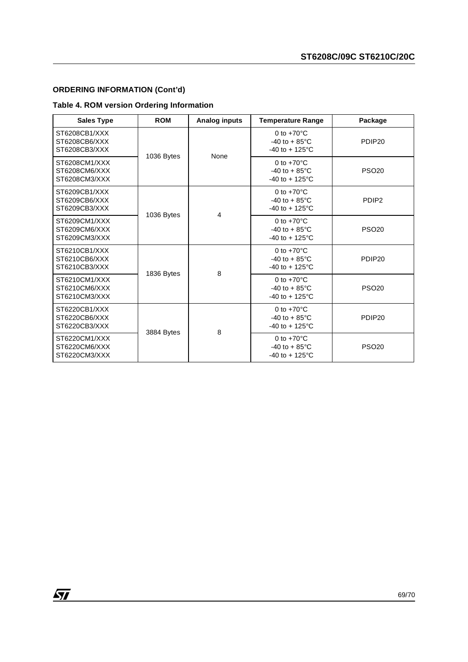## **ORDERING INFORMATION (Cont'd)**

 $\sqrt{27}$ 

## **Table 4. ROM version Ordering Information**

| <b>Sales Type</b>                               | <b>ROM</b> | <b>Analog inputs</b> | <b>Temperature Range</b>                                                      | Package            |
|-------------------------------------------------|------------|----------------------|-------------------------------------------------------------------------------|--------------------|
| ST6208CB1/XXX<br>ST6208CB6/XXX<br>ST6208CB3/XXX |            | 1036 Bytes<br>None   | 0 to $+70^{\circ}$ C<br>$-40$ to $+85^{\circ}$ C<br>$-40$ to $+125^{\circ}$ C | PDIP <sub>20</sub> |
| ST6208CM1/XXX<br>ST6208CM6/XXX<br>ST6208CM3/XXX |            |                      | 0 to $+70^{\circ}$ C<br>$-40$ to $+85^{\circ}$ C<br>$-40$ to $+125^{\circ}$ C | <b>PSO20</b>       |
| ST6209CB1/XXX<br>ST6209CB6/XXX<br>ST6209CB3/XXX | 1036 Bytes | 4                    | 0 to $+70^{\circ}$ C<br>$-40$ to $+85^{\circ}$ C<br>$-40$ to $+125^{\circ}$ C | PDIP <sub>2</sub>  |
| ST6209CM1/XXX<br>ST6209CM6/XXX<br>ST6209CM3/XXX |            |                      | 0 to $+70^{\circ}$ C<br>$-40$ to $+85^{\circ}$ C<br>$-40$ to $+125^{\circ}$ C | <b>PSO20</b>       |
| ST6210CB1/XXX<br>ST6210CB6/XXX<br>ST6210CB3/XXX | 1836 Bytes | 8                    | 0 to $+70^{\circ}$ C<br>$-40$ to $+85^{\circ}$ C<br>$-40$ to $+125^{\circ}$ C | PDIP <sub>20</sub> |
| ST6210CM1/XXX<br>ST6210CM6/XXX<br>ST6210CM3/XXX |            |                      | 0 to $+70^{\circ}$ C<br>$-40$ to $+85^{\circ}$ C<br>$-40$ to $+125^{\circ}$ C | <b>PSO20</b>       |
| ST6220CB1/XXX<br>ST6220CB6/XXX<br>ST6220CB3/XXX | 3884 Bytes | 8                    | 0 to $+70^{\circ}$ C<br>$-40$ to $+85^{\circ}$ C<br>$-40$ to $+125^{\circ}$ C | PDIP <sub>20</sub> |
| ST6220CM1/XXX<br>ST6220CM6/XXX<br>ST6220CM3/XXX |            |                      | 0 to $+70^{\circ}$ C<br>$-40$ to $+85^{\circ}$ C<br>$-40$ to $+125^{\circ}$ C | <b>PSO20</b>       |